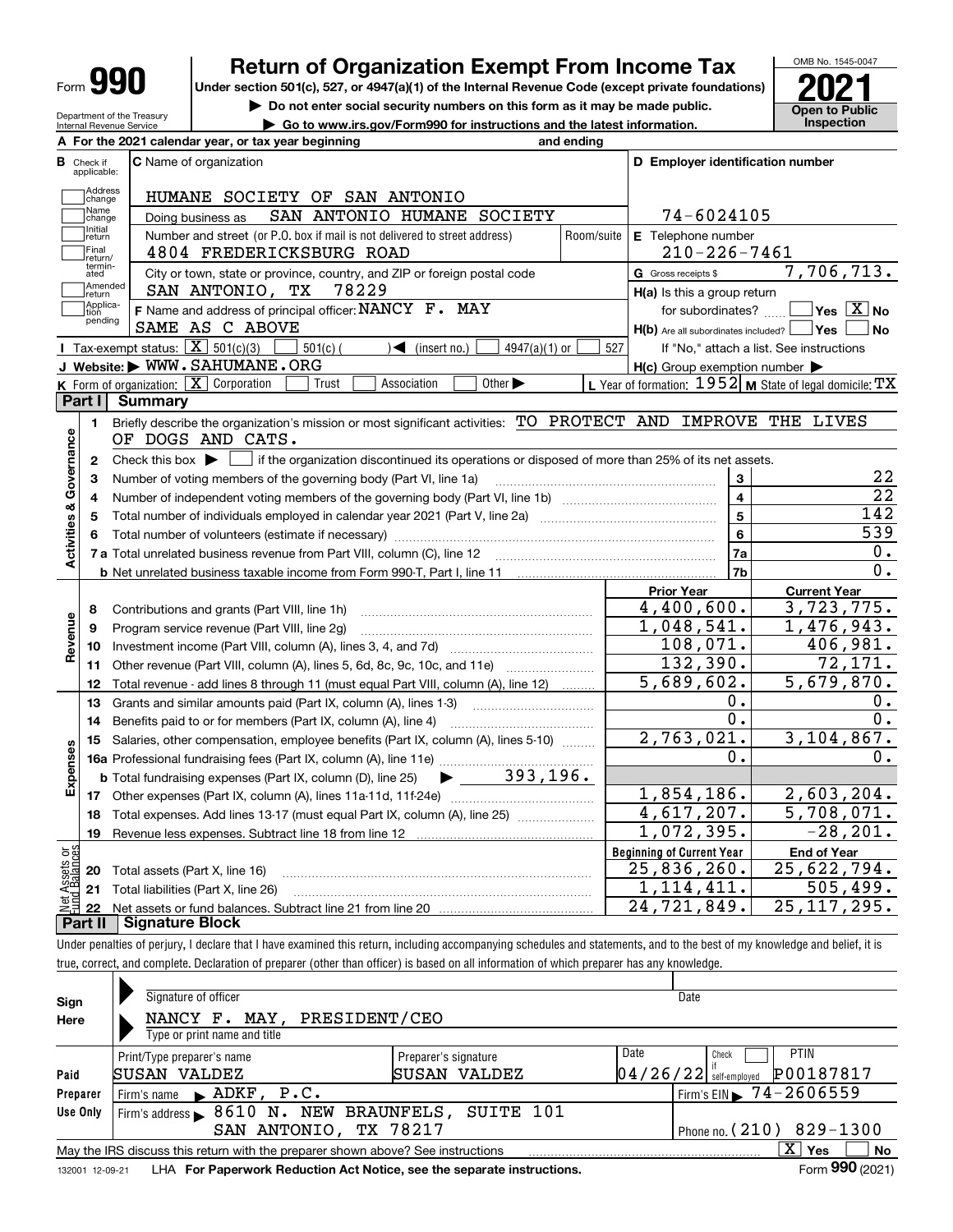| Form | Т |
|------|---|
|------|---|

## **Return of Organization Exempt From Income Tax**

Under section 501(c), 527, or 4947(a)(1) of the Internal Revenue Code (except private foundations) **2021** 

**| Do not enter social security numbers on this form as it may be made public. | Go to www.irs.gov/Form990 for instructions and the latest information. Inspection**



Department of the Treasury Internal Revenue Service

| <b>B</b> Check if            | A For the 2021 calendar year, or tax year beginning<br><b>C</b> Name of organization                                                              | and ending                       | D Employer identification number                    |                                                           |
|------------------------------|---------------------------------------------------------------------------------------------------------------------------------------------------|----------------------------------|-----------------------------------------------------|-----------------------------------------------------------|
| applicable:                  |                                                                                                                                                   |                                  |                                                     |                                                           |
| Address<br>change            | HUMANE SOCIETY OF SAN ANTONIO                                                                                                                     |                                  |                                                     |                                                           |
| Name<br>change               | SAN ANTONIO HUMANE SOCIETY<br>Doing business as                                                                                                   |                                  | 74-6024105                                          |                                                           |
| Initial<br>return<br> Final  | Number and street (or P.O. box if mail is not delivered to street address)<br>4804 FREDERICKSBURG ROAD                                            | Room/suite                       | E Telephone number                                  |                                                           |
| return/<br>termin-           |                                                                                                                                                   |                                  | $210 - 226 - 7461$                                  |                                                           |
| ated<br>Amended              | City or town, state or province, country, and ZIP or foreign postal code                                                                          |                                  | G Gross receipts \$                                 | 7,706,713.                                                |
| ∣return<br>Applica-          | 78229<br>SAN ANTONIO, TX                                                                                                                          |                                  | H(a) Is this a group return                         |                                                           |
| tion<br>pending              | F Name and address of principal officer: NANCY F. MAY                                                                                             |                                  | for subordinates?                                   | $\sqrt{\mathsf{Yes}\mathord{\;\mathbb{X}}\,}$ No          |
|                              | SAME AS C ABOVE                                                                                                                                   |                                  | $H(b)$ Are all subordinates included? $\Box$ Yes    | No                                                        |
|                              | Tax-exempt status: $\boxed{\mathbf{X}}$ 501(c)(3)<br>4947(a)(1) or<br>$501(c)$ (<br>$\sqrt{\bullet}$ (insert no.)                                 | 527                              |                                                     | If "No," attach a list. See instructions                  |
|                              | J Website: WWW.SAHUMANE.ORG                                                                                                                       |                                  | $H(c)$ Group exemption number $\blacktriangleright$ |                                                           |
|                              | K Form of organization: $\boxed{\mathbf{X}}$ Corporation<br>Association<br>Other $\blacktriangleright$<br>Trust                                   |                                  |                                                     | L Year of formation: $1952$ M State of legal domicile: TX |
| Part I                       | <b>Summary</b>                                                                                                                                    |                                  |                                                     |                                                           |
| 1.                           | Briefly describe the organization's mission or most significant activities: TO PROTECT AND IMPROVE THE LIVES<br>OF DOGS AND CATS.                 |                                  |                                                     |                                                           |
| 2                            | Check this box $\blacktriangleright$ $\lfloor$<br>if the organization discontinued its operations or disposed of more than 25% of its net assets. |                                  |                                                     |                                                           |
| Governance<br>з              | Number of voting members of the governing body (Part VI, line 1a)                                                                                 |                                  | $\mathbf{3}$                                        | 22                                                        |
| 4                            |                                                                                                                                                   |                                  | 4                                                   | $\overline{22}$                                           |
| <b>Activities &amp;</b><br>5 |                                                                                                                                                   |                                  | 5                                                   | 142                                                       |
| 6                            |                                                                                                                                                   | 6                                | 539                                                 |                                                           |
|                              |                                                                                                                                                   |                                  | 7a                                                  | 0.                                                        |
|                              |                                                                                                                                                   |                                  | 7b                                                  | 0.                                                        |
|                              |                                                                                                                                                   |                                  | <b>Prior Year</b>                                   | <b>Current Year</b>                                       |
| 8                            | Contributions and grants (Part VIII, line 1h)                                                                                                     |                                  | 4,400,600.                                          | 3,723,775.                                                |
| 9                            | Program service revenue (Part VIII, line 2g)                                                                                                      |                                  | 1,048,541.                                          | 1,476,943.                                                |
| Revenue<br>10                |                                                                                                                                                   |                                  | 108,071.                                            | 406,981.                                                  |
| 11                           | Other revenue (Part VIII, column (A), lines 5, 6d, 8c, 9c, 10c, and 11e)                                                                          |                                  | 132,390.                                            | 72, 171.                                                  |
| 12                           | Total revenue - add lines 8 through 11 (must equal Part VIII, column (A), line 12)                                                                |                                  | 5,689,602.                                          | 5,679,870.                                                |
| 13                           | Grants and similar amounts paid (Part IX, column (A), lines 1-3)                                                                                  |                                  | 0.                                                  | 0.                                                        |
| 14                           | Benefits paid to or for members (Part IX, column (A), line 4)                                                                                     |                                  | 0.                                                  | 0.                                                        |
| 15                           | Salaries, other compensation, employee benefits (Part IX, column (A), lines 5-10)                                                                 |                                  | 2,763,021.                                          | 3,104,867.                                                |
| Expenses                     |                                                                                                                                                   |                                  | 0.                                                  | 0.                                                        |
|                              | $\blacktriangleright$ 393,196.<br><b>b</b> Total fundraising expenses (Part IX, column (D), line 25)                                              |                                  |                                                     |                                                           |
| 17                           |                                                                                                                                                   |                                  | 1,854,186.                                          | 2,603,204.                                                |
|                              | Total expenses. Add lines 13-17 (must equal Part IX, column (A), line 25)                                                                         |                                  | 4,617,207.                                          | 5,708,071.                                                |
| 18                           | Revenue less expenses. Subtract line 18 from line 12                                                                                              |                                  | 1,072,395.                                          | $-28, 201.$                                               |
| 19                           |                                                                                                                                                   | <b>Beginning of Current Year</b> | <b>End of Year</b>                                  |                                                           |
|                              |                                                                                                                                                   |                                  |                                                     |                                                           |
| ិដ្ឋ<br>20                   | Total assets (Part X, line 16)                                                                                                                    |                                  | 25,836,260.                                         |                                                           |
| Assets<br>1 Balanc<br>21     | Total liabilities (Part X, line 26)                                                                                                               |                                  | 1,114,411.                                          | 25,622,794.<br>505, 499.                                  |
| 22                           |                                                                                                                                                   |                                  | $\overline{24}$ , 721, 849.                         | 25, 117, 295.                                             |

| Sign<br>Here    | Signature of officer<br>NANCY F. MAY, PRESIDENT/CEO<br>Type or print name and title |                                         | Date                                                                  |           |
|-----------------|-------------------------------------------------------------------------------------|-----------------------------------------|-----------------------------------------------------------------------|-----------|
| Paid            | Print/Type preparer's name<br>KUSAN VALDEZ                                          | Preparer's signature<br>SUSAN<br>VALDEZ | Date<br><b>PTIN</b><br>Check<br>P00187817<br>$04/26/22$ self-employed |           |
| Preparer        | Firm's name $\blacktriangleright$ ADKF, $P.C.$                                      |                                         | Firm's EIN 374-2606559                                                |           |
| Use Only        | Firm's address > 8610 N. NEW BRAUNFELS, SUITE 101                                   |                                         |                                                                       |           |
|                 | SAN ANTONIO,                                                                        | TX 78217                                | Phone no. $(210)$ 829-1300                                            |           |
|                 | May the IRS discuss this return with the preparer shown above? See instructions     |                                         | X<br>Yes                                                              | <b>No</b> |
| 132001 12-09-21 | LHA For Paperwork Reduction Act Notice, see the separate instructions.              |                                         | Form 990 (2021)                                                       |           |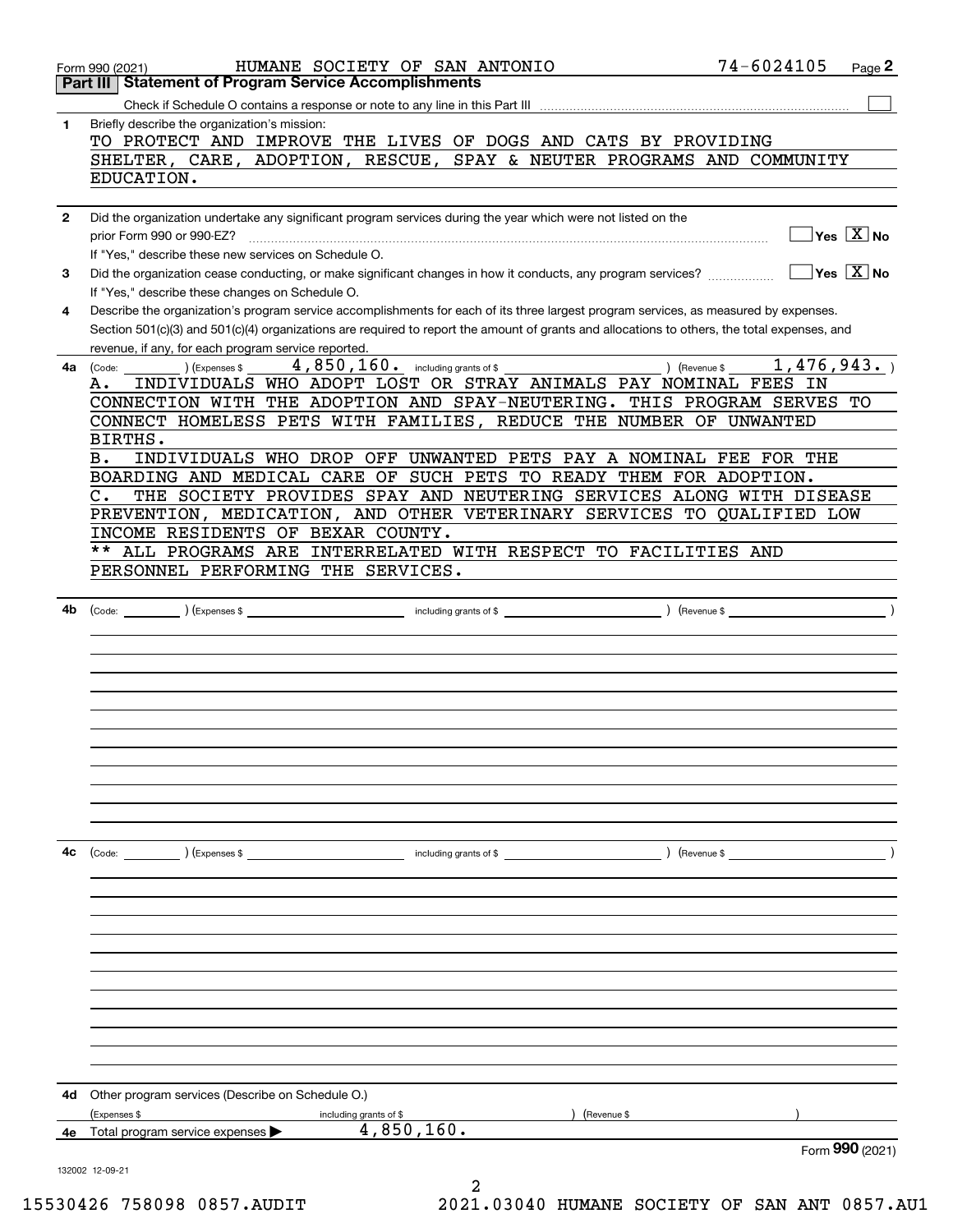|              | HUMANE SOCIETY OF SAN ANTONIO<br>Form 990 (2021)                                                                                                                                        | 74-6024105 | Page 2                                          |
|--------------|-----------------------------------------------------------------------------------------------------------------------------------------------------------------------------------------|------------|-------------------------------------------------|
|              | Part III   Statement of Program Service Accomplishments                                                                                                                                 |            |                                                 |
|              |                                                                                                                                                                                         |            |                                                 |
| 1            | Briefly describe the organization's mission:<br>TO PROTECT AND IMPROVE THE LIVES OF DOGS AND CATS BY PROVIDING                                                                          |            |                                                 |
|              | SHELTER, CARE, ADOPTION, RESCUE, SPAY & NEUTER PROGRAMS AND COMMUNITY                                                                                                                   |            |                                                 |
|              | EDUCATION.                                                                                                                                                                              |            |                                                 |
|              |                                                                                                                                                                                         |            |                                                 |
| $\mathbf{2}$ | Did the organization undertake any significant program services during the year which were not listed on the                                                                            |            |                                                 |
|              | prior Form 990 or 990-EZ?                                                                                                                                                               |            | $\overline{\ }$ Yes $\overline{\phantom{X}}$ No |
|              | If "Yes," describe these new services on Schedule O.                                                                                                                                    |            |                                                 |
| 3            | Did the organization cease conducting, or make significant changes in how it conducts, any program services?                                                                            |            | $\overline{\ }$ Yes $\overline{\mathrm{X}}$ No  |
| 4            | If "Yes," describe these changes on Schedule O.<br>Describe the organization's program service accomplishments for each of its three largest program services, as measured by expenses. |            |                                                 |
|              | Section 501(c)(3) and 501(c)(4) organizations are required to report the amount of grants and allocations to others, the total expenses, and                                            |            |                                                 |
|              | revenue, if any, for each program service reported.<br><u> 1980 - Johann Barbara, martxa al</u>                                                                                         |            |                                                 |
| 4a           | 4,850,160. including grants of \$<br>) (Revenue \$<br>(Expenses \$<br>(Code:                                                                                                            | 1,476,943. |                                                 |
|              | INDIVIDUALS WHO ADOPT LOST OR STRAY ANIMALS PAY NOMINAL FEES IN<br>А.                                                                                                                   |            |                                                 |
|              | CONNECTION WITH THE ADOPTION AND SPAY-NEUTERING. THIS PROGRAM SERVES TO                                                                                                                 |            |                                                 |
|              | CONNECT HOMELESS PETS WITH FAMILIES, REDUCE THE NUMBER OF UNWANTED                                                                                                                      |            |                                                 |
|              | BIRTHS.<br>INDIVIDUALS WHO DROP OFF UNWANTED PETS PAY A NOMINAL FEE FOR THE<br>в.                                                                                                       |            |                                                 |
|              | BOARDING AND MEDICAL CARE OF SUCH PETS TO READY THEM FOR ADOPTION.                                                                                                                      |            |                                                 |
|              | THE SOCIETY PROVIDES SPAY AND NEUTERING SERVICES ALONG WITH DISEASE<br>$\mathbf{C}$ .                                                                                                   |            |                                                 |
|              | PREVENTION, MEDICATION, AND OTHER VETERINARY SERVICES TO QUALIFIED LOW                                                                                                                  |            |                                                 |
|              | INCOME RESIDENTS OF BEXAR COUNTY.                                                                                                                                                       |            |                                                 |
|              | $***$<br>ALL PROGRAMS ARE INTERRELATED WITH RESPECT TO FACILITIES AND                                                                                                                   |            |                                                 |
|              | PERSONNEL PERFORMING THE SERVICES.                                                                                                                                                      |            |                                                 |
| 4b           |                                                                                                                                                                                         |            |                                                 |
|              |                                                                                                                                                                                         |            |                                                 |
|              |                                                                                                                                                                                         |            |                                                 |
|              |                                                                                                                                                                                         |            |                                                 |
|              |                                                                                                                                                                                         |            |                                                 |
|              |                                                                                                                                                                                         |            |                                                 |
|              |                                                                                                                                                                                         |            |                                                 |
|              |                                                                                                                                                                                         |            |                                                 |
|              |                                                                                                                                                                                         |            |                                                 |
|              |                                                                                                                                                                                         |            |                                                 |
|              |                                                                                                                                                                                         |            |                                                 |
|              |                                                                                                                                                                                         |            |                                                 |
| 4с           | (Code: ) (Expenses \$                                                                                                                                                                   |            |                                                 |
|              |                                                                                                                                                                                         |            |                                                 |
|              |                                                                                                                                                                                         |            |                                                 |
|              |                                                                                                                                                                                         |            |                                                 |
|              |                                                                                                                                                                                         |            |                                                 |
|              |                                                                                                                                                                                         |            |                                                 |
|              |                                                                                                                                                                                         |            |                                                 |
|              |                                                                                                                                                                                         |            |                                                 |
|              |                                                                                                                                                                                         |            |                                                 |
|              |                                                                                                                                                                                         |            |                                                 |
|              |                                                                                                                                                                                         |            |                                                 |
| 4d           | Other program services (Describe on Schedule O.)                                                                                                                                        |            |                                                 |
|              | (Expenses \$<br>(Revenue \$<br>including grants of \$<br>4,850,160.                                                                                                                     |            |                                                 |
| 4е           | Total program service expenses                                                                                                                                                          |            | Form $990$ (2021)                               |
|              | 132002 12-09-21                                                                                                                                                                         |            |                                                 |
|              |                                                                                                                                                                                         |            |                                                 |

15530426 758098 0857.AUDIT 2021.03040 HUMANE SOCIETY OF SAN ANT 0857.AU1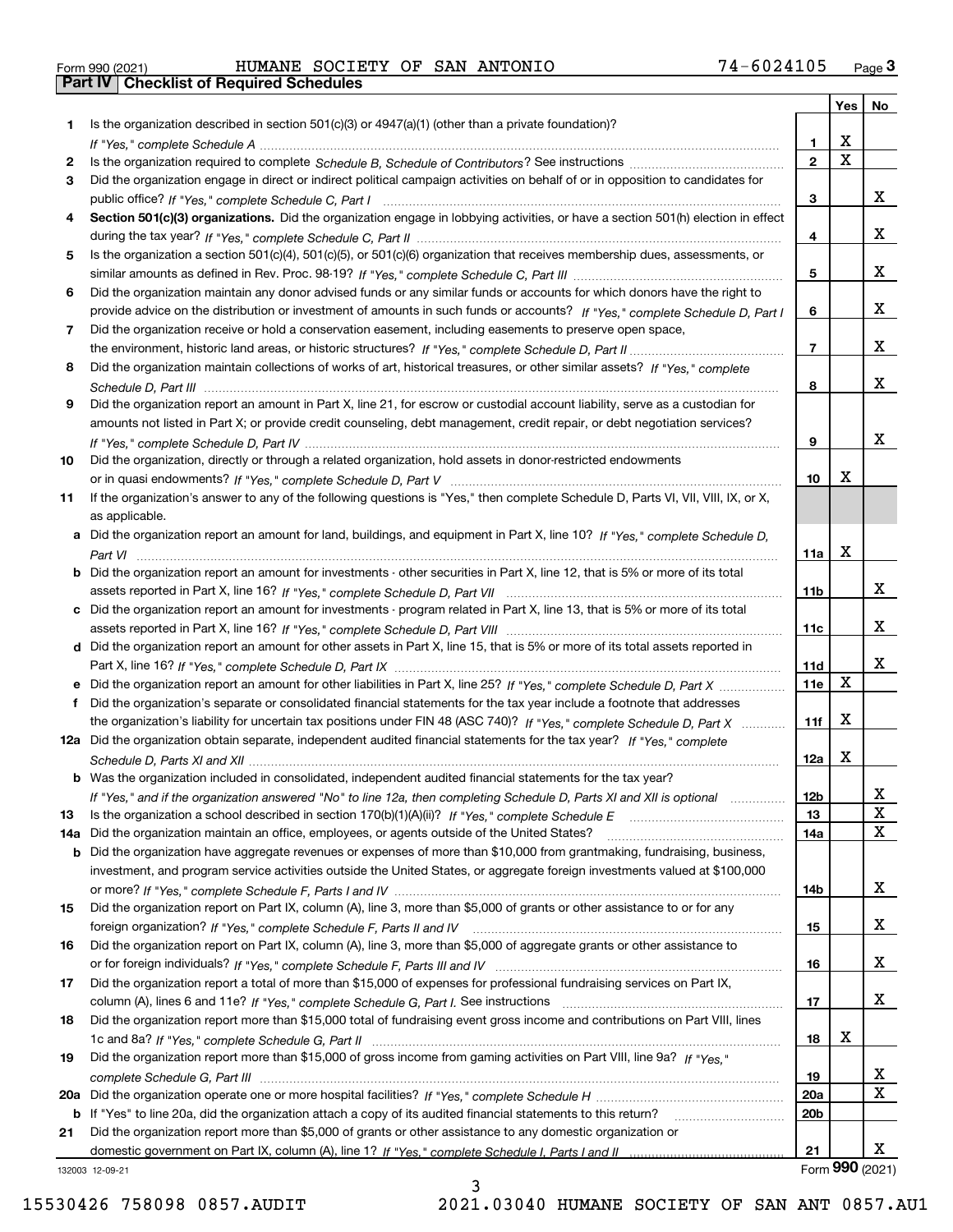|  | Form 990 (2021) |
|--|-----------------|

# Form 990 (2021) HUMANE SOCIETY OF SAN ANTONIO 7 4~6 0 2 4 1 0 5 <sub>Page</sub> 3<br>**Part IV | Checklist of Required Schedules**

|     |                                                                                                                                       |                 | Yes                     | No              |
|-----|---------------------------------------------------------------------------------------------------------------------------------------|-----------------|-------------------------|-----------------|
| 1.  | Is the organization described in section $501(c)(3)$ or $4947(a)(1)$ (other than a private foundation)?                               |                 |                         |                 |
|     |                                                                                                                                       | 1.              | X                       |                 |
| 2   |                                                                                                                                       | $\overline{2}$  | $\overline{\mathbf{x}}$ |                 |
| 3   | Did the organization engage in direct or indirect political campaign activities on behalf of or in opposition to candidates for       |                 |                         |                 |
|     |                                                                                                                                       | 3               |                         | x               |
| 4   | Section 501(c)(3) organizations. Did the organization engage in lobbying activities, or have a section 501(h) election in effect      |                 |                         |                 |
|     |                                                                                                                                       | 4               |                         | x               |
| 5   | Is the organization a section 501(c)(4), 501(c)(5), or 501(c)(6) organization that receives membership dues, assessments, or          |                 |                         |                 |
|     |                                                                                                                                       | 5               |                         | X.              |
| 6   | Did the organization maintain any donor advised funds or any similar funds or accounts for which donors have the right to             |                 |                         |                 |
|     | provide advice on the distribution or investment of amounts in such funds or accounts? If "Yes," complete Schedule D, Part I          | 6               |                         | x               |
| 7   | Did the organization receive or hold a conservation easement, including easements to preserve open space,                             |                 |                         |                 |
|     |                                                                                                                                       | $\overline{7}$  |                         | x               |
| 8   | Did the organization maintain collections of works of art, historical treasures, or other similar assets? If "Yes," complete          |                 |                         |                 |
|     |                                                                                                                                       | 8               |                         | X.              |
| 9   | Did the organization report an amount in Part X, line 21, for escrow or custodial account liability, serve as a custodian for         |                 |                         |                 |
|     | amounts not listed in Part X; or provide credit counseling, debt management, credit repair, or debt negotiation services?             |                 |                         | x               |
|     |                                                                                                                                       | 9               |                         |                 |
| 10  | Did the organization, directly or through a related organization, hold assets in donor-restricted endowments                          |                 | Х                       |                 |
|     |                                                                                                                                       | 10              |                         |                 |
| 11  | If the organization's answer to any of the following questions is "Yes," then complete Schedule D, Parts VI, VII, VIII, IX, or X,     |                 |                         |                 |
|     | as applicable.                                                                                                                        |                 |                         |                 |
|     | a Did the organization report an amount for land, buildings, and equipment in Part X, line 10? If "Yes," complete Schedule D,         | 11a             | Х                       |                 |
|     | <b>b</b> Did the organization report an amount for investments - other securities in Part X, line 12, that is 5% or more of its total |                 |                         |                 |
|     |                                                                                                                                       | 11b             |                         | X.              |
|     | c Did the organization report an amount for investments - program related in Part X, line 13, that is 5% or more of its total         |                 |                         |                 |
|     |                                                                                                                                       | 11c             |                         | X.              |
|     | d Did the organization report an amount for other assets in Part X, line 15, that is 5% or more of its total assets reported in       |                 |                         |                 |
|     |                                                                                                                                       | <b>11d</b>      |                         | x               |
|     | e Did the organization report an amount for other liabilities in Part X, line 25? If "Yes," complete Schedule D, Part X               | 11e             | $\mathbf X$             |                 |
| f   | Did the organization's separate or consolidated financial statements for the tax year include a footnote that addresses               |                 |                         |                 |
|     | the organization's liability for uncertain tax positions under FIN 48 (ASC 740)? If "Yes," complete Schedule D, Part X                | 11f             | х                       |                 |
|     | 12a Did the organization obtain separate, independent audited financial statements for the tax year? If "Yes," complete               |                 |                         |                 |
|     |                                                                                                                                       | 12a             | Х                       |                 |
|     | <b>b</b> Was the organization included in consolidated, independent audited financial statements for the tax year?                    |                 |                         |                 |
|     | If "Yes," and if the organization answered "No" to line 12a, then completing Schedule D, Parts XI and XII is optional manum           | 12b             |                         | ᅀ               |
| 13  |                                                                                                                                       | 13              |                         | X               |
| 14a | Did the organization maintain an office, employees, or agents outside of the United States?                                           | 14a             |                         | х               |
| b   | Did the organization have aggregate revenues or expenses of more than \$10,000 from grantmaking, fundraising, business,               |                 |                         |                 |
|     | investment, and program service activities outside the United States, or aggregate foreign investments valued at \$100,000            |                 |                         |                 |
|     |                                                                                                                                       | 14b             |                         | X.              |
| 15  | Did the organization report on Part IX, column (A), line 3, more than \$5,000 of grants or other assistance to or for any             |                 |                         |                 |
|     |                                                                                                                                       | 15              |                         | X.              |
| 16  | Did the organization report on Part IX, column (A), line 3, more than \$5,000 of aggregate grants or other assistance to              |                 |                         |                 |
|     |                                                                                                                                       | 16              |                         | x               |
| 17  | Did the organization report a total of more than \$15,000 of expenses for professional fundraising services on Part IX,               |                 |                         |                 |
|     |                                                                                                                                       | 17              |                         | x               |
| 18  | Did the organization report more than \$15,000 total of fundraising event gross income and contributions on Part VIII, lines          |                 |                         |                 |
|     |                                                                                                                                       | 18              | х                       |                 |
| 19  | Did the organization report more than \$15,000 of gross income from gaming activities on Part VIII, line 9a? If "Yes."                |                 |                         |                 |
|     |                                                                                                                                       | 19              |                         | X.              |
|     |                                                                                                                                       | <b>20a</b>      |                         | х               |
|     | b If "Yes" to line 20a, did the organization attach a copy of its audited financial statements to this return?                        | 20 <sub>b</sub> |                         |                 |
| 21  | Did the organization report more than \$5,000 of grants or other assistance to any domestic organization or                           |                 |                         |                 |
|     |                                                                                                                                       | 21              |                         | X.              |
|     | 132003 12-09-21                                                                                                                       |                 |                         | Form 990 (2021) |

132003 12-09-21

3 15530426 758098 0857.AUDIT 2021.03040 HUMANE SOCIETY OF SAN ANT 0857.AU1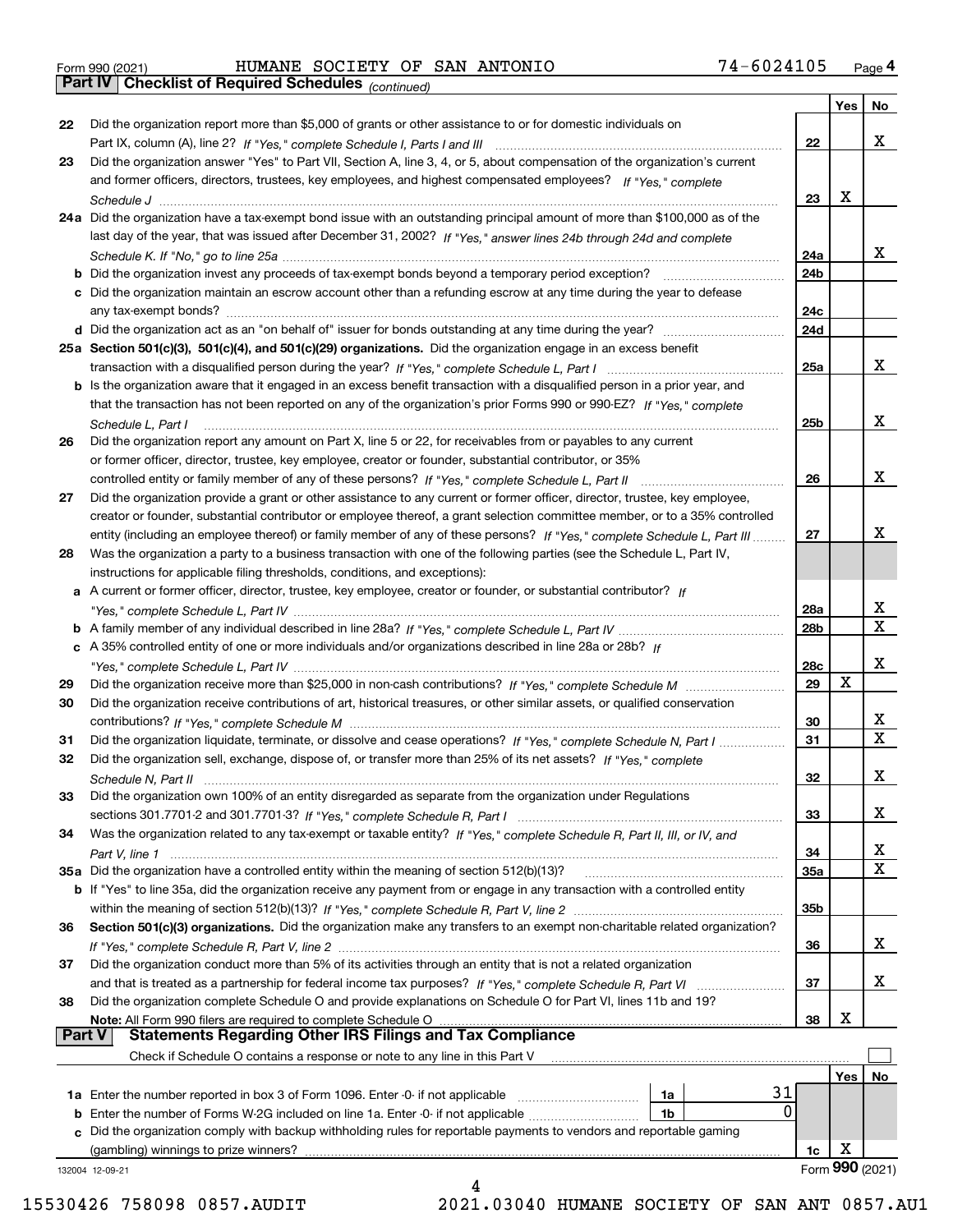|  | Form 990 (2021) |  |
|--|-----------------|--|
|  |                 |  |

Form 990 (2021) HUMANE SOCIETY OF SAN ANTONIO 7 4-6 0 2 4 1 0 5 <sub>Page</sub> 4<br>**Part IV | Checklist of Required Schedules** <sub>(continued)</sub>

*(continued)*

|               |                                                                                                                              |                 | Yes        | No              |
|---------------|------------------------------------------------------------------------------------------------------------------------------|-----------------|------------|-----------------|
| 22            | Did the organization report more than \$5,000 of grants or other assistance to or for domestic individuals on                |                 |            |                 |
|               |                                                                                                                              | 22              |            | x               |
| 23            | Did the organization answer "Yes" to Part VII, Section A, line 3, 4, or 5, about compensation of the organization's current  |                 |            |                 |
|               | and former officers, directors, trustees, key employees, and highest compensated employees? If "Yes," complete               |                 |            |                 |
|               | Schedule J                                                                                                                   | 23              | x          |                 |
|               | 24a Did the organization have a tax-exempt bond issue with an outstanding principal amount of more than \$100,000 as of the  |                 |            |                 |
|               | last day of the year, that was issued after December 31, 2002? If "Yes," answer lines 24b through 24d and complete           |                 |            |                 |
|               |                                                                                                                              | 24a             |            | x               |
|               |                                                                                                                              |                 |            |                 |
|               | <b>b</b> Did the organization invest any proceeds of tax-exempt bonds beyond a temporary period exception?                   | 24b             |            |                 |
|               | c Did the organization maintain an escrow account other than a refunding escrow at any time during the year to defease       |                 |            |                 |
|               | any tax-exempt bonds?                                                                                                        | 24c             |            |                 |
|               | d Did the organization act as an "on behalf of" issuer for bonds outstanding at any time during the year?                    | 24d             |            |                 |
|               | 25a Section 501(c)(3), 501(c)(4), and 501(c)(29) organizations. Did the organization engage in an excess benefit             |                 |            |                 |
|               |                                                                                                                              | 25a             |            | x               |
|               | b Is the organization aware that it engaged in an excess benefit transaction with a disqualified person in a prior year, and |                 |            |                 |
|               | that the transaction has not been reported on any of the organization's prior Forms 990 or 990-EZ? If "Yes," complete        |                 |            |                 |
|               | Schedule L, Part I                                                                                                           | 25b             |            | x               |
| 26            | Did the organization report any amount on Part X, line 5 or 22, for receivables from or payables to any current              |                 |            |                 |
|               |                                                                                                                              |                 |            |                 |
|               | or former officer, director, trustee, key employee, creator or founder, substantial contributor, or 35%                      |                 |            |                 |
|               |                                                                                                                              | 26              |            | х               |
| 27            | Did the organization provide a grant or other assistance to any current or former officer, director, trustee, key employee,  |                 |            |                 |
|               | creator or founder, substantial contributor or employee thereof, a grant selection committee member, or to a 35% controlled  |                 |            |                 |
|               | entity (including an employee thereof) or family member of any of these persons? If "Yes," complete Schedule L, Part III     | 27              |            | х               |
| 28            | Was the organization a party to a business transaction with one of the following parties (see the Schedule L, Part IV,       |                 |            |                 |
|               | instructions for applicable filing thresholds, conditions, and exceptions):                                                  |                 |            |                 |
|               | a A current or former officer, director, trustee, key employee, creator or founder, or substantial contributor? If           |                 |            |                 |
|               |                                                                                                                              | 28a             |            | x               |
|               |                                                                                                                              | 28 <sub>b</sub> |            | $\mathbf{x}$    |
|               | c A 35% controlled entity of one or more individuals and/or organizations described in line 28a or 28b? If                   |                 |            |                 |
|               |                                                                                                                              | 28c             |            | х               |
|               |                                                                                                                              |                 | х          |                 |
| 29            |                                                                                                                              | 29              |            |                 |
| 30            | Did the organization receive contributions of art, historical treasures, or other similar assets, or qualified conservation  |                 |            |                 |
|               |                                                                                                                              | 30              |            | x               |
| 31            | Did the organization liquidate, terminate, or dissolve and cease operations? If "Yes," complete Schedule N, Part I           | 31              |            | $\mathbf x$     |
| 32            | Did the organization sell, exchange, dispose of, or transfer more than 25% of its net assets? If "Yes," complete             |                 |            |                 |
|               | Schedule N, Part II                                                                                                          | 32              |            | х               |
| 33            | Did the organization own 100% of an entity disregarded as separate from the organization under Regulations                   |                 |            |                 |
|               |                                                                                                                              | 33              |            | х               |
| 34            | Was the organization related to any tax-exempt or taxable entity? If "Yes," complete Schedule R, Part II, III, or IV, and    |                 |            |                 |
|               |                                                                                                                              | 34              |            | X               |
|               | 35a Did the organization have a controlled entity within the meaning of section 512(b)(13)?                                  | 35a             |            | X               |
|               | b If "Yes" to line 35a, did the organization receive any payment from or engage in any transaction with a controlled entity  |                 |            |                 |
|               |                                                                                                                              | 35b             |            |                 |
|               |                                                                                                                              |                 |            |                 |
| 36            | Section 501(c)(3) organizations. Did the organization make any transfers to an exempt non-charitable related organization?   |                 |            |                 |
|               |                                                                                                                              | 36              |            | x               |
| 37            | Did the organization conduct more than 5% of its activities through an entity that is not a related organization             |                 |            |                 |
|               | and that is treated as a partnership for federal income tax purposes? If "Yes," complete Schedule R, Part VI                 | 37              |            | x               |
| 38            | Did the organization complete Schedule O and provide explanations on Schedule O for Part VI, lines 11b and 19?               |                 |            |                 |
|               | Note: All Form 990 filers are required to complete Schedule O                                                                | 38              | х          |                 |
| <b>Part V</b> | <b>Statements Regarding Other IRS Filings and Tax Compliance</b>                                                             |                 |            |                 |
|               | Check if Schedule O contains a response or note to any line in this Part V                                                   |                 |            |                 |
|               |                                                                                                                              |                 | <b>Yes</b> | No              |
|               | 31<br>1a                                                                                                                     |                 |            |                 |
|               | 1a Enter the number reported in box 3 of Form 1096. Enter -0- if not applicable<br>0                                         |                 |            |                 |
|               | <b>b</b> Enter the number of Forms W-2G included on line 1a. Enter -0- if not applicable <i>manumumumum</i><br>1b            |                 |            |                 |
|               | c Did the organization comply with backup withholding rules for reportable payments to vendors and reportable gaming         |                 |            |                 |
|               | (gambling) winnings to prize winners?                                                                                        | 1c              | х          |                 |
|               | 132004 12-09-21                                                                                                              |                 |            | Form 990 (2021) |
|               |                                                                                                                              |                 |            |                 |

15530426 758098 0857.AUDIT 2021.03040 HUMANE SOCIETY OF SAN ANT 0857.AU1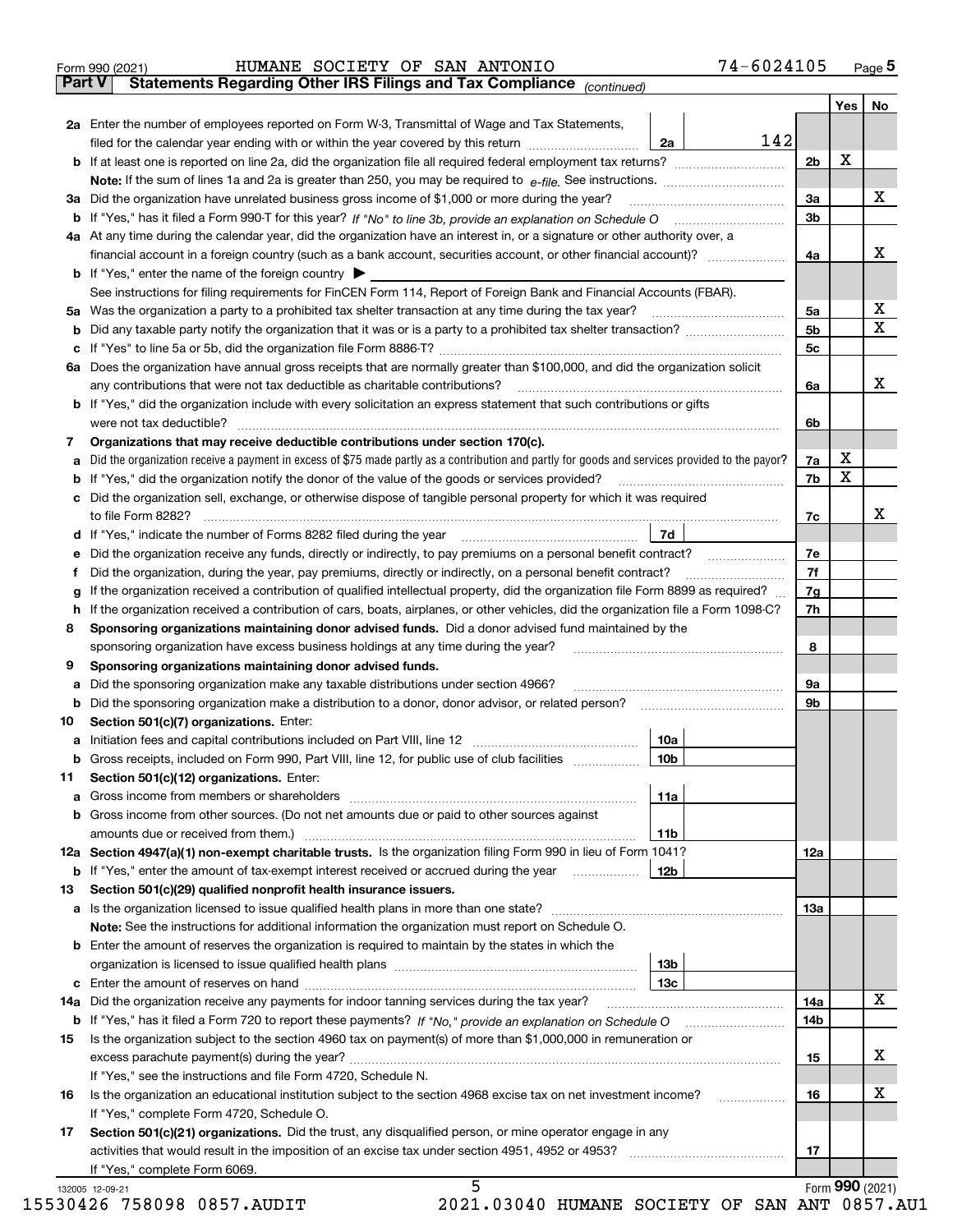|               | 74-6024105<br>HUMANE SOCIETY OF SAN ANTONIO<br>Form 990 (2021)                                                                                  |                |     | $_{\text{Page}}$ 5 |
|---------------|-------------------------------------------------------------------------------------------------------------------------------------------------|----------------|-----|--------------------|
| <b>Part V</b> | Statements Regarding Other IRS Filings and Tax Compliance (continued)                                                                           |                |     |                    |
|               |                                                                                                                                                 |                | Yes | No                 |
|               | 2a Enter the number of employees reported on Form W-3, Transmittal of Wage and Tax Statements,                                                  |                |     |                    |
|               | 142<br>filed for the calendar year ending with or within the year covered by this return<br>2a                                                  |                |     |                    |
|               |                                                                                                                                                 | 2 <sub>b</sub> | x   |                    |
|               |                                                                                                                                                 |                |     |                    |
| За            | Did the organization have unrelated business gross income of \$1,000 or more during the year?                                                   | 3a             |     | x                  |
| b             |                                                                                                                                                 | 3 <sub>b</sub> |     |                    |
|               | 4a At any time during the calendar year, did the organization have an interest in, or a signature or other authority over, a                    |                |     |                    |
|               |                                                                                                                                                 | 4a             |     | x                  |
|               | <b>b</b> If "Yes," enter the name of the foreign country $\blacktriangleright$                                                                  |                |     |                    |
|               | See instructions for filing requirements for FinCEN Form 114, Report of Foreign Bank and Financial Accounts (FBAR).                             |                |     |                    |
| 5a            | Was the organization a party to a prohibited tax shelter transaction at any time during the tax year?                                           | 5a             |     | х                  |
| b             |                                                                                                                                                 | 5 <sub>b</sub> |     | x                  |
| с             |                                                                                                                                                 | 5c             |     |                    |
|               | 6a Does the organization have annual gross receipts that are normally greater than \$100,000, and did the organization solicit                  |                |     |                    |
|               | any contributions that were not tax deductible as charitable contributions?                                                                     | 6a             |     | x                  |
|               | <b>b</b> If "Yes," did the organization include with every solicitation an express statement that such contributions or gifts                   |                |     |                    |
|               | were not tax deductible?                                                                                                                        | 6b             |     |                    |
| 7             | Organizations that may receive deductible contributions under section 170(c).                                                                   |                |     |                    |
|               | Did the organization receive a payment in excess of \$75 made partly as a contribution and partly for goods and services provided to the payor? |                | х   |                    |
| а             | If "Yes," did the organization notify the donor of the value of the goods or services provided?                                                 | 7a<br>7b       | х   |                    |
| b             |                                                                                                                                                 |                |     |                    |
|               | Did the organization sell, exchange, or otherwise dispose of tangible personal property for which it was required                               |                |     | x                  |
|               |                                                                                                                                                 | 7c             |     |                    |
| d             | 7d                                                                                                                                              |                |     |                    |
| е             |                                                                                                                                                 | 7e             |     |                    |
| f             | Did the organization, during the year, pay premiums, directly or indirectly, on a personal benefit contract?                                    | 7f             |     |                    |
| g             | If the organization received a contribution of qualified intellectual property, did the organization file Form 8899 as required?                | 7g             |     |                    |
| h             | If the organization received a contribution of cars, boats, airplanes, or other vehicles, did the organization file a Form 1098-C?              | 7h             |     |                    |
| 8             | Sponsoring organizations maintaining donor advised funds. Did a donor advised fund maintained by the                                            |                |     |                    |
|               | sponsoring organization have excess business holdings at any time during the year?                                                              | 8              |     |                    |
| 9             | Sponsoring organizations maintaining donor advised funds.                                                                                       |                |     |                    |
| а             | Did the sponsoring organization make any taxable distributions under section 4966?                                                              | 9а             |     |                    |
| b             | Did the sponsoring organization make a distribution to a donor, donor advisor, or related person?                                               | 9b             |     |                    |
| 10            | Section 501(c)(7) organizations. Enter:                                                                                                         |                |     |                    |
| а             | 10a                                                                                                                                             |                |     |                    |
|               | 10b<br>Gross receipts, included on Form 990, Part VIII, line 12, for public use of club facilities                                              |                |     |                    |
| 11            | Section 501(c)(12) organizations. Enter:                                                                                                        |                |     |                    |
| а             | 11a<br>Gross income from members or shareholders                                                                                                |                |     |                    |
| b             | Gross income from other sources. (Do not net amounts due or paid to other sources against                                                       |                |     |                    |
|               | 11 <sub>b</sub><br>amounts due or received from them.)                                                                                          |                |     |                    |
|               | 12a Section 4947(a)(1) non-exempt charitable trusts. Is the organization filing Form 990 in lieu of Form 1041?                                  | 12a            |     |                    |
|               | <b>12b</b><br><b>b</b> If "Yes," enter the amount of tax-exempt interest received or accrued during the year <i>manument</i>                    |                |     |                    |
| 13            | Section 501(c)(29) qualified nonprofit health insurance issuers.                                                                                |                |     |                    |
| a             | Is the organization licensed to issue qualified health plans in more than one state?                                                            | 13а            |     |                    |
|               | Note: See the instructions for additional information the organization must report on Schedule O.                                               |                |     |                    |
| b             | Enter the amount of reserves the organization is required to maintain by the states in which the                                                |                |     |                    |
|               | 13 <sub>b</sub>                                                                                                                                 |                |     |                    |
| с             | 13 <sub>c</sub>                                                                                                                                 |                |     |                    |
| 14a           | Did the organization receive any payments for indoor tanning services during the tax year?                                                      | 14a            |     | x                  |
|               | <b>b</b> If "Yes," has it filed a Form 720 to report these payments? If "No," provide an explanation on Schedule O                              | 14b            |     |                    |
| 15            | Is the organization subject to the section 4960 tax on payment(s) of more than \$1,000,000 in remuneration or                                   |                |     |                    |
|               |                                                                                                                                                 | 15             |     | x                  |
|               | If "Yes," see the instructions and file Form 4720, Schedule N.                                                                                  |                |     |                    |
| 16            | Is the organization an educational institution subject to the section 4968 excise tax on net investment income?                                 | 16             |     | х                  |
|               | If "Yes," complete Form 4720, Schedule O.                                                                                                       |                |     |                    |
| 17            | Section 501(c)(21) organizations. Did the trust, any disqualified person, or mine operator engage in any                                        |                |     |                    |
|               | activities that would result in the imposition of an excise tax under section 4951, 4952 or 4953?                                               | 17             |     |                    |
|               | If "Yes," complete Form 6069.                                                                                                                   |                |     |                    |
|               | 5<br>132005 12-09-21                                                                                                                            |                |     | Form 990 (2021)    |

Form **YYU** (2021)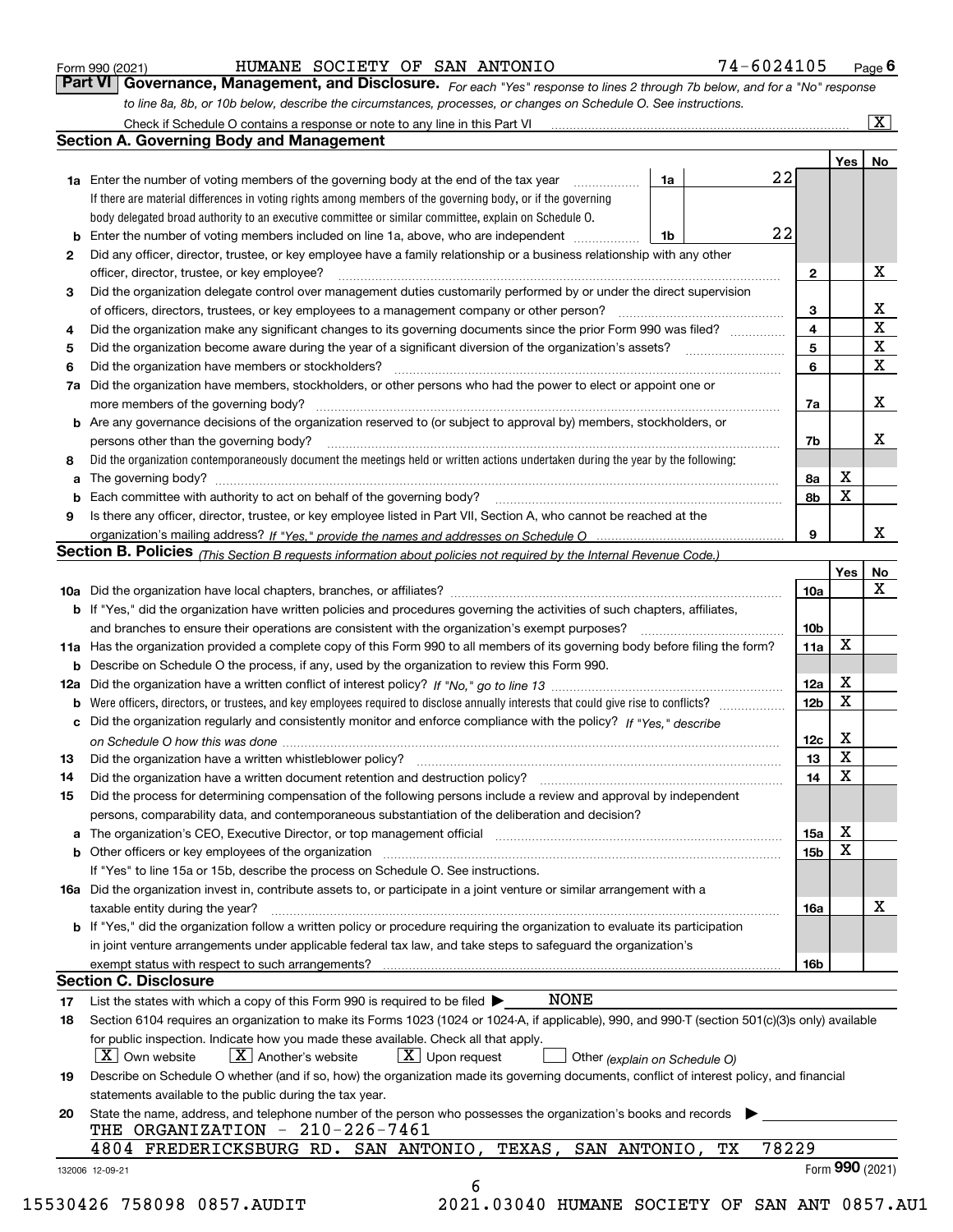|    |                                                                                                                                                                            |    |    |       |                 | Yes   No        |                         |
|----|----------------------------------------------------------------------------------------------------------------------------------------------------------------------------|----|----|-------|-----------------|-----------------|-------------------------|
|    | <b>1a</b> Enter the number of voting members of the governing body at the end of the tax year                                                                              | 1a |    | 22    |                 |                 |                         |
|    | If there are material differences in voting rights among members of the governing body, or if the governing                                                                |    |    |       |                 |                 |                         |
|    | body delegated broad authority to an executive committee or similar committee, explain on Schedule O.                                                                      |    |    |       |                 |                 |                         |
| b  | Enter the number of voting members included on line 1a, above, who are independent                                                                                         | 1b |    | 22    |                 |                 |                         |
| 2  | Did any officer, director, trustee, or key employee have a family relationship or a business relationship with any other                                                   |    |    |       |                 |                 |                         |
|    | officer, director, trustee, or key employee?                                                                                                                               |    |    |       | 2               |                 | х                       |
| З  | Did the organization delegate control over management duties customarily performed by or under the direct supervision                                                      |    |    |       |                 |                 |                         |
|    | of officers, directors, trustees, or key employees to a management company or other person?                                                                                |    |    |       | 3               |                 | $\mathbf{X}$            |
| 4  | Did the organization make any significant changes to its governing documents since the prior Form 990 was filed?                                                           |    |    |       | 4               |                 | $\overline{\mathtt{x}}$ |
| 5  | Did the organization become aware during the year of a significant diversion of the organization's assets?                                                                 |    |    |       | 5               |                 | $\overline{\mathbf{x}}$ |
| 6  | Did the organization have members or stockholders?                                                                                                                         |    |    |       | 6               |                 | X                       |
| 7a | Did the organization have members, stockholders, or other persons who had the power to elect or appoint one or                                                             |    |    |       |                 |                 |                         |
|    |                                                                                                                                                                            |    |    |       | 7a              |                 | X                       |
|    | <b>b</b> Are any governance decisions of the organization reserved to (or subject to approval by) members, stockholders, or                                                |    |    |       |                 |                 |                         |
|    | persons other than the governing body?                                                                                                                                     |    |    |       | 7b              |                 | х                       |
| 8  | Did the organization contemporaneously document the meetings held or written actions undertaken during the year by the following:                                          |    |    |       |                 |                 |                         |
| a  |                                                                                                                                                                            |    |    |       | 8а              | x               |                         |
| b  |                                                                                                                                                                            |    |    |       | 8b              | X               |                         |
| 9  | Is there any officer, director, trustee, or key employee listed in Part VII, Section A, who cannot be reached at the                                                       |    |    |       |                 |                 |                         |
|    |                                                                                                                                                                            |    |    |       | 9               |                 | x                       |
|    | Section B. Policies (This Section B requests information about policies not required by the Internal Revenue Code.)                                                        |    |    |       |                 |                 |                         |
|    |                                                                                                                                                                            |    |    |       |                 | Yes             | No                      |
|    |                                                                                                                                                                            |    |    |       | 10a             |                 | X                       |
|    | <b>b</b> If "Yes," did the organization have written policies and procedures governing the activities of such chapters, affiliates,                                        |    |    |       |                 |                 |                         |
|    |                                                                                                                                                                            |    |    |       | 10 <sub>b</sub> |                 |                         |
|    | 11a Has the organization provided a complete copy of this Form 990 to all members of its governing body before filing the form?                                            |    |    |       | 11a             | x               |                         |
|    | <b>b</b> Describe on Schedule O the process, if any, used by the organization to review this Form 990.                                                                     |    |    |       |                 |                 |                         |
|    |                                                                                                                                                                            |    |    |       | 12a             | X               |                         |
| b  |                                                                                                                                                                            |    |    |       | 12 <sub>b</sub> | X               |                         |
|    | c Did the organization regularly and consistently monitor and enforce compliance with the policy? If "Yes." describe                                                       |    |    |       |                 |                 |                         |
|    |                                                                                                                                                                            |    |    |       | 12c             | X               |                         |
| 13 |                                                                                                                                                                            |    |    |       | 13              | X               |                         |
| 14 | Did the organization have a written document retention and destruction policy? manufactured and the organization have a written document retention and destruction policy? |    |    |       | 14              | X               |                         |
| 15 | Did the process for determining compensation of the following persons include a review and approval by independent                                                         |    |    |       |                 |                 |                         |
|    | persons, comparability data, and contemporaneous substantiation of the deliberation and decision?                                                                          |    |    |       |                 |                 |                         |
|    |                                                                                                                                                                            |    |    |       | 15a             | X               |                         |
|    |                                                                                                                                                                            |    |    |       | 15 <sub>b</sub> | $\mathbf X$     |                         |
|    | If "Yes" to line 15a or 15b, describe the process on Schedule O. See instructions.                                                                                         |    |    |       |                 |                 |                         |
|    | 16a Did the organization invest in, contribute assets to, or participate in a joint venture or similar arrangement with a                                                  |    |    |       |                 |                 |                         |
|    | taxable entity during the year?                                                                                                                                            |    |    |       | 16a             |                 | X                       |
|    | b If "Yes," did the organization follow a written policy or procedure requiring the organization to evaluate its participation                                             |    |    |       |                 |                 |                         |
|    | in joint venture arrangements under applicable federal tax law, and take steps to safequard the organization's                                                             |    |    |       |                 |                 |                         |
|    | exempt status with respect to such arrangements?                                                                                                                           |    |    |       | 16b             |                 |                         |
|    | <b>Section C. Disclosure</b>                                                                                                                                               |    |    |       |                 |                 |                         |
| 17 | <b>NONE</b><br>List the states with which a copy of this Form 990 is required to be filed $\blacktriangleright$                                                            |    |    |       |                 |                 |                         |
| 18 | Section 6104 requires an organization to make its Forms 1023 (1024 or 1024-A, if applicable), 990, and 990-T (section 501(c)(3)s only) available                           |    |    |       |                 |                 |                         |
|    | for public inspection. Indicate how you made these available. Check all that apply.                                                                                        |    |    |       |                 |                 |                         |
|    | $X$ Upon request<br>$\lfloor x \rfloor$ Own website<br>$X$ Another's website<br>Other (explain on Schedule O)                                                              |    |    |       |                 |                 |                         |
| 19 | Describe on Schedule O whether (and if so, how) the organization made its governing documents, conflict of interest policy, and financial                                  |    |    |       |                 |                 |                         |
|    | statements available to the public during the tax year.                                                                                                                    |    |    |       |                 |                 |                         |
| 20 | State the name, address, and telephone number of the person who possesses the organization's books and records                                                             |    |    |       |                 |                 |                         |
|    | THE ORGANIZATION - 210-226-7461                                                                                                                                            |    |    |       |                 |                 |                         |
|    | 4804 FREDERICKSBURG RD. SAN ANTONIO, TEXAS, SAN ANTONIO,                                                                                                                   |    | TХ | 78229 |                 |                 |                         |
|    | 132006 12-09-21                                                                                                                                                            |    |    |       |                 | Form 990 (2021) |                         |
|    |                                                                                                                                                                            |    |    |       |                 |                 |                         |

*For each "Yes" response to lines 2 through 7b below, and for a "No" response to line 8a, 8b, or 10b below, describe the circumstances, processes, or changes on Schedule O. See instructions.* Form 990 (2021) **1990 (2021)** HUMANE SOCIETY OF SAN ANTONIO **1998 1-6024105** Page 6<br>**Part VI Governance, Management, and Disclosure.** For each "Yes" response to lines 2 through 7b below, and for a "No" response

**Section A. Governing Body and Management**

Check if Schedule O contains a response or note to any line in this Part VI

HUMANE SOCIETY OF SAN ANTONIO 74-6024105

 $\boxed{\text{X}}$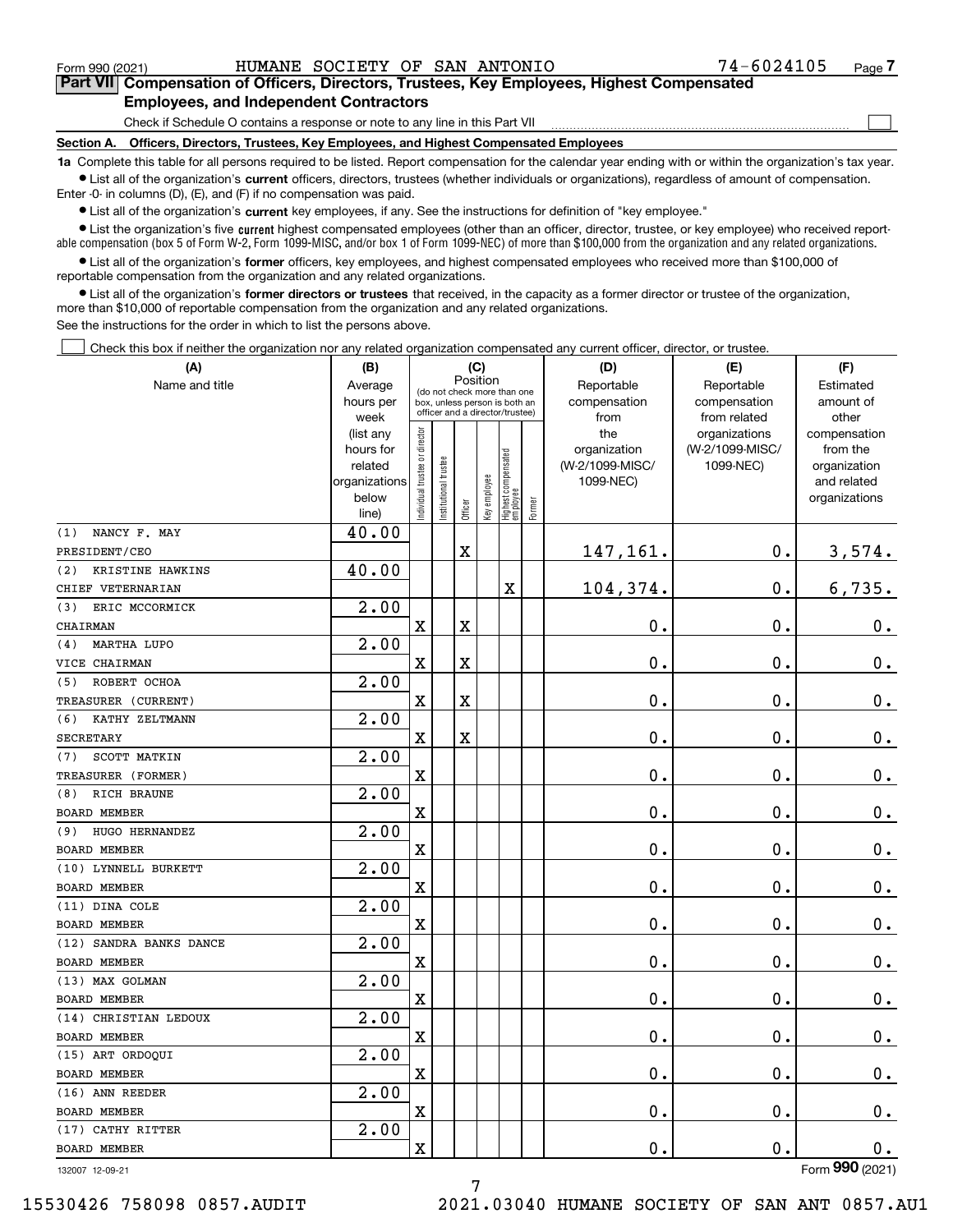$_{\rm Form}$   $_{990}$  (2021) <code>HUMANE SOCIETY OF SAN ANTONIO</code>  $74\text{--}6024105$   $_{\rm Page}$ 

 $\mathcal{L}^{\text{max}}$ 

## **7Part VII Compensation of Officers, Directors, Trustees, Key Employees, Highest Compensated Employees, and Independent Contractors**

Check if Schedule O contains a response or note to any line in this Part VII

**Section A. Officers, Directors, Trustees, Key Employees, and Highest Compensated Employees**

**1a**  Complete this table for all persons required to be listed. Report compensation for the calendar year ending with or within the organization's tax year. **•** List all of the organization's current officers, directors, trustees (whether individuals or organizations), regardless of amount of compensation.

Enter -0- in columns (D), (E), and (F) if no compensation was paid.

 $\bullet$  List all of the organization's  $\sf current$  key employees, if any. See the instructions for definition of "key employee."

**•** List the organization's five current highest compensated employees (other than an officer, director, trustee, or key employee) who received reportable compensation (box 5 of Form W-2, Form 1099-MISC, and/or box 1 of Form 1099-NEC) of more than \$100,000 from the organization and any related organizations.

**•** List all of the organization's former officers, key employees, and highest compensated employees who received more than \$100,000 of reportable compensation from the organization and any related organizations.

**former directors or trustees**  ¥ List all of the organization's that received, in the capacity as a former director or trustee of the organization, more than \$10,000 of reportable compensation from the organization and any related organizations.

See the instructions for the order in which to list the persons above.

Check this box if neither the organization nor any related organization compensated any current officer, director, or trustee.  $\mathcal{L}^{\text{max}}$ 

| (A)                       | (B)<br>(C)               |                                         |                                 |             |              |                                  | (D)    | (E)                          | (F)             |                             |
|---------------------------|--------------------------|-----------------------------------------|---------------------------------|-------------|--------------|----------------------------------|--------|------------------------------|-----------------|-----------------------------|
| Name and title            | Average                  | Position<br>(do not check more than one |                                 |             |              |                                  |        | Reportable                   | Reportable      | Estimated                   |
|                           | hours per                | box, unless person is both an           |                                 |             |              |                                  |        | compensation                 | compensation    | amount of                   |
|                           | week                     |                                         | officer and a director/trustee) |             |              |                                  |        | from                         | from related    | other                       |
|                           | (list any                |                                         |                                 |             |              |                                  |        | the                          | organizations   | compensation                |
|                           | hours for                |                                         |                                 |             |              |                                  |        | organization                 | (W-2/1099-MISC/ | from the                    |
|                           | related<br>organizations |                                         |                                 |             |              |                                  |        | (W-2/1099-MISC/<br>1099-NEC) | 1099-NEC)       | organization<br>and related |
|                           | below                    |                                         |                                 |             |              |                                  |        |                              |                 | organizations               |
|                           | line)                    | ndividual trustee or director           | Institutional trustee           | Officer     | Key employee | Highest compensated<br> employee | Former |                              |                 |                             |
| NANCY F. MAY<br>(1)       | 40.00                    |                                         |                                 |             |              |                                  |        |                              |                 |                             |
| PRESIDENT/CEO             |                          |                                         |                                 | X           |              |                                  |        | 147,161.                     | $\mathbf 0$ .   | 3,574.                      |
| KRISTINE HAWKINS<br>(2)   | 40.00                    |                                         |                                 |             |              |                                  |        |                              |                 |                             |
| CHIEF VETERNARIAN         |                          |                                         |                                 |             |              | X                                |        | 104,374.                     | $\mathbf 0$ .   | 6,735.                      |
| ERIC MCCORMICK<br>(3)     | 2.00                     |                                         |                                 |             |              |                                  |        |                              |                 |                             |
| CHAIRMAN                  |                          | $\overline{\mathbf{X}}$                 |                                 | $\mathbf X$ |              |                                  |        | 0.                           | 0.              | 0.                          |
| <b>MARTHA LUPO</b><br>(4) | 2.00                     |                                         |                                 |             |              |                                  |        |                              |                 |                             |
| VICE CHAIRMAN             |                          | X                                       |                                 | $\mathbf X$ |              |                                  |        | 0.                           | 0.              | $0_{.}$                     |
| ROBERT OCHOA<br>(5)       | 2.00                     |                                         |                                 |             |              |                                  |        |                              |                 |                             |
| TREASURER (CURRENT)       |                          | X                                       |                                 | $\mathbf X$ |              |                                  |        | 0.                           | 0.              | 0.                          |
| KATHY ZELTMANN<br>(6)     | 2.00                     |                                         |                                 |             |              |                                  |        |                              |                 |                             |
| <b>SECRETARY</b>          |                          | X                                       |                                 | $\mathbf X$ |              |                                  |        | 0.                           | 0.              | $0_{.}$                     |
| SCOTT MATKIN<br>(7)       | 2.00                     |                                         |                                 |             |              |                                  |        |                              |                 |                             |
| TREASURER (FORMER)        |                          | X                                       |                                 |             |              |                                  |        | 0.                           | 0.              | $0_{.}$                     |
| RICH BRAUNE<br>(8)        | 2.00                     |                                         |                                 |             |              |                                  |        |                              |                 |                             |
| <b>BOARD MEMBER</b>       |                          | X                                       |                                 |             |              |                                  |        | 0.                           | 0.              | $0_{.}$                     |
| HUGO HERNANDEZ<br>(9)     | 2.00                     |                                         |                                 |             |              |                                  |        |                              |                 |                             |
| <b>BOARD MEMBER</b>       |                          | X                                       |                                 |             |              |                                  |        | 0.                           | 0.              | $\mathbf 0$ .               |
| (10) LYNNELL BURKETT      | 2.00                     |                                         |                                 |             |              |                                  |        |                              |                 |                             |
| <b>BOARD MEMBER</b>       |                          | X                                       |                                 |             |              |                                  |        | 0.                           | 0.              | $\mathbf 0$ .               |
| (11) DINA COLE            | 2.00                     |                                         |                                 |             |              |                                  |        |                              |                 |                             |
| <b>BOARD MEMBER</b>       |                          | X                                       |                                 |             |              |                                  |        | 0.                           | 0.              | $\mathbf 0$ .               |
| (12) SANDRA BANKS DANCE   | 2.00                     |                                         |                                 |             |              |                                  |        |                              |                 |                             |
| <b>BOARD MEMBER</b>       |                          | X                                       |                                 |             |              |                                  |        | 0.                           | 0.              | 0.                          |
| (13) MAX GOLMAN           | 2.00                     |                                         |                                 |             |              |                                  |        |                              |                 |                             |
| <b>BOARD MEMBER</b>       |                          | X                                       |                                 |             |              |                                  |        | 0.                           | $\mathbf 0$ .   | 0.                          |
| (14) CHRISTIAN LEDOUX     | 2.00                     |                                         |                                 |             |              |                                  |        |                              |                 |                             |
| BOARD MEMBER              |                          | $\mathbf X$                             |                                 |             |              |                                  |        | 0.                           | $\mathbf 0$ .   | 0.                          |
| (15) ART ORDOQUI          | 2.00                     |                                         |                                 |             |              |                                  |        |                              |                 |                             |
| BOARD MEMBER              |                          | $\mathbf X$                             |                                 |             |              |                                  |        | $\mathbf 0$ .                | $\mathbf 0$ .   | 0.                          |
| (16) ANN REEDER           | 2.00                     |                                         |                                 |             |              |                                  |        |                              |                 |                             |
| BOARD MEMBER              |                          | $\mathbf X$                             |                                 |             |              |                                  |        | 0.                           | $\mathbf 0$ .   | $0_{\cdot}$                 |
| (17) CATHY RITTER         | 2.00                     |                                         |                                 |             |              |                                  |        |                              |                 |                             |
| BOARD MEMBER              |                          | $\mathbf X$                             |                                 |             |              |                                  |        | 0.                           | $\mathbf 0$ .   | 0.                          |
| 132007 12-09-21           |                          |                                         |                                 |             |              |                                  |        |                              |                 | Form 990 (2021)             |

132007 12-09-21

7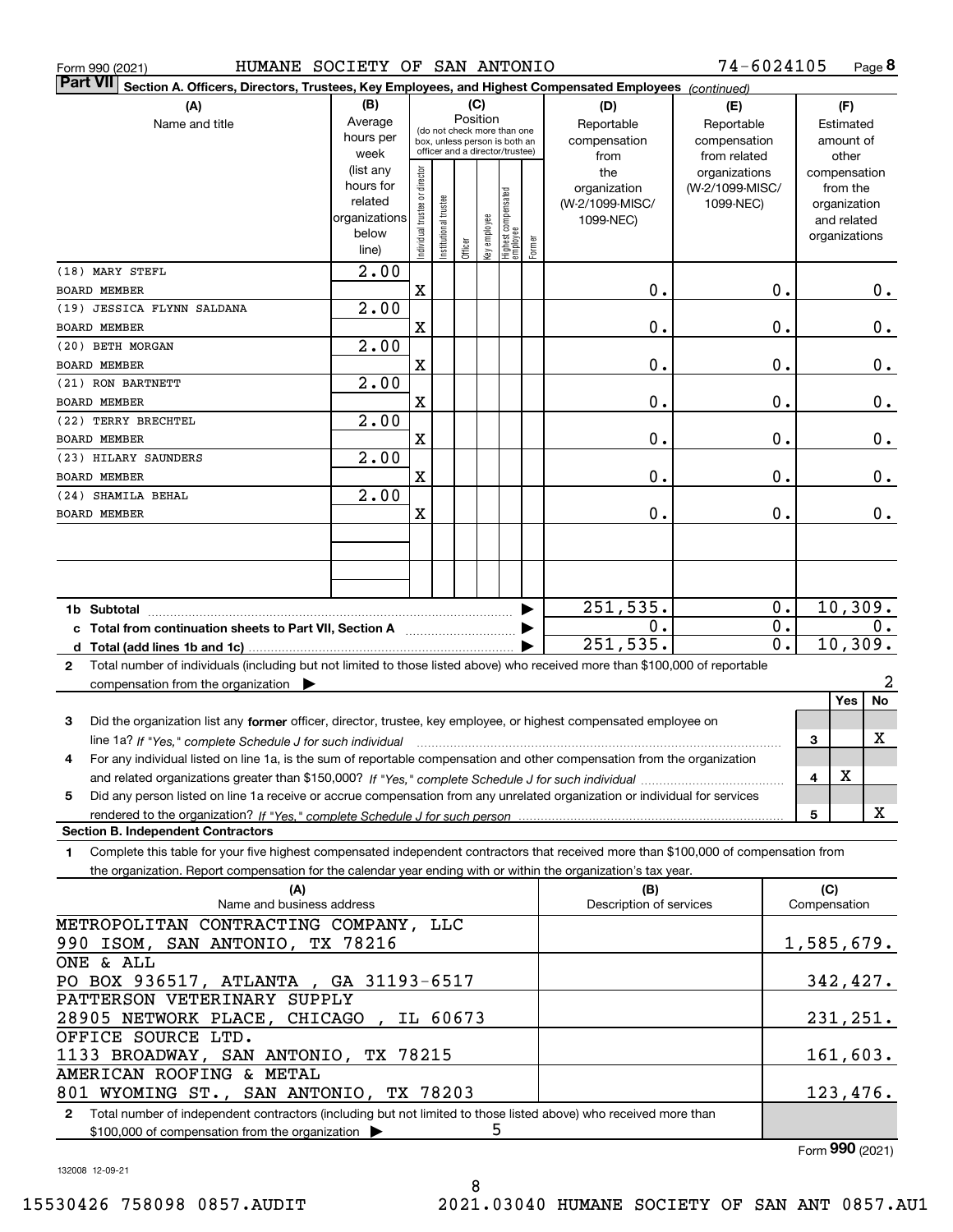| HUMANE SOCIETY OF SAN ANTONIO<br>Form 990 (2021)                                                                                                                                                 |                                                    |                                |                                 |         |     |                                                 |        |                         | 74-6024105      |                  |     |                              | Page 8 |
|--------------------------------------------------------------------------------------------------------------------------------------------------------------------------------------------------|----------------------------------------------------|--------------------------------|---------------------------------|---------|-----|-------------------------------------------------|--------|-------------------------|-----------------|------------------|-----|------------------------------|--------|
| <b>Part VII</b><br>Section A. Officers, Directors, Trustees, Key Employees, and Highest Compensated Employees (continued)                                                                        |                                                    |                                |                                 |         |     |                                                 |        |                         |                 |                  |     |                              |        |
| (A)                                                                                                                                                                                              | (B)                                                |                                |                                 |         | (C) |                                                 |        | (D)                     | (E)             |                  |     | (F)                          |        |
| Name and title                                                                                                                                                                                   | Position<br>Average<br>(do not check more than one |                                |                                 |         |     |                                                 |        | Reportable              | Reportable      |                  |     | Estimated                    |        |
|                                                                                                                                                                                                  | hours per                                          |                                | box, unless person is both an   |         |     |                                                 |        | compensation            | compensation    |                  |     | amount of                    |        |
|                                                                                                                                                                                                  | week                                               |                                | officer and a director/trustee) |         |     |                                                 |        | from                    | from related    |                  |     | other                        |        |
|                                                                                                                                                                                                  | (list any                                          |                                |                                 |         |     |                                                 |        | the                     | organizations   |                  |     | compensation                 |        |
|                                                                                                                                                                                                  | hours for<br>related                               |                                |                                 |         |     |                                                 |        | organization            | (W-2/1099-MISC/ |                  |     | from the                     |        |
|                                                                                                                                                                                                  | organizations                                      |                                |                                 |         |     |                                                 |        | (W-2/1099-MISC/         | 1099-NEC)       |                  |     | organization                 |        |
|                                                                                                                                                                                                  | below                                              |                                |                                 |         |     |                                                 |        | 1099-NEC)               |                 |                  |     | and related<br>organizations |        |
|                                                                                                                                                                                                  | line)                                              | Individual trustee or director | nstitutional trustee            | Officer |     | key employee<br>Highest compensated<br>employee | Former |                         |                 |                  |     |                              |        |
| (18) MARY STEFL                                                                                                                                                                                  | $\overline{2.00}$                                  |                                |                                 |         |     |                                                 |        |                         |                 |                  |     |                              |        |
| <b>BOARD MEMBER</b>                                                                                                                                                                              |                                                    | X                              |                                 |         |     |                                                 |        | 0.                      |                 | 0.               |     |                              | О.     |
| (19) JESSICA FLYNN SALDANA                                                                                                                                                                       | $\overline{2.00}$                                  |                                |                                 |         |     |                                                 |        |                         |                 |                  |     |                              |        |
| <b>BOARD MEMBER</b>                                                                                                                                                                              |                                                    | X                              |                                 |         |     |                                                 |        | 0.                      |                 | 0.               |     |                              | 0.     |
| (20) BETH MORGAN                                                                                                                                                                                 | $\overline{2.00}$                                  |                                |                                 |         |     |                                                 |        |                         |                 |                  |     |                              |        |
| <b>BOARD MEMBER</b>                                                                                                                                                                              |                                                    | X                              |                                 |         |     |                                                 |        | 0.                      |                 | 0.               |     |                              | 0.     |
| (21) RON BARTNETT                                                                                                                                                                                | $\overline{2.00}$                                  |                                |                                 |         |     |                                                 |        |                         |                 |                  |     |                              |        |
| <b>BOARD MEMBER</b>                                                                                                                                                                              |                                                    | X                              |                                 |         |     |                                                 |        | 0.                      |                 | 0.               |     |                              | 0.     |
| (22) TERRY BRECHTEL                                                                                                                                                                              | $\overline{2.00}$                                  |                                |                                 |         |     |                                                 |        |                         |                 |                  |     |                              |        |
| <b>BOARD MEMBER</b>                                                                                                                                                                              |                                                    | X                              |                                 |         |     |                                                 |        | 0.                      |                 | 0.               |     |                              | $0$ .  |
| (23) HILARY SAUNDERS                                                                                                                                                                             | $\overline{2.00}$                                  |                                |                                 |         |     |                                                 |        |                         |                 |                  |     |                              |        |
| <b>BOARD MEMBER</b><br>(24) SHAMILA BEHAL                                                                                                                                                        | $\overline{2.00}$                                  | X                              |                                 |         |     |                                                 |        | 0.                      |                 | 0.               |     |                              | $0$ .  |
| <b>BOARD MEMBER</b>                                                                                                                                                                              |                                                    | X                              |                                 |         |     |                                                 |        | 0.                      |                 | 0.               |     |                              | $0$ .  |
|                                                                                                                                                                                                  |                                                    |                                |                                 |         |     |                                                 |        |                         |                 |                  |     |                              |        |
|                                                                                                                                                                                                  |                                                    |                                |                                 |         |     |                                                 |        |                         |                 |                  |     |                              |        |
|                                                                                                                                                                                                  |                                                    |                                |                                 |         |     |                                                 |        |                         |                 |                  |     |                              |        |
|                                                                                                                                                                                                  |                                                    |                                |                                 |         |     |                                                 |        | 251,535.                |                 | $0$ .            |     | 10,309.                      |        |
| c Total from continuation sheets to Part VII, Section A                                                                                                                                          |                                                    |                                |                                 |         |     |                                                 |        | 0.                      |                 | $\overline{0}$ . |     |                              | О.     |
|                                                                                                                                                                                                  |                                                    |                                |                                 |         |     |                                                 |        | 251, 535.               |                 | $\overline{0}$ . |     | 10,309.                      |        |
| Total number of individuals (including but not limited to those listed above) who received more than \$100,000 of reportable<br>$\mathbf{2}$                                                     |                                                    |                                |                                 |         |     |                                                 |        |                         |                 |                  |     |                              |        |
| compensation from the organization $\blacktriangleright$                                                                                                                                         |                                                    |                                |                                 |         |     |                                                 |        |                         |                 |                  |     |                              | 2      |
|                                                                                                                                                                                                  |                                                    |                                |                                 |         |     |                                                 |        |                         |                 |                  |     | Yes                          | No     |
| 3<br>Did the organization list any former officer, director, trustee, key employee, or highest compensated employee on                                                                           |                                                    |                                |                                 |         |     |                                                 |        |                         |                 |                  |     |                              |        |
| line 1a? If "Yes," complete Schedule J for such individual material content content to the content of the complete Schedule J for such individual                                                |                                                    |                                |                                 |         |     |                                                 |        |                         |                 |                  | 3   |                              | X      |
| For any individual listed on line 1a, is the sum of reportable compensation and other compensation from the organization                                                                         |                                                    |                                |                                 |         |     |                                                 |        |                         |                 |                  |     |                              |        |
|                                                                                                                                                                                                  |                                                    |                                |                                 |         |     |                                                 |        |                         |                 |                  | 4   | X                            |        |
| Did any person listed on line 1a receive or accrue compensation from any unrelated organization or individual for services<br>5.                                                                 |                                                    |                                |                                 |         |     |                                                 |        |                         |                 |                  |     |                              |        |
|                                                                                                                                                                                                  |                                                    |                                |                                 |         |     |                                                 |        |                         |                 |                  | 5   |                              | X      |
| <b>Section B. Independent Contractors</b><br>Complete this table for your five highest compensated independent contractors that received more than \$100,000 of compensation from<br>$\mathbf 1$ |                                                    |                                |                                 |         |     |                                                 |        |                         |                 |                  |     |                              |        |
| the organization. Report compensation for the calendar year ending with or within the organization's tax year.                                                                                   |                                                    |                                |                                 |         |     |                                                 |        |                         |                 |                  |     |                              |        |
| (A)                                                                                                                                                                                              |                                                    |                                |                                 |         |     |                                                 |        | (B)                     |                 |                  | (C) |                              |        |
| Name and business address                                                                                                                                                                        |                                                    |                                |                                 |         |     |                                                 |        | Description of services |                 |                  |     | Compensation                 |        |
| METROPOLITAN CONTRACTING COMPANY, LLC                                                                                                                                                            |                                                    |                                |                                 |         |     |                                                 |        |                         |                 |                  |     |                              |        |
| 990 ISOM, SAN ANTONIO, TX 78216                                                                                                                                                                  |                                                    |                                |                                 |         |     |                                                 |        |                         |                 |                  |     | 1, 585, 679.                 |        |
| ONE & ALL                                                                                                                                                                                        |                                                    |                                |                                 |         |     |                                                 |        |                         |                 |                  |     |                              |        |
| PO BOX 936517, ATLANTA, GA 31193-6517                                                                                                                                                            |                                                    |                                |                                 |         |     |                                                 |        |                         |                 |                  |     | 342,427.                     |        |
| PATTERSON VETERINARY SUPPLY                                                                                                                                                                      |                                                    |                                |                                 |         |     |                                                 |        |                         |                 |                  |     |                              |        |
| 28905 NETWORK PLACE, CHICAGO, IL 60673<br>OFFICE SOURCE LTD.                                                                                                                                     |                                                    |                                |                                 |         |     |                                                 |        |                         |                 |                  |     | 231,251.                     |        |
| 1133 BROADWAY, SAN ANTONIO, TX 78215                                                                                                                                                             |                                                    |                                |                                 |         |     |                                                 |        |                         |                 |                  |     | 161,603.                     |        |
| AMERICAN ROOFING & METAL                                                                                                                                                                         |                                                    |                                |                                 |         |     |                                                 |        |                         |                 |                  |     |                              |        |
| 801 WYOMING ST., SAN ANTONIO, TX 78203                                                                                                                                                           |                                                    |                                |                                 |         |     |                                                 |        |                         |                 |                  |     | 123,476.                     |        |
| 2 Total number of independent contractors (including but not limited to those listed above) who received more than                                                                               |                                                    |                                |                                 |         |     |                                                 |        |                         |                 |                  |     |                              |        |
| \$100,000 of compensation from the organization $\blacktriangleright$                                                                                                                            |                                                    |                                |                                 |         | 5   |                                                 |        |                         |                 |                  |     |                              |        |

8

\$100,000 of compensation from the organization

Form (2021) **990**

132008 12-09-21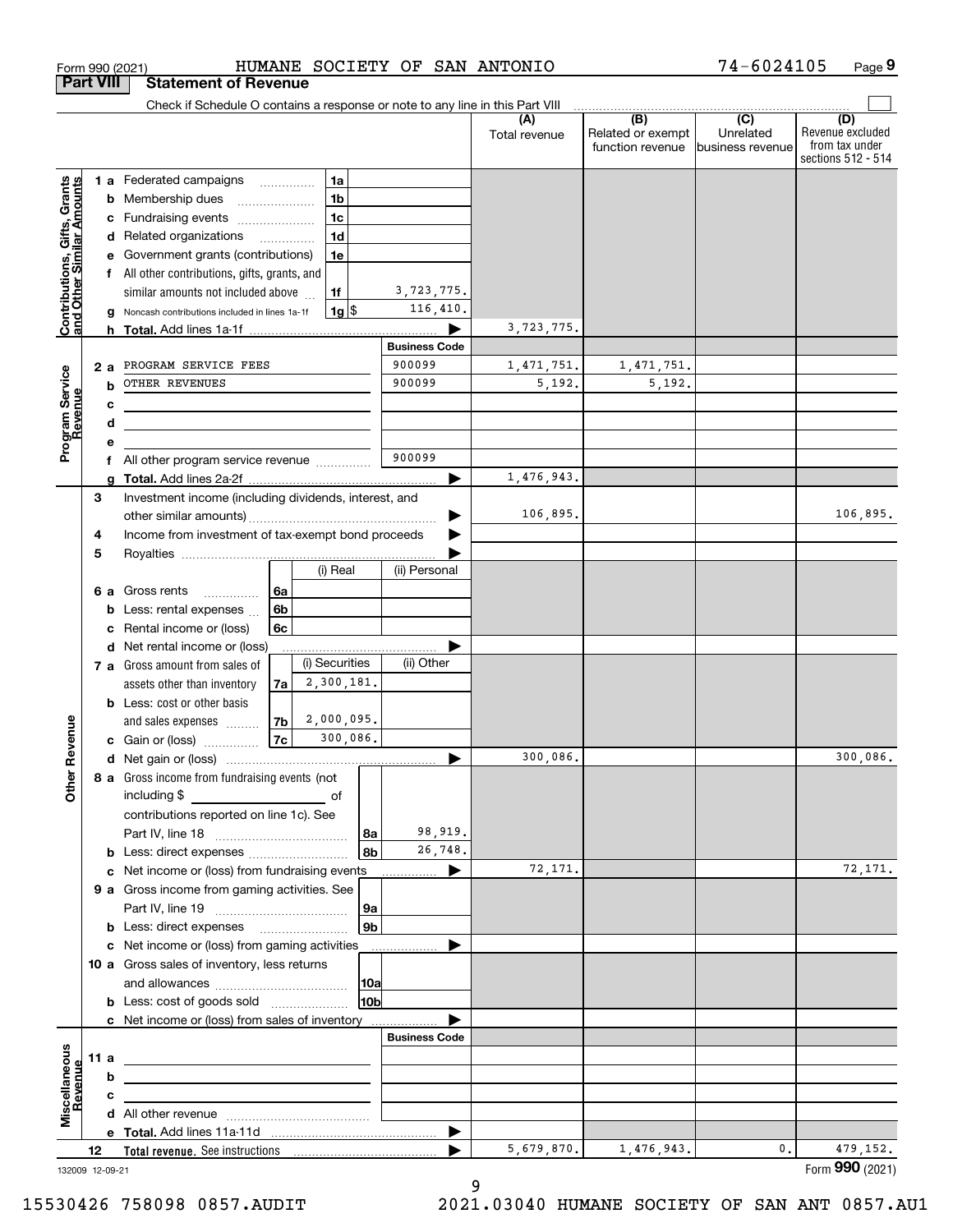|                                                           |                  | Form 990 (2021)                                                                                   |                                                        | HUMANE SOCIETY OF SAN ANTONIO |                      |                                              | 74-6024105                                      | Page 9                                                          |
|-----------------------------------------------------------|------------------|---------------------------------------------------------------------------------------------------|--------------------------------------------------------|-------------------------------|----------------------|----------------------------------------------|-------------------------------------------------|-----------------------------------------------------------------|
|                                                           | <b>Part VIII</b> | <b>Statement of Revenue</b>                                                                       |                                                        |                               |                      |                                              |                                                 |                                                                 |
|                                                           |                  | Check if Schedule O contains a response or note to any line in this Part VIII                     |                                                        |                               |                      |                                              |                                                 |                                                                 |
|                                                           |                  |                                                                                                   |                                                        |                               | (A)<br>Total revenue | (B)<br>Related or exempt<br>function revenue | $\overline{C}$<br>Unrelated<br>business revenue | (D)<br>Revenue excluded<br>from tax under<br>sections 512 - 514 |
|                                                           |                  | 1 a Federated campaigns                                                                           | 1a                                                     |                               |                      |                                              |                                                 |                                                                 |
| Contributions, Gifts, Grants<br>and Other Similar Amounts |                  | <b>b</b> Membership dues                                                                          | 1 <sub>b</sub><br>$\ldots \ldots \ldots \ldots \ldots$ |                               |                      |                                              |                                                 |                                                                 |
|                                                           |                  | c Fundraising events                                                                              | 1 <sub>c</sub>                                         |                               |                      |                                              |                                                 |                                                                 |
|                                                           |                  | d Related organizations                                                                           | 1 <sub>d</sub>                                         |                               |                      |                                              |                                                 |                                                                 |
|                                                           | е                | Government grants (contributions)                                                                 | 1e                                                     |                               |                      |                                              |                                                 |                                                                 |
|                                                           |                  | f All other contributions, gifts, grants, and                                                     |                                                        |                               |                      |                                              |                                                 |                                                                 |
|                                                           |                  | similar amounts not included above                                                                | 1f                                                     | 3,723,775.                    |                      |                                              |                                                 |                                                                 |
|                                                           | g                | Noncash contributions included in lines 1a-1f                                                     | $1g$ \$                                                | 116,410.                      |                      |                                              |                                                 |                                                                 |
|                                                           |                  |                                                                                                   |                                                        |                               | 3,723,775.           |                                              |                                                 |                                                                 |
|                                                           |                  |                                                                                                   |                                                        | <b>Business Code</b>          |                      |                                              |                                                 |                                                                 |
|                                                           | 2а               | PROGRAM SERVICE FEES                                                                              |                                                        | 900099                        | 1,471,751.           | 1,471,751.                                   |                                                 |                                                                 |
| Program Service<br>Revenue                                | b                | OTHER REVENUES                                                                                    |                                                        | 900099                        | 5,192.               | 5,192.                                       |                                                 |                                                                 |
|                                                           | с                | <u> 1989 - Johann Barbara, martxa alemaniar amerikan ba</u>                                       |                                                        |                               |                      |                                              |                                                 |                                                                 |
|                                                           | d                | the control of the control of the control of the control of the control of                        |                                                        |                               |                      |                                              |                                                 |                                                                 |
|                                                           | е                |                                                                                                   |                                                        |                               |                      |                                              |                                                 |                                                                 |
|                                                           | f                | All other program service revenue <i>mimimini</i>                                                 |                                                        | 900099                        |                      |                                              |                                                 |                                                                 |
|                                                           |                  |                                                                                                   |                                                        | ▶                             | 1,476,943.           |                                              |                                                 |                                                                 |
|                                                           | 3                | Investment income (including dividends, interest, and                                             |                                                        |                               |                      |                                              |                                                 |                                                                 |
|                                                           |                  |                                                                                                   |                                                        |                               | 106,895.             |                                              |                                                 | 106,895.                                                        |
|                                                           | 4                | Income from investment of tax-exempt bond proceeds                                                |                                                        |                               |                      |                                              |                                                 |                                                                 |
|                                                           | 5                |                                                                                                   |                                                        |                               |                      |                                              |                                                 |                                                                 |
|                                                           |                  |                                                                                                   | (i) Real                                               | (ii) Personal                 |                      |                                              |                                                 |                                                                 |
|                                                           |                  | 6 a Gross rents                                                                                   | 6a                                                     |                               |                      |                                              |                                                 |                                                                 |
|                                                           | b                | Less: rental expenses                                                                             | 6 <sub>b</sub>                                         |                               |                      |                                              |                                                 |                                                                 |
|                                                           | с                | Rental income or (loss)                                                                           | 6c                                                     |                               |                      |                                              |                                                 |                                                                 |
|                                                           |                  | d Net rental income or (loss)                                                                     |                                                        |                               |                      |                                              |                                                 |                                                                 |
|                                                           |                  | 7 a Gross amount from sales of                                                                    | (i) Securities                                         | (ii) Other                    |                      |                                              |                                                 |                                                                 |
|                                                           |                  | assets other than inventory                                                                       | 2,300,181.<br>7a                                       |                               |                      |                                              |                                                 |                                                                 |
|                                                           |                  | <b>b</b> Less: cost or other basis                                                                |                                                        |                               |                      |                                              |                                                 |                                                                 |
|                                                           |                  | and sales expenses                                                                                | 2,000,095.<br>7 <sub>b</sub>                           |                               |                      |                                              |                                                 |                                                                 |
| evenue                                                    |                  | c Gain or (loss)                                                                                  | <b>7c</b><br>300,086.                                  |                               |                      |                                              |                                                 |                                                                 |
|                                                           |                  |                                                                                                   |                                                        |                               | 300,086.             |                                              |                                                 | 300,086.                                                        |
| Other R                                                   |                  | 8 a Gross income from fundraising events (not                                                     |                                                        |                               |                      |                                              |                                                 |                                                                 |
|                                                           |                  |                                                                                                   |                                                        |                               |                      |                                              |                                                 |                                                                 |
|                                                           |                  | contributions reported on line 1c). See                                                           |                                                        |                               |                      |                                              |                                                 |                                                                 |
|                                                           |                  |                                                                                                   |                                                        | 98,919.<br> 8a                |                      |                                              |                                                 |                                                                 |
|                                                           |                  |                                                                                                   |                                                        | 26,748.<br>8b                 |                      |                                              |                                                 |                                                                 |
|                                                           |                  |                                                                                                   |                                                        |                               | 72,171.              |                                              |                                                 | 72,171.                                                         |
|                                                           |                  | 9 a Gross income from gaming activities. See                                                      |                                                        |                               |                      |                                              |                                                 |                                                                 |
|                                                           |                  |                                                                                                   |                                                        | 9a                            |                      |                                              |                                                 |                                                                 |
|                                                           |                  | <b>b</b> Less: direct expenses <b>manually</b>                                                    |                                                        | 9 <sub>b</sub>                |                      |                                              |                                                 |                                                                 |
|                                                           |                  | c Net income or (loss) from gaming activities _______________                                     |                                                        |                               |                      |                                              |                                                 |                                                                 |
|                                                           |                  | 10 a Gross sales of inventory, less returns                                                       |                                                        |                               |                      |                                              |                                                 |                                                                 |
|                                                           |                  |                                                                                                   |                                                        | 10a                           |                      |                                              |                                                 |                                                                 |
|                                                           |                  |                                                                                                   |                                                        | 10b                           |                      |                                              |                                                 |                                                                 |
|                                                           |                  | c Net income or (loss) from sales of inventory                                                    |                                                        |                               |                      |                                              |                                                 |                                                                 |
|                                                           |                  |                                                                                                   |                                                        | <b>Business Code</b>          |                      |                                              |                                                 |                                                                 |
| Miscellaneous                                             | 11 a             | <u> 1989 - Johann Stein, mars an deus an deus Amerikaanse komme en de Fryske komme en oantale</u> |                                                        |                               |                      |                                              |                                                 |                                                                 |
| evenue                                                    | b                | the contract of the contract of the contract of the contract of the contract of                   |                                                        |                               |                      |                                              |                                                 |                                                                 |
|                                                           | c                | the contract of the contract of the contract of the contract of the contract of                   |                                                        |                               |                      |                                              |                                                 |                                                                 |
|                                                           |                  |                                                                                                   |                                                        |                               |                      |                                              |                                                 |                                                                 |
|                                                           |                  |                                                                                                   |                                                        |                               |                      |                                              |                                                 |                                                                 |
|                                                           | 12               |                                                                                                   |                                                        | ▶                             | 5,679,870.           | 1,476,943.                                   | 0.                                              | 479,152.                                                        |
|                                                           | 132009 12-09-21  |                                                                                                   |                                                        |                               |                      |                                              |                                                 | Form 990 (2021)                                                 |
|                                                           |                  |                                                                                                   |                                                        |                               |                      |                                              |                                                 |                                                                 |

9

132009 12-09-21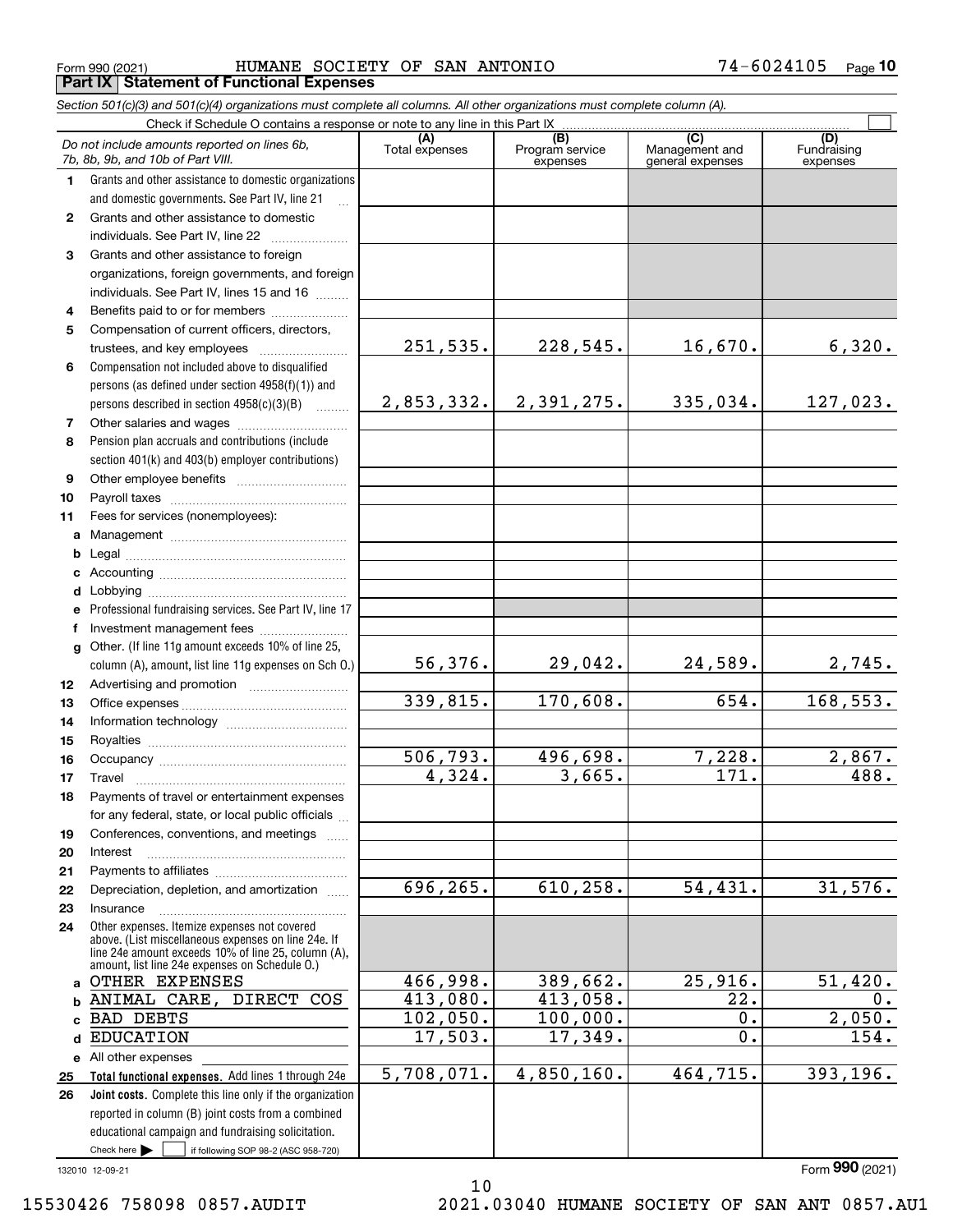$_{\rm Form}$   $_{990}$  (2021) <code>HUMANE SOCIETY OF SAN ANTONIO</code>  $74\text{--}6024105$   $_{\rm Page}$ **Part IX Statement of Functional Expenses**

|              | Section 501(c)(3) and 501(c)(4) organizations must complete all columns. All other organizations must complete column (A).                                   |                        |                                    |                                           |                                |
|--------------|--------------------------------------------------------------------------------------------------------------------------------------------------------------|------------------------|------------------------------------|-------------------------------------------|--------------------------------|
|              | Check if Schedule O contains a response or note to any line in this Part IX                                                                                  |                        |                                    |                                           |                                |
|              | Do not include amounts reported on lines 6b,<br>7b, 8b, 9b, and 10b of Part VIII.                                                                            | (A)<br>Total expenses  | (B)<br>Program service<br>expenses | (C)<br>Management and<br>general expenses | (D)<br>Fundraising<br>expenses |
| 1.           | Grants and other assistance to domestic organizations                                                                                                        |                        |                                    |                                           |                                |
|              | and domestic governments. See Part IV, line 21                                                                                                               |                        |                                    |                                           |                                |
| $\mathbf{2}$ | Grants and other assistance to domestic                                                                                                                      |                        |                                    |                                           |                                |
|              | individuals. See Part IV, line 22                                                                                                                            |                        |                                    |                                           |                                |
| 3            | Grants and other assistance to foreign                                                                                                                       |                        |                                    |                                           |                                |
|              | organizations, foreign governments, and foreign                                                                                                              |                        |                                    |                                           |                                |
|              | individuals. See Part IV, lines 15 and 16                                                                                                                    |                        |                                    |                                           |                                |
| 4            | Benefits paid to or for members                                                                                                                              |                        |                                    |                                           |                                |
| 5            | Compensation of current officers, directors,                                                                                                                 |                        |                                    |                                           |                                |
|              |                                                                                                                                                              | 251,535.               | 228,545.                           | 16,670.                                   | 6,320.                         |
| 6            | Compensation not included above to disqualified                                                                                                              |                        |                                    |                                           |                                |
|              | persons (as defined under section 4958(f)(1)) and                                                                                                            |                        |                                    |                                           |                                |
|              | persons described in section 4958(c)(3)(B)                                                                                                                   | 2,853,332.             | 2,391,275.                         | 335,034.                                  | 127,023.                       |
| 7            |                                                                                                                                                              |                        |                                    |                                           |                                |
| 8            | Pension plan accruals and contributions (include                                                                                                             |                        |                                    |                                           |                                |
|              | section 401(k) and 403(b) employer contributions)                                                                                                            |                        |                                    |                                           |                                |
| 9            |                                                                                                                                                              |                        |                                    |                                           |                                |
| 10           |                                                                                                                                                              |                        |                                    |                                           |                                |
| 11           | Fees for services (nonemployees):                                                                                                                            |                        |                                    |                                           |                                |
| a            |                                                                                                                                                              |                        |                                    |                                           |                                |
| b            |                                                                                                                                                              |                        |                                    |                                           |                                |
| c            |                                                                                                                                                              |                        |                                    |                                           |                                |
| d            |                                                                                                                                                              |                        |                                    |                                           |                                |
| е            | Professional fundraising services. See Part IV, line 17                                                                                                      |                        |                                    |                                           |                                |
| f            | Investment management fees                                                                                                                                   |                        |                                    |                                           |                                |
| g            | Other. (If line 11g amount exceeds 10% of line 25,                                                                                                           | 56,376.                | 29,042.                            | 24,589.                                   | 2,745.                         |
|              | column (A), amount, list line 11g expenses on Sch O.)                                                                                                        |                        |                                    |                                           |                                |
| 12           |                                                                                                                                                              | 339,815.               | 170,608.                           | 654.                                      | 168,553.                       |
| 13           |                                                                                                                                                              |                        |                                    |                                           |                                |
| 14           |                                                                                                                                                              |                        |                                    |                                           |                                |
| 15           |                                                                                                                                                              | 506,793.               | 496,698.                           | 7,228.                                    | 2,867.                         |
| 16           |                                                                                                                                                              | 4,324.                 | 3,665.                             | 171.                                      | 488.                           |
| 17           |                                                                                                                                                              |                        |                                    |                                           |                                |
| 18           | Payments of travel or entertainment expenses                                                                                                                 |                        |                                    |                                           |                                |
|              | for any federal, state, or local public officials                                                                                                            |                        |                                    |                                           |                                |
| 19           | Conferences, conventions, and meetings                                                                                                                       |                        |                                    |                                           |                                |
| 20           | Interest                                                                                                                                                     |                        |                                    |                                           |                                |
| 21           |                                                                                                                                                              | 696,265.               | 610, 258.                          | 54,431.                                   | 31,576.                        |
| 22           | Depreciation, depletion, and amortization                                                                                                                    |                        |                                    |                                           |                                |
| 23           | Insurance<br>Other expenses. Itemize expenses not covered                                                                                                    |                        |                                    |                                           |                                |
| 24           | above. (List miscellaneous expenses on line 24e. If<br>line 24e amount exceeds 10% of line 25, column (A),<br>amount, list line 24e expenses on Schedule O.) |                        |                                    |                                           |                                |
|              | a OTHER EXPENSES                                                                                                                                             | 466,998.               | 389,662.                           | 25,916.                                   | 51,420.                        |
| b            | ANIMAL CARE, DIRECT COS                                                                                                                                      | 413,080.               | 413,058.                           | 22.                                       | $0$ .                          |
| C.           | <b>BAD DEBTS</b>                                                                                                                                             | $\overline{102,050}$ . | 100,000.                           | 0.                                        | 2,050.                         |
| d            | <b>EDUCATION</b>                                                                                                                                             | 17,503.                | 17,349.                            | 0.                                        | 154.                           |
|              | e All other expenses                                                                                                                                         |                        |                                    |                                           |                                |
| 25           | Total functional expenses. Add lines 1 through 24e                                                                                                           | 5,708,071.             | 4,850,160.                         | 464,715.                                  | 393, 196.                      |
| 26           | Joint costs. Complete this line only if the organization                                                                                                     |                        |                                    |                                           |                                |
|              | reported in column (B) joint costs from a combined                                                                                                           |                        |                                    |                                           |                                |
|              | educational campaign and fundraising solicitation.                                                                                                           |                        |                                    |                                           |                                |
|              | Check here $\blacktriangleright$<br>if following SOP 98-2 (ASC 958-720)                                                                                      |                        |                                    |                                           |                                |

10

132010 12-09-21

Form (2021) **990**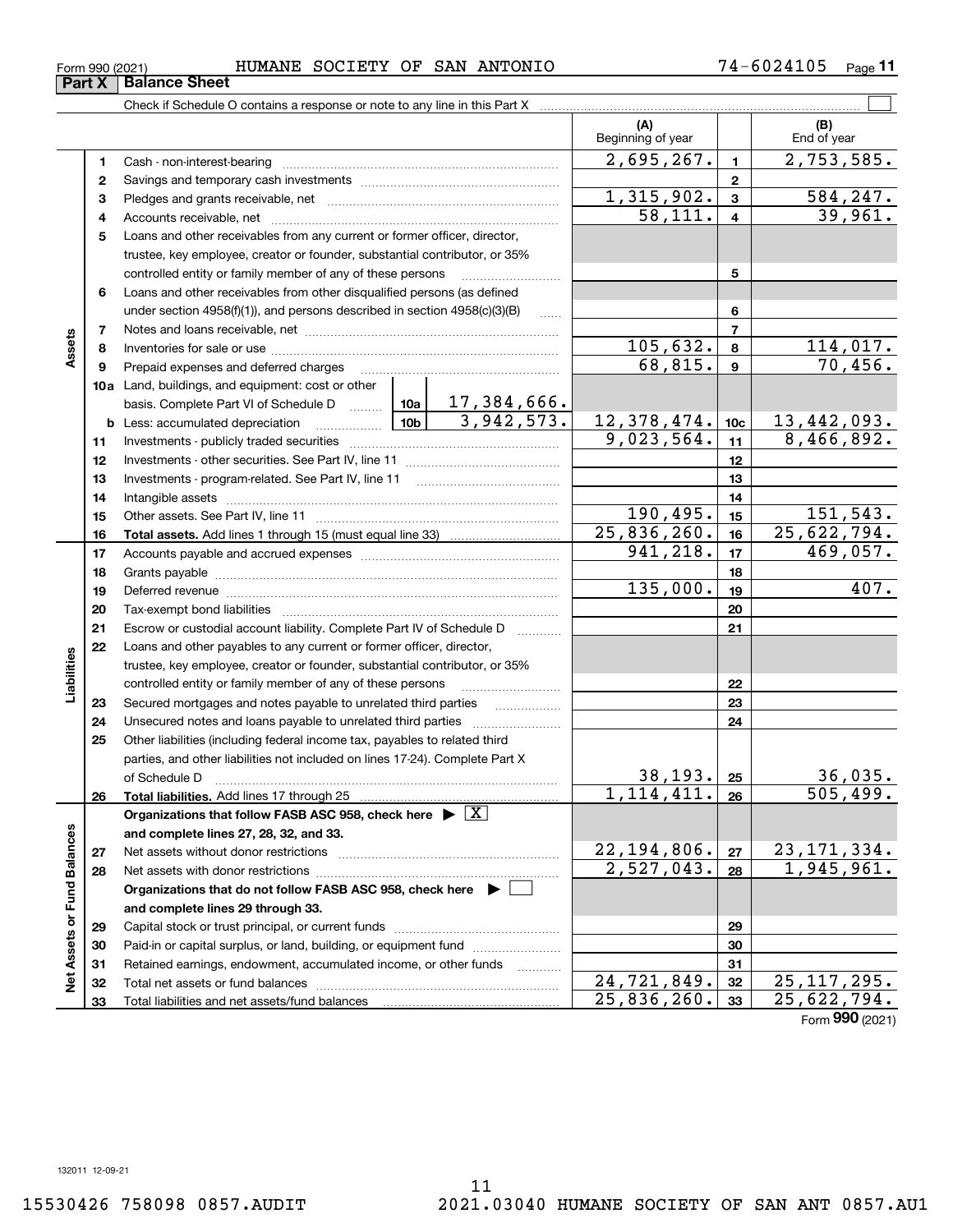**2728**

 $22, 194, 806$ . |  $27$  |  $23, 171, 334$ .  $2,527,043. |28 | 1,945,961.$ 

24,721,849. 25,117,295.  $25,836,260.$   $33$   $25,622,794.$ 

| Form 990 (2021) | SOCIETY<br><b>HUMANE</b> | ОF | SAN ANTONIO | 105<br>. .<br>77.<br>6024 | Page |
|-----------------|--------------------------|----|-------------|---------------------------|------|
|                 |                          |    |             |                           |      |

**(A) (B) 123** Pledges and grants receivable, net  $\ldots$  **multimes contained and grants receivable**, net **multimes contained and grants receivable**, net **multimes contained and grants receivable 456910a**Land, buildings, and equipment: cost or other **12345678910c11121314151617181920212223242526b** Less: accumulated depreciation  $\ldots$  **10b** basis. Complete Part VI of Schedule D will aller **Total assets.**  Add lines 1 through 15 (must equal line 33) **Total liabilities.**  Add lines 17 through 25 **Organizations that follow FASB ASC 958, check here** | X Beginning of year | | End of year Cash - non-interest-bearing ~~~~~~~~~~~~~~~~~~~~~~~~~ Savings and temporary cash investments ~~~~~~~~~~~~~~~~~~Accounts receivable, net ~~~~~~~~~~~~~~~~~~~~~~~~~~ Loans and other receivables from any current or former officer, director, trustee, key employee, creator or founder, substantial contributor, or 35% controlled entity or family member of any of these persons ............................ Loans and other receivables from other disqualified persons (as defined under section  $4958(f)(1)$ , and persons described in section  $4958(c)(3)(B)$ Notes and loans receivable, net ~~~~~~~~~~~~~~~~~~~~~~~Inventories for sale or use ~~~~~~~~~~~~~~~~~~~~~~~~~~ Prepaid expenses and deferred charges ~~~~~~~~~~~~~~~~~~ Investments - publicly traded securities ~~~~~~~~~~~~~~~~~~~ Investments - other securities. See Part IV, line 11 ~~~~~~~~~~~~~~ Investments - program-related. See Part IV, line 11 [2010] [2010] [2010] [2010] [2010] [2010] [2010] [2010] [2 Intangible assets ~~~~~~~~~~~~~~~~~~~~~~~~~~~~~~ Other assets. See Part IV, line 11 ~~~~~~~~~~~~~~~~~~~~~~ Accounts payable and accrued expenses ~~~~~~~~~~~~~~~~~~ Grants payable ~~~~~~~~~~~~~~~~~~~~~~~~~~~~~~~ Deferred revenue ~~~~~~~~~~~~~~~~~~~~~~~~~~~~~~Tax-exempt bond liabilities …………………………………………………………… Escrow or custodial account liability. Complete Part IV of Schedule D Loans and other payables to any current or former officer, director, trustee, key employee, creator or founder, substantial contributor, or 35% controlled entity or family member of any of these persons ~~~~~~~~~Secured mortgages and notes payable to unrelated third parties Unsecured notes and loans payable to unrelated third parties ~~~~~~~~ Other liabilities (including federal income tax, payables to related third parties, and other liabilities not included on lines 17-24). Complete Part X of Schedule D ~~~~~~~~~~~~~~~~~~~~~~~~~~~~~~~  $2,695,267.$  1 2,753,585. 58,111. 39,961.  $1,315,902.$   $3 \mid 584,247.$  $105,632. | 8 | 114,017.$ 68,815. 70,456.  $9,023,564.$  11 8,466,892. 17,384,666.  $3,942,573.$  12,378,474. 10c 13,442,093. 190,495. 15 151,543. 25,836,260. 25,622,794.  $941, 218.$   $17$   $469, 057.$ 135,000. 407.  $38,193.$   $25$  36,035.  $1,114,411. |26 | 505,499.$ 

Check if Schedule O contains a response or note to any line in this Part X **Part X** Balance Sheet

**78**

**Assets**

**232425**

**Liabilities**

iabilities

**26**

**2728** **and complete lines 27, 28, 32, and 33.**

**and complete lines 29 through 33.**

Total liabilities and net assets/fund balances

**Organizations that do not follow FASB ASC 958, check here** |

Net assets without donor restrictions <sub>…………………………………………………</sub>…… Net assets with donor restrictions ~~~~~~~~~~~~~~~~~~~~~~

Capital stock or trust principal, or current funds ~~~~~~~~~~~~~~~ Paid-in or capital surplus, or land, building, or equipment fund www.commun.com Retained earnings, endowment, accumulated income, or other funds Total net assets or fund balances ~~~~~~~~~~~~~~~~~~~~~~

**Net Assets or Fund Balances**

 $\frac{1}{2}$ 

Assets or Fund Balances

 $\mathcal{L}^{\text{max}}$ 

Form (2021) **990**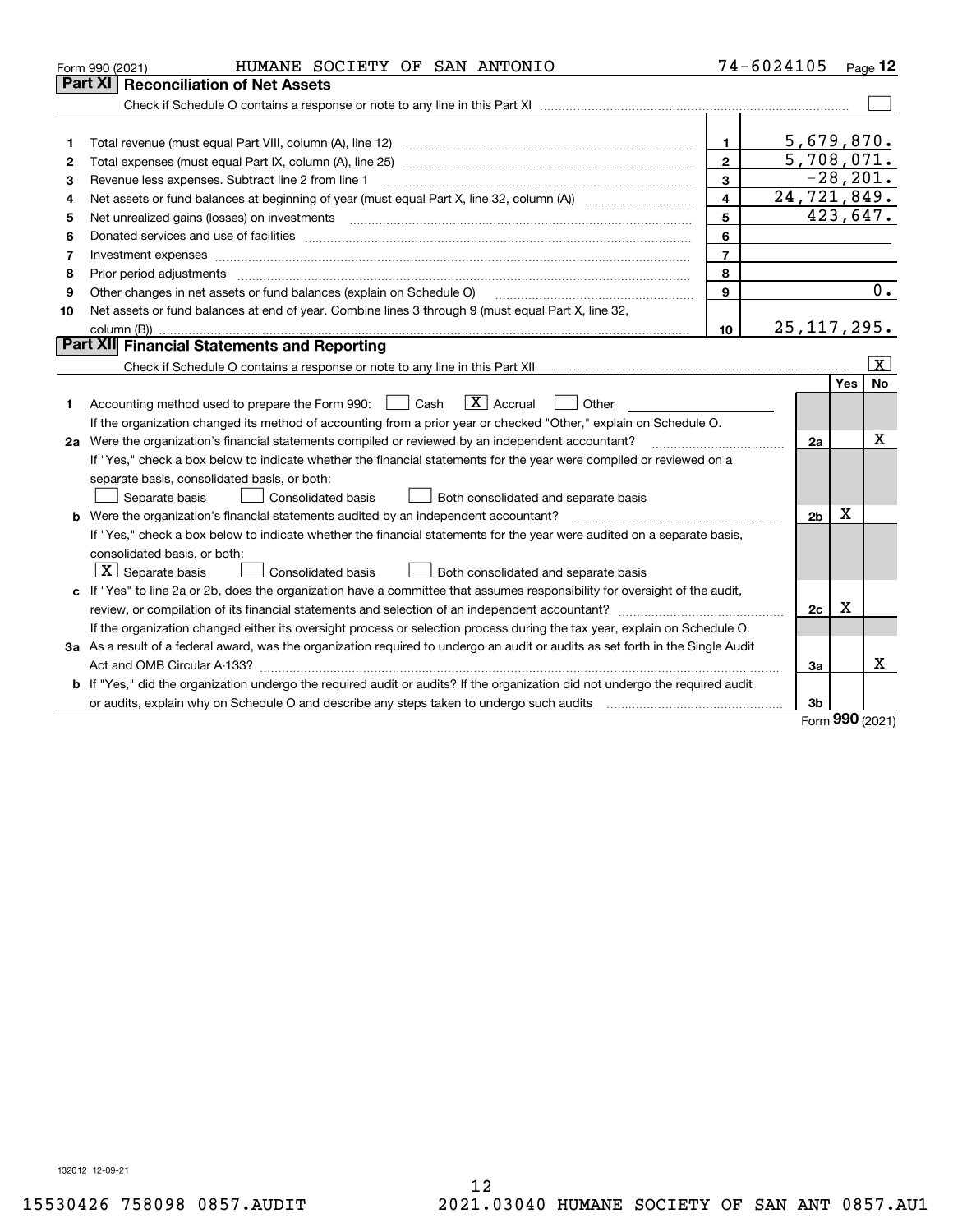|    | HUMANE SOCIETY OF SAN ANTONIO<br>Form 990 (2021)                                                                                                                                                                               |                         | 74-6024105                |             | Page 12           |
|----|--------------------------------------------------------------------------------------------------------------------------------------------------------------------------------------------------------------------------------|-------------------------|---------------------------|-------------|-------------------|
|    | Part XI<br><b>Reconciliation of Net Assets</b>                                                                                                                                                                                 |                         |                           |             |                   |
|    |                                                                                                                                                                                                                                |                         |                           |             |                   |
|    |                                                                                                                                                                                                                                |                         |                           |             |                   |
| 1  |                                                                                                                                                                                                                                | 1.                      | 5,679,870.                |             |                   |
| 2  |                                                                                                                                                                                                                                | $\mathbf{2}$            | 5,708,071.                |             |                   |
| 3  | Revenue less expenses. Subtract line 2 from line 1                                                                                                                                                                             | 3                       |                           |             | $-28, 201.$       |
| 4  |                                                                                                                                                                                                                                | $\overline{\mathbf{4}}$ | $\overline{24,721,849}$ . |             |                   |
| 5  |                                                                                                                                                                                                                                | 5                       |                           |             | 423,647.          |
| 6  |                                                                                                                                                                                                                                | 6                       |                           |             |                   |
| 7  |                                                                                                                                                                                                                                | $\overline{7}$          |                           |             |                   |
| 8  | Prior period adjustments manufactured content and all the content of the content of the content of the content of the content of the content of the content of the content of the content of the content of the content of the | 8                       |                           |             |                   |
| 9  | Other changes in net assets or fund balances (explain on Schedule O)                                                                                                                                                           | $\mathbf{9}$            |                           |             | $\overline{0}$ .  |
| 10 | Net assets or fund balances at end of year. Combine lines 3 through 9 (must equal Part X, line 32,                                                                                                                             |                         |                           |             |                   |
|    |                                                                                                                                                                                                                                | 10                      | 25, 117, 295.             |             |                   |
|    | Part XII Financial Statements and Reporting                                                                                                                                                                                    |                         |                           |             |                   |
|    |                                                                                                                                                                                                                                |                         |                           |             | $\vert$ X $\vert$ |
|    |                                                                                                                                                                                                                                |                         |                           | Yes         | <b>No</b>         |
| 1  | $\boxed{\text{X}}$ Accrual<br>Accounting method used to prepare the Form 990: <u>[</u> Cash<br>Other                                                                                                                           |                         |                           |             |                   |
|    | If the organization changed its method of accounting from a prior year or checked "Other," explain on Schedule O.                                                                                                              |                         |                           |             |                   |
|    | 2a Were the organization's financial statements compiled or reviewed by an independent accountant?                                                                                                                             |                         | 2a                        |             | х                 |
|    | If "Yes," check a box below to indicate whether the financial statements for the year were compiled or reviewed on a                                                                                                           |                         |                           |             |                   |
|    | separate basis, consolidated basis, or both:                                                                                                                                                                                   |                         |                           |             |                   |
|    | Separate basis<br>Consolidated basis<br>Both consolidated and separate basis                                                                                                                                                   |                         |                           |             |                   |
|    | <b>b</b> Were the organization's financial statements audited by an independent accountant?                                                                                                                                    |                         | 2b                        | х           |                   |
|    | If "Yes," check a box below to indicate whether the financial statements for the year were audited on a separate basis,                                                                                                        |                         |                           |             |                   |
|    | consolidated basis, or both:                                                                                                                                                                                                   |                         |                           |             |                   |
|    | $ \mathbf{X} $ Separate basis<br>Consolidated basis<br>Both consolidated and separate basis                                                                                                                                    |                         |                           |             |                   |
|    | c If "Yes" to line 2a or 2b, does the organization have a committee that assumes responsibility for oversight of the audit,                                                                                                    |                         |                           |             |                   |
|    |                                                                                                                                                                                                                                |                         | 2c                        | $\mathbf X$ |                   |
|    | If the organization changed either its oversight process or selection process during the tax year, explain on Schedule O.                                                                                                      |                         |                           |             |                   |
|    | 3a As a result of a federal award, was the organization required to undergo an audit or audits as set forth in the Single Audit                                                                                                |                         |                           |             |                   |
|    |                                                                                                                                                                                                                                |                         | За                        |             | x                 |
|    | b If "Yes," did the organization undergo the required audit or audits? If the organization did not undergo the required audit                                                                                                  |                         |                           |             |                   |
|    |                                                                                                                                                                                                                                |                         | 3b                        | <b>nnn</b>  |                   |

Form (2021) **990**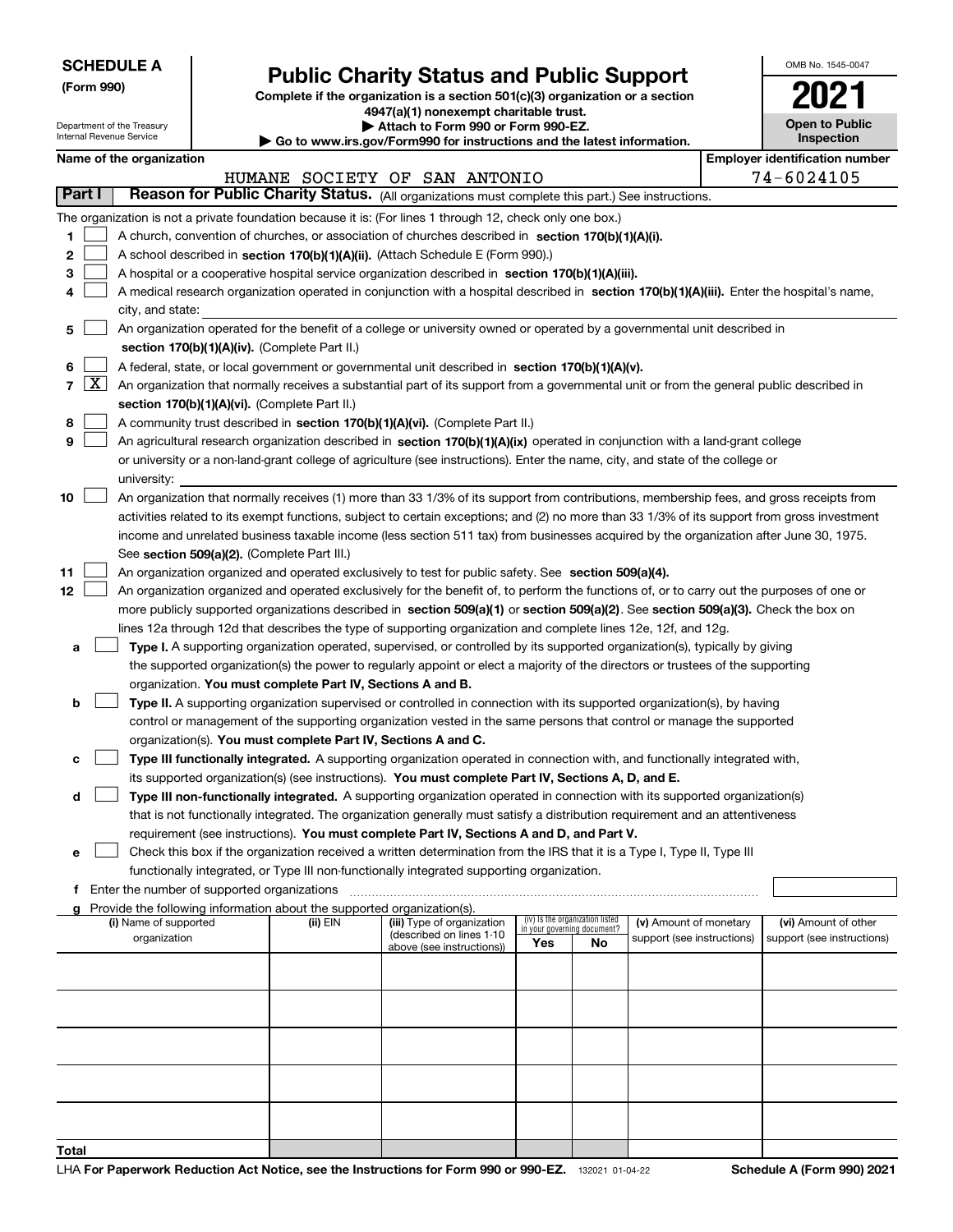Department of the Treasury Internal Revenue Service

**(Form 990)**

## **Public Charity Status and Public Support**

**Complete if the organization is a section 501(c)(3) organization or a section 4947(a)(1) nonexempt charitable trust.**

**| Attach to Form 990 or Form 990-EZ.** 

**| Go to www.irs.gov/Form990 for instructions and the latest information.**

| OMB No 1545-0047                    |
|-------------------------------------|
| 02                                  |
| <b>Open to Public</b><br>Inspection |

| Name of the organization |  |  |  |  |
|--------------------------|--|--|--|--|
|--------------------------|--|--|--|--|

| Name of the organization |            |                                                                                                                                              |                                                                                                   |                                                        |                                                                |    |                                                      | <b>Employer identification number</b> |                            |  |  |  |
|--------------------------|------------|----------------------------------------------------------------------------------------------------------------------------------------------|---------------------------------------------------------------------------------------------------|--------------------------------------------------------|----------------------------------------------------------------|----|------------------------------------------------------|---------------------------------------|----------------------------|--|--|--|
|                          |            |                                                                                                                                              |                                                                                                   | HUMANE SOCIETY OF SAN ANTONIO                          |                                                                |    |                                                      |                                       | 74-6024105                 |  |  |  |
| Part I                   |            | Reason for Public Charity Status. (All organizations must complete this part.) See instructions.                                             |                                                                                                   |                                                        |                                                                |    |                                                      |                                       |                            |  |  |  |
|                          |            | The organization is not a private foundation because it is: (For lines 1 through 12, check only one box.)                                    |                                                                                                   |                                                        |                                                                |    |                                                      |                                       |                            |  |  |  |
| 1                        |            | A church, convention of churches, or association of churches described in section 170(b)(1)(A)(i).                                           |                                                                                                   |                                                        |                                                                |    |                                                      |                                       |                            |  |  |  |
| 2                        |            |                                                                                                                                              | A school described in section 170(b)(1)(A)(ii). (Attach Schedule E (Form 990).)                   |                                                        |                                                                |    |                                                      |                                       |                            |  |  |  |
| з                        |            |                                                                                                                                              | A hospital or a cooperative hospital service organization described in section 170(b)(1)(A)(iii). |                                                        |                                                                |    |                                                      |                                       |                            |  |  |  |
| 4                        |            | A medical research organization operated in conjunction with a hospital described in section 170(b)(1)(A)(iii). Enter the hospital's name,   |                                                                                                   |                                                        |                                                                |    |                                                      |                                       |                            |  |  |  |
|                          |            | city, and state:                                                                                                                             |                                                                                                   |                                                        |                                                                |    |                                                      |                                       |                            |  |  |  |
| 5                        |            | An organization operated for the benefit of a college or university owned or operated by a governmental unit described in                    |                                                                                                   |                                                        |                                                                |    |                                                      |                                       |                            |  |  |  |
|                          |            | section 170(b)(1)(A)(iv). (Complete Part II.)                                                                                                |                                                                                                   |                                                        |                                                                |    |                                                      |                                       |                            |  |  |  |
| 6                        |            | A federal, state, or local government or governmental unit described in section 170(b)(1)(A)(v).                                             |                                                                                                   |                                                        |                                                                |    |                                                      |                                       |                            |  |  |  |
|                          | $7 \times$ | An organization that normally receives a substantial part of its support from a governmental unit or from the general public described in    |                                                                                                   |                                                        |                                                                |    |                                                      |                                       |                            |  |  |  |
|                          |            | section 170(b)(1)(A)(vi). (Complete Part II.)                                                                                                |                                                                                                   |                                                        |                                                                |    |                                                      |                                       |                            |  |  |  |
| 8                        |            | A community trust described in section 170(b)(1)(A)(vi). (Complete Part II.)                                                                 |                                                                                                   |                                                        |                                                                |    |                                                      |                                       |                            |  |  |  |
| 9                        |            | An agricultural research organization described in section 170(b)(1)(A)(ix) operated in conjunction with a land-grant college                |                                                                                                   |                                                        |                                                                |    |                                                      |                                       |                            |  |  |  |
|                          |            | or university or a non-land-grant college of agriculture (see instructions). Enter the name, city, and state of the college or               |                                                                                                   |                                                        |                                                                |    |                                                      |                                       |                            |  |  |  |
|                          |            | university:                                                                                                                                  |                                                                                                   |                                                        |                                                                |    |                                                      |                                       |                            |  |  |  |
| 10                       |            | An organization that normally receives (1) more than 33 1/3% of its support from contributions, membership fees, and gross receipts from     |                                                                                                   |                                                        |                                                                |    |                                                      |                                       |                            |  |  |  |
|                          |            | activities related to its exempt functions, subject to certain exceptions; and (2) no more than 33 1/3% of its support from gross investment |                                                                                                   |                                                        |                                                                |    |                                                      |                                       |                            |  |  |  |
|                          |            | income and unrelated business taxable income (less section 511 tax) from businesses acquired by the organization after June 30, 1975.        |                                                                                                   |                                                        |                                                                |    |                                                      |                                       |                            |  |  |  |
|                          |            | See section 509(a)(2). (Complete Part III.)                                                                                                  |                                                                                                   |                                                        |                                                                |    |                                                      |                                       |                            |  |  |  |
| 11                       |            | An organization organized and operated exclusively to test for public safety. See section 509(a)(4).                                         |                                                                                                   |                                                        |                                                                |    |                                                      |                                       |                            |  |  |  |
| 12                       |            | An organization organized and operated exclusively for the benefit of, to perform the functions of, or to carry out the purposes of one or   |                                                                                                   |                                                        |                                                                |    |                                                      |                                       |                            |  |  |  |
|                          |            | more publicly supported organizations described in section 509(a)(1) or section 509(a)(2). See section 509(a)(3). Check the box on           |                                                                                                   |                                                        |                                                                |    |                                                      |                                       |                            |  |  |  |
|                          |            | lines 12a through 12d that describes the type of supporting organization and complete lines 12e, 12f, and 12g.                               |                                                                                                   |                                                        |                                                                |    |                                                      |                                       |                            |  |  |  |
| а                        |            | Type I. A supporting organization operated, supervised, or controlled by its supported organization(s), typically by giving                  |                                                                                                   |                                                        |                                                                |    |                                                      |                                       |                            |  |  |  |
|                          |            | the supported organization(s) the power to regularly appoint or elect a majority of the directors or trustees of the supporting              |                                                                                                   |                                                        |                                                                |    |                                                      |                                       |                            |  |  |  |
|                          |            | organization. You must complete Part IV, Sections A and B.                                                                                   |                                                                                                   |                                                        |                                                                |    |                                                      |                                       |                            |  |  |  |
| b                        |            | Type II. A supporting organization supervised or controlled in connection with its supported organization(s), by having                      |                                                                                                   |                                                        |                                                                |    |                                                      |                                       |                            |  |  |  |
|                          |            | control or management of the supporting organization vested in the same persons that control or manage the supported                         |                                                                                                   |                                                        |                                                                |    |                                                      |                                       |                            |  |  |  |
|                          |            | organization(s). You must complete Part IV, Sections A and C.                                                                                |                                                                                                   |                                                        |                                                                |    |                                                      |                                       |                            |  |  |  |
| с                        |            | Type III functionally integrated. A supporting organization operated in connection with, and functionally integrated with,                   |                                                                                                   |                                                        |                                                                |    |                                                      |                                       |                            |  |  |  |
|                          |            | its supported organization(s) (see instructions). You must complete Part IV, Sections A, D, and E.                                           |                                                                                                   |                                                        |                                                                |    |                                                      |                                       |                            |  |  |  |
| d                        |            | Type III non-functionally integrated. A supporting organization operated in connection with its supported organization(s)                    |                                                                                                   |                                                        |                                                                |    |                                                      |                                       |                            |  |  |  |
|                          |            | that is not functionally integrated. The organization generally must satisfy a distribution requirement and an attentiveness                 |                                                                                                   |                                                        |                                                                |    |                                                      |                                       |                            |  |  |  |
|                          |            | requirement (see instructions). You must complete Part IV, Sections A and D, and Part V.                                                     |                                                                                                   |                                                        |                                                                |    |                                                      |                                       |                            |  |  |  |
| е                        |            | Check this box if the organization received a written determination from the IRS that it is a Type I, Type II, Type III                      |                                                                                                   |                                                        |                                                                |    |                                                      |                                       |                            |  |  |  |
|                          |            | functionally integrated, or Type III non-functionally integrated supporting organization.                                                    |                                                                                                   |                                                        |                                                                |    |                                                      |                                       |                            |  |  |  |
|                          |            | f Enter the number of supported organizations                                                                                                |                                                                                                   |                                                        |                                                                |    |                                                      |                                       |                            |  |  |  |
|                          |            | g Provide the following information about the supported organization(s).                                                                     |                                                                                                   |                                                        |                                                                |    |                                                      |                                       |                            |  |  |  |
|                          |            | (i) Name of supported<br>organization                                                                                                        | (ii) EIN                                                                                          | (iii) Type of organization<br>(described on lines 1-10 | (iv) Is the organization listed<br>in your governing document? |    | (v) Amount of monetary<br>support (see instructions) |                                       | (vi) Amount of other       |  |  |  |
|                          |            |                                                                                                                                              |                                                                                                   | above (see instructions))                              | Yes                                                            | No |                                                      |                                       | support (see instructions) |  |  |  |
|                          |            |                                                                                                                                              |                                                                                                   |                                                        |                                                                |    |                                                      |                                       |                            |  |  |  |
|                          |            |                                                                                                                                              |                                                                                                   |                                                        |                                                                |    |                                                      |                                       |                            |  |  |  |
|                          |            |                                                                                                                                              |                                                                                                   |                                                        |                                                                |    |                                                      |                                       |                            |  |  |  |
|                          |            |                                                                                                                                              |                                                                                                   |                                                        |                                                                |    |                                                      |                                       |                            |  |  |  |
|                          |            |                                                                                                                                              |                                                                                                   |                                                        |                                                                |    |                                                      |                                       |                            |  |  |  |
|                          |            |                                                                                                                                              |                                                                                                   |                                                        |                                                                |    |                                                      |                                       |                            |  |  |  |
|                          |            |                                                                                                                                              |                                                                                                   |                                                        |                                                                |    |                                                      |                                       |                            |  |  |  |
|                          |            |                                                                                                                                              |                                                                                                   |                                                        |                                                                |    |                                                      |                                       |                            |  |  |  |
|                          |            |                                                                                                                                              |                                                                                                   |                                                        |                                                                |    |                                                      |                                       |                            |  |  |  |
| Total                    |            |                                                                                                                                              |                                                                                                   |                                                        |                                                                |    |                                                      |                                       |                            |  |  |  |
|                          |            |                                                                                                                                              |                                                                                                   |                                                        |                                                                |    |                                                      |                                       |                            |  |  |  |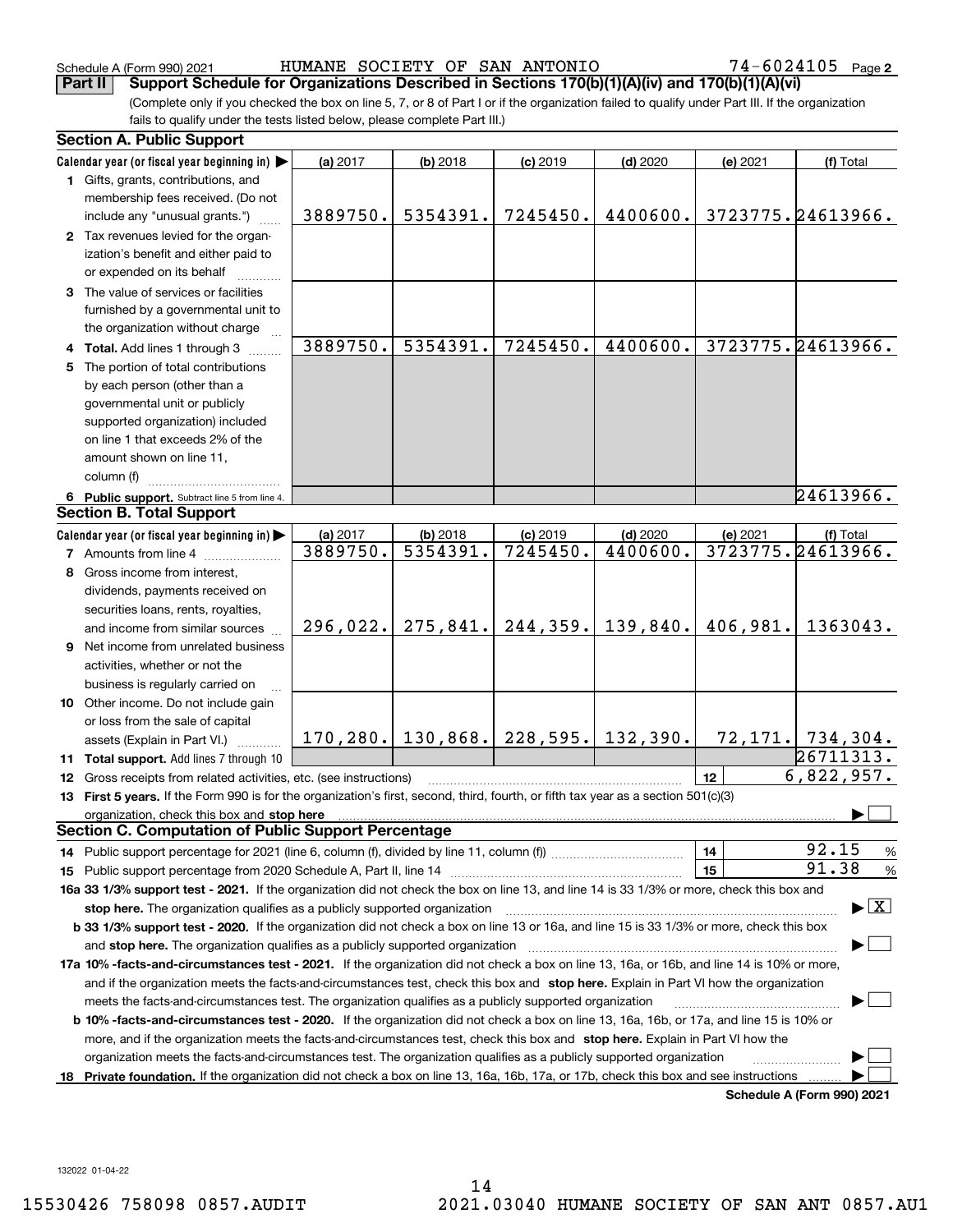Schedule A (Form 990) 2021 Page HUMANE SOCIETY OF SAN ANTONIO 74-6024105

(Complete only if you checked the box on line 5, 7, or 8 of Part I or if the organization failed to qualify under Part III. If the organization fails to qualify under the tests listed below, please complete Part III.) **Part II Support Schedule for Organizations Described in Sections 170(b)(1)(A)(iv) and 170(b)(1)(A)(vi)**

|     | <b>Section A. Public Support</b>                                                                                                               |          |                       |            |                     |          |                                          |
|-----|------------------------------------------------------------------------------------------------------------------------------------------------|----------|-----------------------|------------|---------------------|----------|------------------------------------------|
|     | Calendar year (or fiscal year beginning in)                                                                                                    | (a) 2017 | (b) 2018              | $(c)$ 2019 | $(d)$ 2020          | (e) 2021 | (f) Total                                |
|     | 1 Gifts, grants, contributions, and                                                                                                            |          |                       |            |                     |          |                                          |
|     | membership fees received. (Do not                                                                                                              |          |                       |            |                     |          |                                          |
|     | include any "unusual grants.")                                                                                                                 | 3889750. | 5354391.              | 7245450.   | 4400600.            |          | 3723775.24613966.                        |
|     | 2 Tax revenues levied for the organ-                                                                                                           |          |                       |            |                     |          |                                          |
|     | ization's benefit and either paid to                                                                                                           |          |                       |            |                     |          |                                          |
|     | or expended on its behalf                                                                                                                      |          |                       |            |                     |          |                                          |
|     | 3 The value of services or facilities                                                                                                          |          |                       |            |                     |          |                                          |
|     | furnished by a governmental unit to                                                                                                            |          |                       |            |                     |          |                                          |
|     | the organization without charge                                                                                                                |          |                       |            |                     |          |                                          |
|     | Total. Add lines 1 through 3                                                                                                                   | 3889750. | 5354391.              | 7245450.   | 4400600.            |          | 3723775.24613966.                        |
|     | The portion of total contributions                                                                                                             |          |                       |            |                     |          |                                          |
|     | by each person (other than a                                                                                                                   |          |                       |            |                     |          |                                          |
|     | governmental unit or publicly                                                                                                                  |          |                       |            |                     |          |                                          |
|     | supported organization) included                                                                                                               |          |                       |            |                     |          |                                          |
|     | on line 1 that exceeds 2% of the                                                                                                               |          |                       |            |                     |          |                                          |
|     | amount shown on line 11,                                                                                                                       |          |                       |            |                     |          |                                          |
|     | column (f)                                                                                                                                     |          |                       |            |                     |          |                                          |
|     | 6 Public support. Subtract line 5 from line 4.                                                                                                 |          |                       |            |                     |          | 24613966.                                |
|     | <b>Section B. Total Support</b>                                                                                                                |          |                       |            |                     |          |                                          |
|     | Calendar year (or fiscal year beginning in)                                                                                                    | (a) 2017 | (b) 2018              | $(c)$ 2019 | $(d)$ 2020          | (e) 2021 | (f) Total                                |
|     | <b>7</b> Amounts from line 4                                                                                                                   | 3889750. | 5354391.              | 7245450.   | 4400600.            |          | 3723775.24613966.                        |
|     | Gross income from interest,                                                                                                                    |          |                       |            |                     |          |                                          |
|     | dividends, payments received on                                                                                                                |          |                       |            |                     |          |                                          |
|     |                                                                                                                                                |          |                       |            |                     |          |                                          |
|     | securities loans, rents, royalties,<br>and income from similar sources                                                                         | 296,022. | 275,841.              | 244, 359.  | 139,840.            | 406,981. | 1363043.                                 |
|     | Net income from unrelated business                                                                                                             |          |                       |            |                     |          |                                          |
| 9   |                                                                                                                                                |          |                       |            |                     |          |                                          |
|     | activities, whether or not the                                                                                                                 |          |                       |            |                     |          |                                          |
|     | business is regularly carried on                                                                                                               |          |                       |            |                     |          |                                          |
|     | 10 Other income. Do not include gain                                                                                                           |          |                       |            |                     |          |                                          |
|     | or loss from the sale of capital                                                                                                               |          | $170, 280.$ 130, 868. |            | $228,595.$ 132,390. |          | $72, 171.$ 734, 304.                     |
|     | assets (Explain in Part VI.)                                                                                                                   |          |                       |            |                     |          | 26711313.                                |
|     | 11 Total support. Add lines 7 through 10                                                                                                       |          |                       |            |                     |          | 6,822,957.                               |
|     | 12 Gross receipts from related activities, etc. (see instructions)                                                                             |          |                       |            |                     | 12       |                                          |
|     | 13 First 5 years. If the Form 990 is for the organization's first, second, third, fourth, or fifth tax year as a section 501(c)(3)             |          |                       |            |                     |          |                                          |
|     | organization, check this box and stop here<br><b>Section C. Computation of Public Support Percentage</b>                                       |          |                       |            |                     |          |                                          |
|     |                                                                                                                                                |          |                       |            |                     |          | 92.15                                    |
|     |                                                                                                                                                |          |                       |            |                     | 14       | $\frac{9}{6}$<br>91.38                   |
|     |                                                                                                                                                |          |                       |            |                     | 15       | $\frac{9}{6}$                            |
|     | 16a 33 1/3% support test - 2021. If the organization did not check the box on line 13, and line 14 is 33 1/3% or more, check this box and      |          |                       |            |                     |          | $\blacktriangleright$ $\boxed{\text{X}}$ |
|     | stop here. The organization qualifies as a publicly supported organization                                                                     |          |                       |            |                     |          |                                          |
|     | b 33 1/3% support test - 2020. If the organization did not check a box on line 13 or 16a, and line 15 is 33 1/3% or more, check this box       |          |                       |            |                     |          |                                          |
|     | and stop here. The organization qualifies as a publicly supported organization                                                                 |          |                       |            |                     |          |                                          |
|     | 17a 10% -facts-and-circumstances test - 2021. If the organization did not check a box on line 13, 16a, or 16b, and line 14 is 10% or more,     |          |                       |            |                     |          |                                          |
|     | and if the organization meets the facts-and-circumstances test, check this box and stop here. Explain in Part VI how the organization          |          |                       |            |                     |          |                                          |
|     | meets the facts-and-circumstances test. The organization qualifies as a publicly supported organization                                        |          |                       |            |                     |          |                                          |
|     | <b>b 10% -facts-and-circumstances test - 2020.</b> If the organization did not check a box on line 13, 16a, 16b, or 17a, and line 15 is 10% or |          |                       |            |                     |          |                                          |
|     | more, and if the organization meets the facts-and-circumstances test, check this box and stop here. Explain in Part VI how the                 |          |                       |            |                     |          |                                          |
|     | organization meets the facts-and-circumstances test. The organization qualifies as a publicly supported organization                           |          |                       |            |                     |          |                                          |
| 18. | Private foundation. If the organization did not check a box on line 13, 16a, 16b, 17a, or 17b, check this box and see instructions             |          |                       |            |                     |          |                                          |
|     |                                                                                                                                                |          |                       |            |                     |          | Schedule A (Form 990) 2021               |

**Schedule A (Form 990) 2021**

132022 01-04-22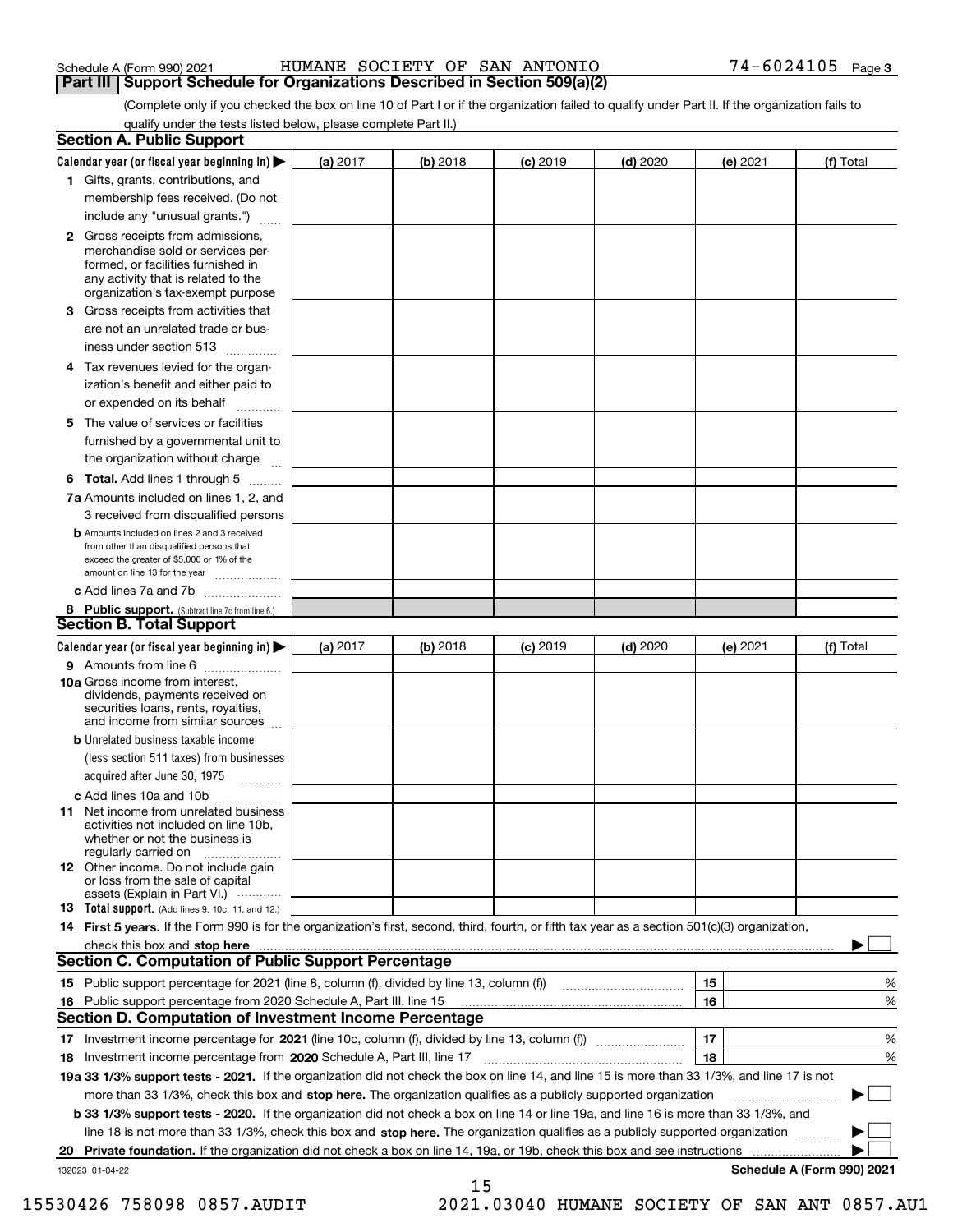### Schedule A (Form 990) 2021 Page HUMANE SOCIETY OF SAN ANTONIO 74-6024105 **Part III | Support Schedule for Organizations Described in Section 509(a)(2)**

(Complete only if you checked the box on line 10 of Part I or if the organization failed to qualify under Part II. If the organization fails to qualify under the tests listed below, please complete Part II.)

| <b>Section A. Public Support</b>                                                                                                                                                         |            |          |            |            |          |                            |
|------------------------------------------------------------------------------------------------------------------------------------------------------------------------------------------|------------|----------|------------|------------|----------|----------------------------|
| Calendar year (or fiscal year beginning in) $\blacktriangleright$                                                                                                                        | (a) 2017   | (b) 2018 | $(c)$ 2019 | $(d)$ 2020 | (e) 2021 | (f) Total                  |
| 1 Gifts, grants, contributions, and                                                                                                                                                      |            |          |            |            |          |                            |
| membership fees received. (Do not                                                                                                                                                        |            |          |            |            |          |                            |
| include any "unusual grants.")                                                                                                                                                           |            |          |            |            |          |                            |
| 2 Gross receipts from admissions,<br>merchandise sold or services per-<br>formed, or facilities furnished in<br>any activity that is related to the<br>organization's tax-exempt purpose |            |          |            |            |          |                            |
| 3 Gross receipts from activities that<br>are not an unrelated trade or bus-                                                                                                              |            |          |            |            |          |                            |
| iness under section 513                                                                                                                                                                  |            |          |            |            |          |                            |
| 4 Tax revenues levied for the organ-<br>ization's benefit and either paid to<br>or expended on its behalf<br>.                                                                           |            |          |            |            |          |                            |
| 5 The value of services or facilities<br>furnished by a governmental unit to<br>the organization without charge                                                                          |            |          |            |            |          |                            |
| <b>6 Total.</b> Add lines 1 through 5                                                                                                                                                    |            |          |            |            |          |                            |
| 7a Amounts included on lines 1, 2, and<br>3 received from disqualified persons                                                                                                           |            |          |            |            |          |                            |
| <b>b</b> Amounts included on lines 2 and 3 received<br>from other than disqualified persons that<br>exceed the greater of \$5,000 or 1% of the<br>amount on line 13 for the year         |            |          |            |            |          |                            |
| c Add lines 7a and 7b                                                                                                                                                                    |            |          |            |            |          |                            |
| 8 Public support. (Subtract line 7c from line 6.)<br><b>Section B. Total Support</b>                                                                                                     |            |          |            |            |          |                            |
| Calendar year (or fiscal year beginning in) $\blacktriangleright$                                                                                                                        | (a) $2017$ | (b) 2018 | $(c)$ 2019 | $(d)$ 2020 | (e) 2021 | (f) Total                  |
| 9 Amounts from line 6                                                                                                                                                                    |            |          |            |            |          |                            |
| 10a Gross income from interest,<br>dividends, payments received on<br>securities loans, rents, royalties,<br>and income from similar sources                                             |            |          |            |            |          |                            |
| <b>b</b> Unrelated business taxable income<br>(less section 511 taxes) from businesses<br>acquired after June 30, 1975<br>1.1.1.1.1.1.1.1.1.1                                            |            |          |            |            |          |                            |
| c Add lines 10a and 10b                                                                                                                                                                  |            |          |            |            |          |                            |
| <b>11</b> Net income from unrelated business<br>activities not included on line 10b.<br>whether or not the business is<br>regularly carried on                                           |            |          |            |            |          |                            |
| <b>12</b> Other income. Do not include gain<br>or loss from the sale of capital<br>assets (Explain in Part VI.)                                                                          |            |          |            |            |          |                            |
| <b>13</b> Total support. (Add lines 9, 10c, 11, and 12.)                                                                                                                                 |            |          |            |            |          |                            |
| 14 First 5 years. If the Form 990 is for the organization's first, second, third, fourth, or fifth tax year as a section 501(c)(3) organization,                                         |            |          |            |            |          |                            |
|                                                                                                                                                                                          |            |          |            |            |          |                            |
| <b>Section C. Computation of Public Support Percentage</b>                                                                                                                               |            |          |            |            |          |                            |
|                                                                                                                                                                                          |            |          |            |            | 15       | %                          |
| 16 Public support percentage from 2020 Schedule A, Part III, line 15                                                                                                                     |            |          |            |            | 16       | %                          |
| <b>Section D. Computation of Investment Income Percentage</b>                                                                                                                            |            |          |            |            |          |                            |
| 17 Investment income percentage for 2021 (line 10c, column (f), divided by line 13, column (f))                                                                                          |            |          |            |            | 17<br>18 | %                          |
| 18 Investment income percentage from 2020 Schedule A, Part III, line 17                                                                                                                  |            |          |            |            |          | %                          |
| 19a 33 1/3% support tests - 2021. If the organization did not check the box on line 14, and line 15 is more than 33 1/3%, and line 17 is not                                             |            |          |            |            |          |                            |
| more than 33 1/3%, check this box and stop here. The organization qualifies as a publicly supported organization                                                                         |            |          |            |            |          |                            |
| b 33 1/3% support tests - 2020. If the organization did not check a box on line 14 or line 19a, and line 16 is more than 33 1/3%, and                                                    |            |          |            |            |          |                            |
| line 18 is not more than 33 1/3%, check this box and stop here. The organization qualifies as a publicly supported organization                                                          |            |          |            |            |          |                            |
| 20 Private foundation. If the organization did not check a box on line 14, 19a, or 19b, check this box and see instructions                                                              |            |          |            |            |          | Schedule A (Form 990) 2021 |
| 132023 01-04-22                                                                                                                                                                          |            | 15       |            |            |          |                            |

15530426 758098 0857.AUDIT 2021.03040 HUMANE SOCIETY OF SAN ANT 0857.AU1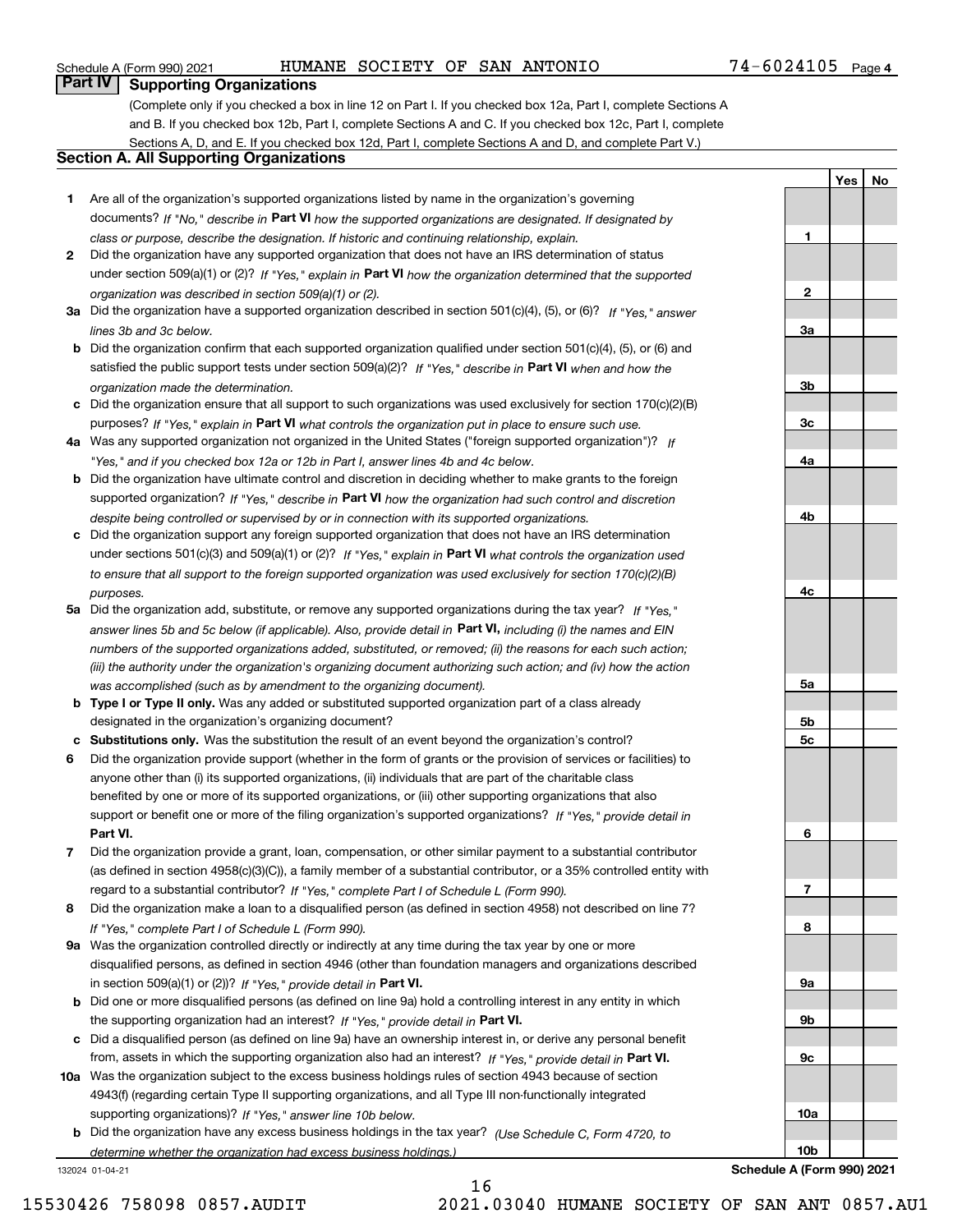### Schedule A (Form 990) 2021 Page HUMANE SOCIETY OF SAN ANTONIO 74-6024105

**1**

**2**

**3a**

**3b**

**3c**

**4a**

**4b**

**4c**

**5a**

**5b5c**

**6**

**7**

**8**

**9a**

**9b**

**9c**

**10a**

**YesNo**

## **Part IV Supporting Organizations**

(Complete only if you checked a box in line 12 on Part I. If you checked box 12a, Part I, complete Sections A and B. If you checked box 12b, Part I, complete Sections A and C. If you checked box 12c, Part I, complete Sections A, D, and E. If you checked box 12d, Part I, complete Sections A and D, and complete Part V.)

### **Section A. All Supporting Organizations**

- **1** Are all of the organization's supported organizations listed by name in the organization's governing documents? If "No," describe in **Part VI** how the supported organizations are designated. If designated by *class or purpose, describe the designation. If historic and continuing relationship, explain.*
- **2** Did the organization have any supported organization that does not have an IRS determination of status under section 509(a)(1) or (2)? If "Yes," explain in Part VI how the organization determined that the supported *organization was described in section 509(a)(1) or (2).*
- **3a** Did the organization have a supported organization described in section 501(c)(4), (5), or (6)? If "Yes," answer *lines 3b and 3c below.*
- **b** Did the organization confirm that each supported organization qualified under section 501(c)(4), (5), or (6) and satisfied the public support tests under section 509(a)(2)? If "Yes," describe in **Part VI** when and how the *organization made the determination.*
- **c**Did the organization ensure that all support to such organizations was used exclusively for section 170(c)(2)(B) purposes? If "Yes," explain in **Part VI** what controls the organization put in place to ensure such use.
- **4a***If* Was any supported organization not organized in the United States ("foreign supported organization")? *"Yes," and if you checked box 12a or 12b in Part I, answer lines 4b and 4c below.*
- **b** Did the organization have ultimate control and discretion in deciding whether to make grants to the foreign supported organization? If "Yes," describe in **Part VI** how the organization had such control and discretion *despite being controlled or supervised by or in connection with its supported organizations.*
- **c** Did the organization support any foreign supported organization that does not have an IRS determination under sections 501(c)(3) and 509(a)(1) or (2)? If "Yes," explain in **Part VI** what controls the organization used *to ensure that all support to the foreign supported organization was used exclusively for section 170(c)(2)(B) purposes.*
- **5a** Did the organization add, substitute, or remove any supported organizations during the tax year? If "Yes," answer lines 5b and 5c below (if applicable). Also, provide detail in **Part VI,** including (i) the names and EIN *numbers of the supported organizations added, substituted, or removed; (ii) the reasons for each such action; (iii) the authority under the organization's organizing document authorizing such action; and (iv) how the action was accomplished (such as by amendment to the organizing document).*
- **b** Type I or Type II only. Was any added or substituted supported organization part of a class already designated in the organization's organizing document?
- **cSubstitutions only.**  Was the substitution the result of an event beyond the organization's control?
- **6** Did the organization provide support (whether in the form of grants or the provision of services or facilities) to **Part VI.** *If "Yes," provide detail in* support or benefit one or more of the filing organization's supported organizations? anyone other than (i) its supported organizations, (ii) individuals that are part of the charitable class benefited by one or more of its supported organizations, or (iii) other supporting organizations that also
- **7**Did the organization provide a grant, loan, compensation, or other similar payment to a substantial contributor *If "Yes," complete Part I of Schedule L (Form 990).* regard to a substantial contributor? (as defined in section 4958(c)(3)(C)), a family member of a substantial contributor, or a 35% controlled entity with
- **8** Did the organization make a loan to a disqualified person (as defined in section 4958) not described on line 7? *If "Yes," complete Part I of Schedule L (Form 990).*
- **9a** Was the organization controlled directly or indirectly at any time during the tax year by one or more in section 509(a)(1) or (2))? If "Yes," *provide detail in* <code>Part VI.</code> disqualified persons, as defined in section 4946 (other than foundation managers and organizations described
- **b** Did one or more disqualified persons (as defined on line 9a) hold a controlling interest in any entity in which the supporting organization had an interest? If "Yes," provide detail in P**art VI**.
- **c**Did a disqualified person (as defined on line 9a) have an ownership interest in, or derive any personal benefit from, assets in which the supporting organization also had an interest? If "Yes," provide detail in P**art VI.**
- **10a** Was the organization subject to the excess business holdings rules of section 4943 because of section supporting organizations)? If "Yes," answer line 10b below. 4943(f) (regarding certain Type II supporting organizations, and all Type III non-functionally integrated
- **b** Did the organization have any excess business holdings in the tax year? (Use Schedule C, Form 4720, to *determine whether the organization had excess business holdings.)*

16

132024 01-04-21

**10bSchedule A (Form 990) 2021**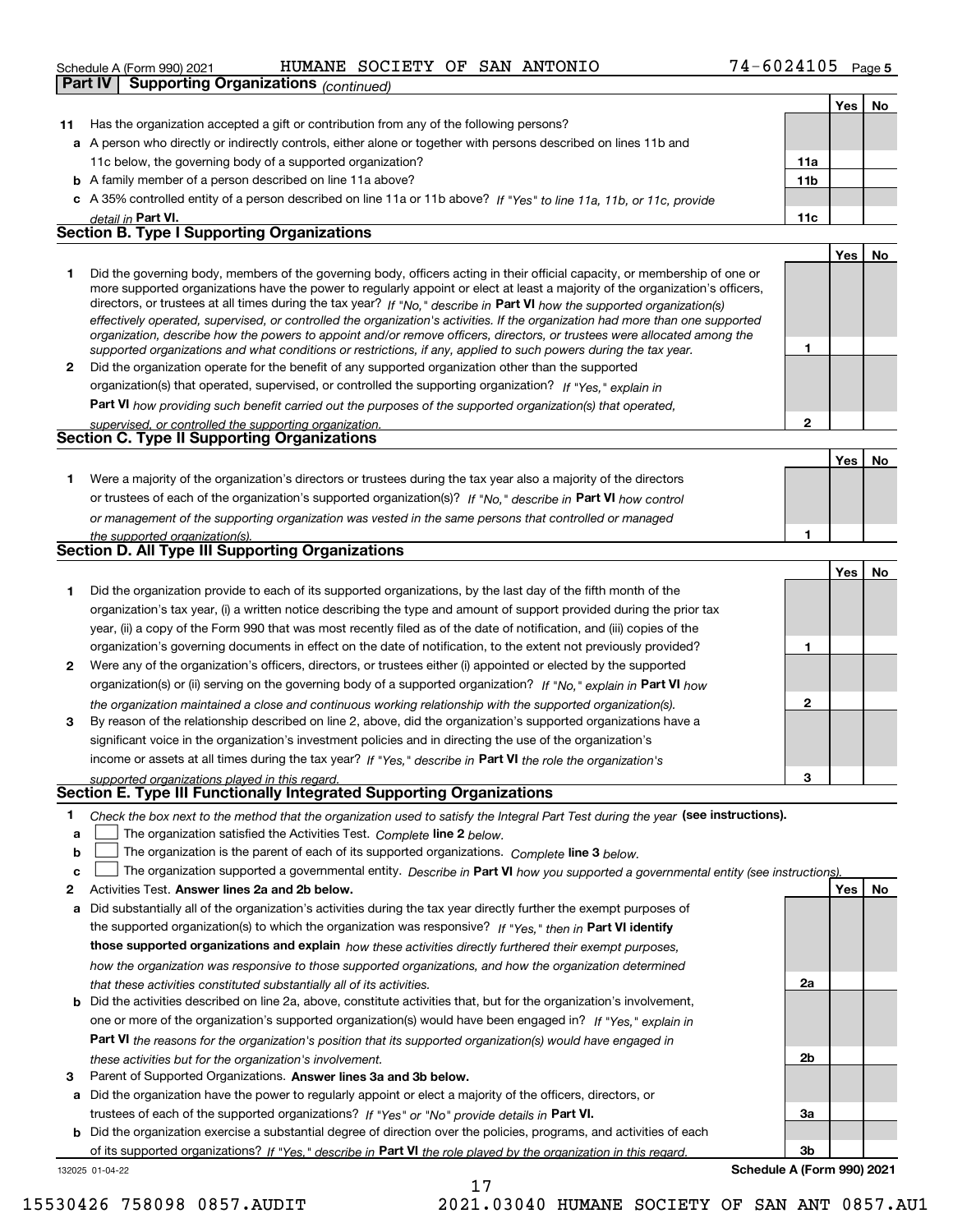|    |                                                                                                                  | Schedule A (Form 990) 2021                        | HUMANE | SOCIETY | OF |  | SAN ANTONIO                                                                                                          | 74-6024105 |     |     | Page 5 |
|----|------------------------------------------------------------------------------------------------------------------|---------------------------------------------------|--------|---------|----|--|----------------------------------------------------------------------------------------------------------------------|------------|-----|-----|--------|
|    | Part IV                                                                                                          | <b>Supporting Organizations (continued)</b>       |        |         |    |  |                                                                                                                      |            |     |     |        |
|    |                                                                                                                  |                                                   |        |         |    |  |                                                                                                                      |            |     | Yes | No     |
| 11 | Has the organization accepted a gift or contribution from any of the following persons?                          |                                                   |        |         |    |  |                                                                                                                      |            |     |     |        |
|    | a A person who directly or indirectly controls, either alone or together with persons described on lines 11b and |                                                   |        |         |    |  |                                                                                                                      |            |     |     |        |
|    | 11c below, the governing body of a supported organization?                                                       |                                                   |        |         |    |  | 11a                                                                                                                  |            |     |     |        |
|    | <b>b</b> A family member of a person described on line 11a above?                                                |                                                   |        |         |    |  |                                                                                                                      | 11b        |     |     |        |
|    |                                                                                                                  |                                                   |        |         |    |  | c A 35% controlled entity of a person described on line 11a or 11b above? If "Yes" to line 11a, 11b, or 11c, provide |            |     |     |        |
|    |                                                                                                                  | detail in Part VI.                                |        |         |    |  |                                                                                                                      |            | 11c |     |        |
|    |                                                                                                                  | <b>Section B. Type I Supporting Organizations</b> |        |         |    |  |                                                                                                                      |            |     |     |        |
|    |                                                                                                                  |                                                   |        |         |    |  |                                                                                                                      |            |     |     |        |

|              | Did the governing body, members of the governing body, officers acting in their official capacity, or membership of one or<br>more supported organizations have the power to regularly appoint or elect at least a majority of the organization's officers,<br>directors, or trustees at all times during the tax year? If "No," describe in Part VI how the supported organization(s)<br>effectively operated, supervised, or controlled the organization's activities. If the organization had more than one supported<br>organization, describe how the powers to appoint and/or remove officers, directors, or trustees were allocated among the |  |  |
|--------------|------------------------------------------------------------------------------------------------------------------------------------------------------------------------------------------------------------------------------------------------------------------------------------------------------------------------------------------------------------------------------------------------------------------------------------------------------------------------------------------------------------------------------------------------------------------------------------------------------------------------------------------------------|--|--|
|              | supported organizations and what conditions or restrictions, if any, applied to such powers during the tax year.                                                                                                                                                                                                                                                                                                                                                                                                                                                                                                                                     |  |  |
| $\mathbf{2}$ | Did the organization operate for the benefit of any supported organization other than the supported                                                                                                                                                                                                                                                                                                                                                                                                                                                                                                                                                  |  |  |
|              | organization(s) that operated, supervised, or controlled the supporting organization? If "Yes," explain in                                                                                                                                                                                                                                                                                                                                                                                                                                                                                                                                           |  |  |
|              | Part VI how providing such benefit carried out the purposes of the supported organization(s) that operated,                                                                                                                                                                                                                                                                                                                                                                                                                                                                                                                                          |  |  |
|              | supervised, or controlled the supporting organization.                                                                                                                                                                                                                                                                                                                                                                                                                                                                                                                                                                                               |  |  |
|              | <b>Section C. Type II Supporting Organizations</b>                                                                                                                                                                                                                                                                                                                                                                                                                                                                                                                                                                                                   |  |  |
|              |                                                                                                                                                                                                                                                                                                                                                                                                                                                                                                                                                                                                                                                      |  |  |

**1**or trustees of each of the organization's supported organization(s)? If "No," describe in **Part VI** how control **1***or management of the supporting organization was vested in the same persons that controlled or managed the supported organization(s).* Were a majority of the organization's directors or trustees during the tax year also a majority of the directors **Section D. All Type III Supporting Organizations**

|              | . .<br>. .                                                                                                             |   |       |    |
|--------------|------------------------------------------------------------------------------------------------------------------------|---|-------|----|
|              |                                                                                                                        |   | Yes l | No |
|              | Did the organization provide to each of its supported organizations, by the last day of the fifth month of the         |   |       |    |
|              | organization's tax year, (i) a written notice describing the type and amount of support provided during the prior tax  |   |       |    |
|              | year, (ii) a copy of the Form 990 that was most recently filed as of the date of notification, and (iii) copies of the |   |       |    |
|              | organization's governing documents in effect on the date of notification, to the extent not previously provided?       |   |       |    |
| $\mathbf{2}$ | Were any of the organization's officers, directors, or trustees either (i) appointed or elected by the supported       |   |       |    |
|              | organization(s) or (ii) serving on the governing body of a supported organization? If "No," explain in Part VI how     |   |       |    |
|              | the organization maintained a close and continuous working relationship with the supported organization(s).            | 2 |       |    |
| 3            | By reason of the relationship described on line 2, above, did the organization's supported organizations have a        |   |       |    |
|              | significant voice in the organization's investment policies and in directing the use of the organization's             |   |       |    |
|              | income or assets at all times during the tax year? If "Yes," describe in Part VI the role the organization's           |   |       |    |
|              | supported organizations played in this regard                                                                          | з |       |    |

## *supported organizations played in this regard.* **Section E. Type III Functionally Integrated Supporting Organizations**

- **1**Check the box next to the method that the organization used to satisfy the Integral Part Test during the year (see instructions).
- **alinupy** The organization satisfied the Activities Test. Complete line 2 below.
- **b**The organization is the parent of each of its supported organizations. *Complete* line 3 *below.*  $\mathcal{L}^{\text{max}}$

|  |  | c $\Box$ The organization supported a governmental entity. Describe in Part VI how you supported a governmental entity (see instructions). |  |  |  |  |  |  |  |
|--|--|--------------------------------------------------------------------------------------------------------------------------------------------|--|--|--|--|--|--|--|
|--|--|--------------------------------------------------------------------------------------------------------------------------------------------|--|--|--|--|--|--|--|

17

**2Answer lines 2a and 2b below. Yes No** Activities Test.

- **a** Did substantially all of the organization's activities during the tax year directly further the exempt purposes of the supported organization(s) to which the organization was responsive? If "Yes," then in **Part VI identify those supported organizations and explain**  *how these activities directly furthered their exempt purposes, how the organization was responsive to those supported organizations, and how the organization determined that these activities constituted substantially all of its activities.*
- **b** Did the activities described on line 2a, above, constitute activities that, but for the organization's involvement, **Part VI**  *the reasons for the organization's position that its supported organization(s) would have engaged in* one or more of the organization's supported organization(s) would have been engaged in? If "Yes," e*xplain in these activities but for the organization's involvement.*
- **3**Parent of Supported Organizations. Answer lines 3a and 3b below.

**a** Did the organization have the power to regularly appoint or elect a majority of the officers, directors, or trustees of each of the supported organizations? If "Yes" or "No" provide details in **Part VI.** 

132025 01-04-22 **b** Did the organization exercise a substantial degree of direction over the policies, programs, and activities of each of its supported organizations? If "Yes," describe in Part VI the role played by the organization in this regard.

**3bSchedule A (Form 990) 2021**

**2a**

**2b**

**3a**

**Yes No**

15530426 758098 0857.AUDIT 2021.03040 HUMANE SOCIETY OF SAN ANT 0857.AU1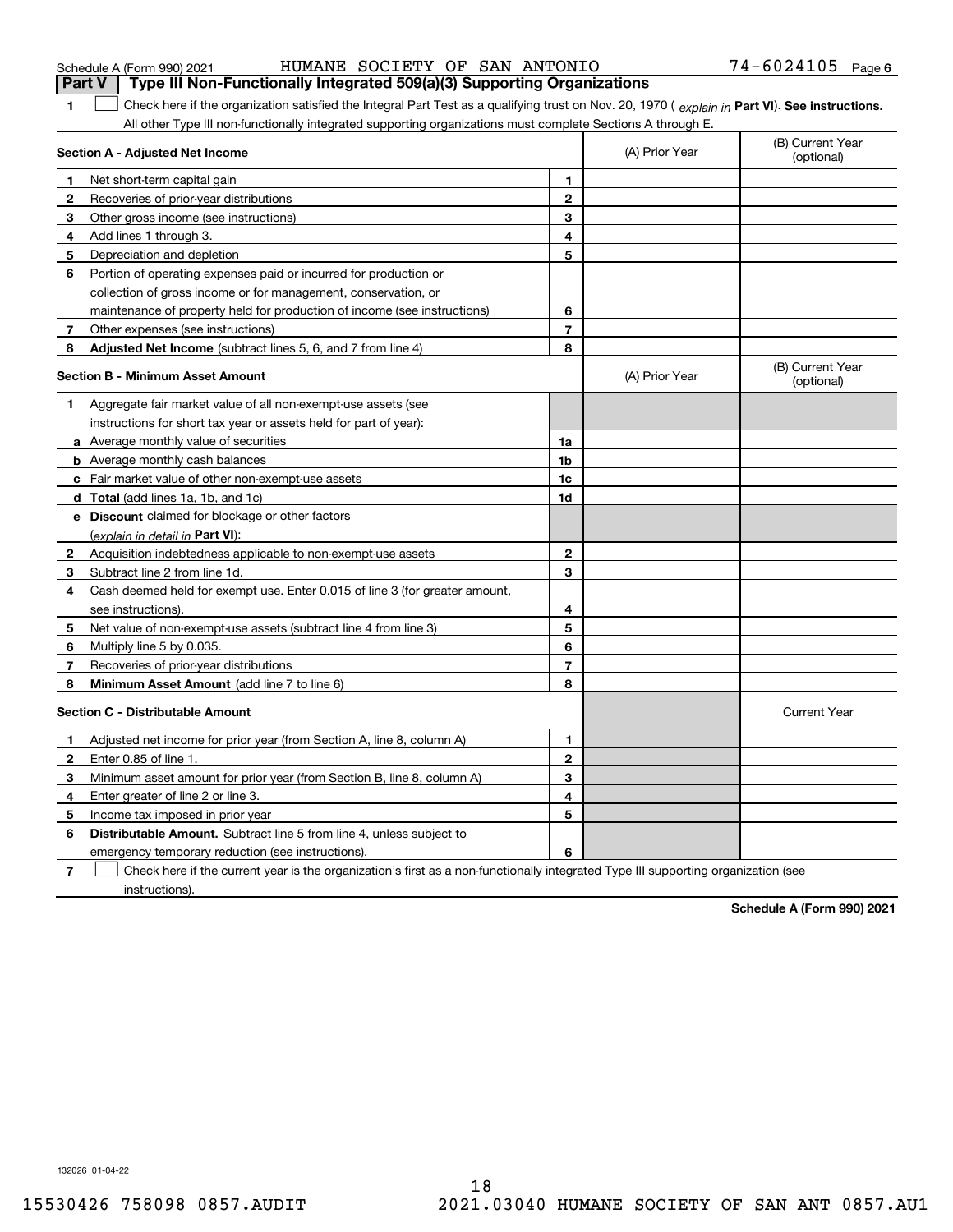| Schedule A (Form 990) 2021 |  | HUMANE SOCIETY OF SAN ANTONIO |  | 74-6024105 | Page 6 |
|----------------------------|--|-------------------------------|--|------------|--------|
|                            |  |                               |  |            |        |

|                | Part V<br>Type III Non-Functionally Integrated 509(a)(3) Supporting Organizations                                                              |                |                |                                |
|----------------|------------------------------------------------------------------------------------------------------------------------------------------------|----------------|----------------|--------------------------------|
| 1              | Check here if the organization satisfied the Integral Part Test as a qualifying trust on Nov. 20, 1970 (explain in Part VI). See instructions. |                |                |                                |
|                | All other Type III non-functionally integrated supporting organizations must complete Sections A through E.                                    |                |                |                                |
|                | Section A - Adjusted Net Income                                                                                                                |                | (A) Prior Year | (B) Current Year<br>(optional) |
| 1              | Net short-term capital gain                                                                                                                    | 1              |                |                                |
| 2              | Recoveries of prior-year distributions                                                                                                         | $\mathbf{2}$   |                |                                |
| 3              | Other gross income (see instructions)                                                                                                          | 3              |                |                                |
| 4              | Add lines 1 through 3.                                                                                                                         | 4              |                |                                |
| 5              | Depreciation and depletion                                                                                                                     | 5              |                |                                |
| 6              | Portion of operating expenses paid or incurred for production or                                                                               |                |                |                                |
|                | collection of gross income or for management, conservation, or                                                                                 |                |                |                                |
|                | maintenance of property held for production of income (see instructions)                                                                       | 6              |                |                                |
| $\overline{7}$ | Other expenses (see instructions)                                                                                                              | $\overline{7}$ |                |                                |
| 8              | <b>Adjusted Net Income</b> (subtract lines 5, 6, and 7 from line 4)                                                                            | 8              |                |                                |
|                | <b>Section B - Minimum Asset Amount</b>                                                                                                        |                | (A) Prior Year | (B) Current Year<br>(optional) |
| 1              | Aggregate fair market value of all non-exempt-use assets (see                                                                                  |                |                |                                |
|                | instructions for short tax year or assets held for part of year):                                                                              |                |                |                                |
|                | a Average monthly value of securities                                                                                                          | 1a             |                |                                |
|                | <b>b</b> Average monthly cash balances                                                                                                         | 1b             |                |                                |
|                | c Fair market value of other non-exempt-use assets                                                                                             | 1c             |                |                                |
|                | <b>d</b> Total (add lines 1a, 1b, and 1c)                                                                                                      | 1d             |                |                                |
|                | e Discount claimed for blockage or other factors                                                                                               |                |                |                                |
|                | (explain in detail in Part VI):                                                                                                                |                |                |                                |
| 2              | Acquisition indebtedness applicable to non-exempt-use assets                                                                                   | $\mathbf{2}$   |                |                                |
| 3              | Subtract line 2 from line 1d.                                                                                                                  | 3              |                |                                |
| 4              | Cash deemed held for exempt use. Enter 0.015 of line 3 (for greater amount,                                                                    |                |                |                                |
|                | see instructions).                                                                                                                             | 4              |                |                                |
| 5              | Net value of non-exempt-use assets (subtract line 4 from line 3)                                                                               | 5              |                |                                |
| 6              | Multiply line 5 by 0.035.                                                                                                                      | 6              |                |                                |
| 7              | Recoveries of prior-year distributions                                                                                                         | $\overline{7}$ |                |                                |
| 8              | Minimum Asset Amount (add line 7 to line 6)                                                                                                    | 8              |                |                                |
|                | <b>Section C - Distributable Amount</b>                                                                                                        |                |                | <b>Current Year</b>            |
| 1              | Adjusted net income for prior year (from Section A, line 8, column A)                                                                          | 1              |                |                                |
| $\mathbf{2}$   | Enter 0.85 of line 1.                                                                                                                          | $\overline{2}$ |                |                                |
| 3              | Minimum asset amount for prior year (from Section B, line 8, column A)                                                                         | 3              |                |                                |
| 4              | Enter greater of line 2 or line 3.                                                                                                             | 4              |                |                                |
| 5              | Income tax imposed in prior year                                                                                                               | 5              |                |                                |
| 6              | <b>Distributable Amount.</b> Subtract line 5 from line 4, unless subject to                                                                    |                |                |                                |
|                | emergency temporary reduction (see instructions).                                                                                              | 6              |                |                                |
| 7              | Check here if the current year is the organization's first as a non-functionally integrated Type III supporting organization (see              |                |                |                                |

instructions).

**Schedule A (Form 990) 2021**

132026 01-04-22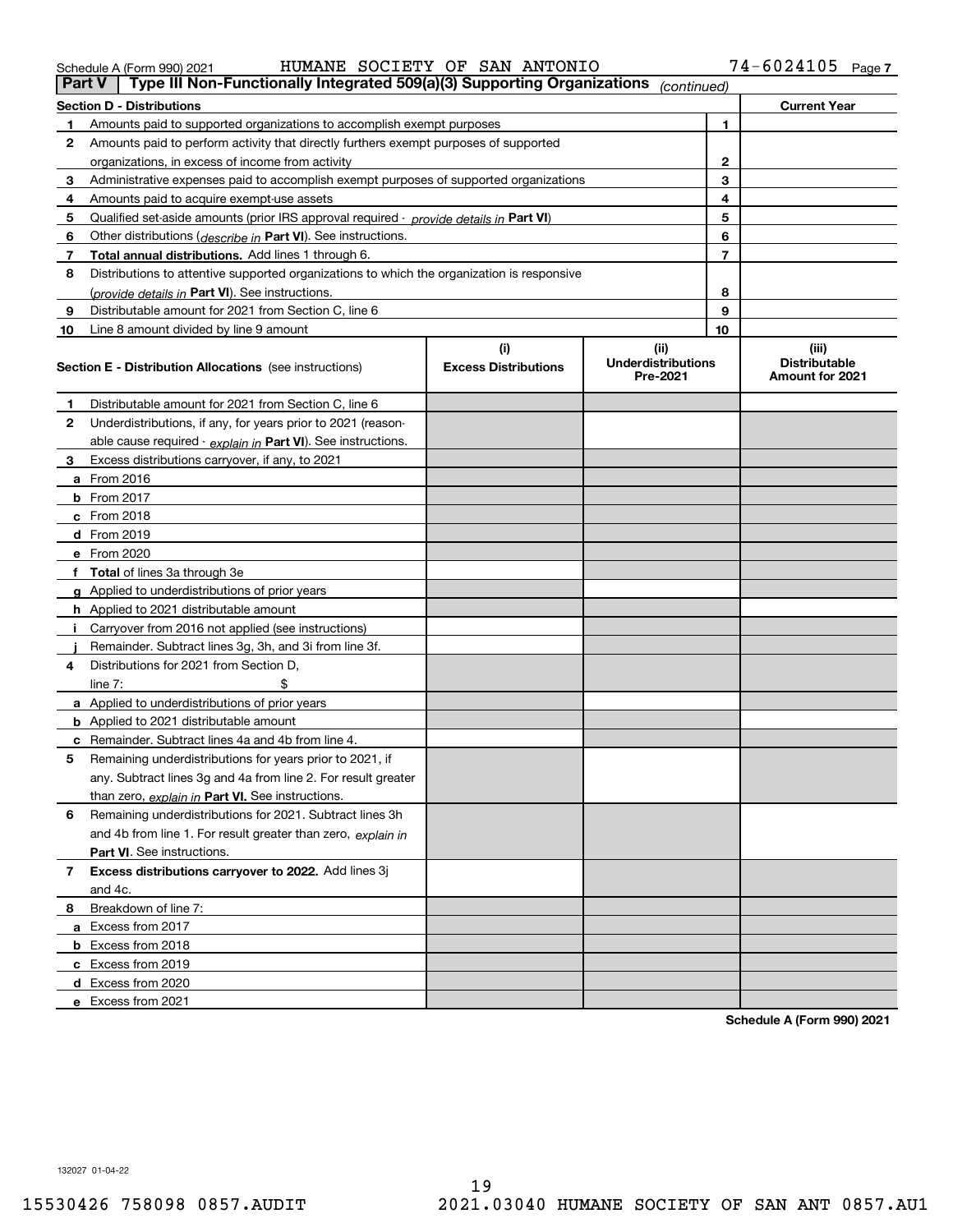**Schedule A (Form 990) 2021**

| 4  | Amounts paid to acquire exempt-use assets                                                  | 4                                  |                                               |                |                                                  |
|----|--------------------------------------------------------------------------------------------|------------------------------------|-----------------------------------------------|----------------|--------------------------------------------------|
| 5  | Qualified set-aside amounts (prior IRS approval required - provide details in Part VI)     |                                    | 5                                             |                |                                                  |
| 6  | Other distributions (describe in Part VI). See instructions.                               |                                    | 6                                             |                |                                                  |
| 7  | Total annual distributions. Add lines 1 through 6.                                         |                                    |                                               | $\overline{7}$ |                                                  |
| 8  | Distributions to attentive supported organizations to which the organization is responsive |                                    |                                               |                |                                                  |
|    | (provide details in Part VI). See instructions.                                            |                                    |                                               | 8              |                                                  |
| 9  | Distributable amount for 2021 from Section C, line 6                                       |                                    |                                               | 9              |                                                  |
| 10 | Line 8 amount divided by line 9 amount                                                     |                                    |                                               | 10             |                                                  |
|    | <b>Section E - Distribution Allocations</b> (see instructions)                             | (i)<br><b>Excess Distributions</b> | (ii)<br><b>Underdistributions</b><br>Pre-2021 |                | (iii)<br><b>Distributable</b><br>Amount for 2021 |
| 1  | Distributable amount for 2021 from Section C, line 6                                       |                                    |                                               |                |                                                  |
| 2  | Underdistributions, if any, for years prior to 2021 (reason-                               |                                    |                                               |                |                                                  |
|    | able cause required - explain in Part VI). See instructions.                               |                                    |                                               |                |                                                  |
| 3  | Excess distributions carryover, if any, to 2021                                            |                                    |                                               |                |                                                  |
|    | a From 2016                                                                                |                                    |                                               |                |                                                  |
|    | <b>b</b> From 2017                                                                         |                                    |                                               |                |                                                  |
|    | $c$ From 2018                                                                              |                                    |                                               |                |                                                  |
|    | d From 2019                                                                                |                                    |                                               |                |                                                  |
|    | e From 2020                                                                                |                                    |                                               |                |                                                  |
|    | Total of lines 3a through 3e                                                               |                                    |                                               |                |                                                  |
|    | <b>g</b> Applied to underdistributions of prior years                                      |                                    |                                               |                |                                                  |
|    | <b>h</b> Applied to 2021 distributable amount                                              |                                    |                                               |                |                                                  |
|    | Carryover from 2016 not applied (see instructions)                                         |                                    |                                               |                |                                                  |
|    | Remainder. Subtract lines 3g, 3h, and 3i from line 3f.                                     |                                    |                                               |                |                                                  |
| 4  | Distributions for 2021 from Section D,                                                     |                                    |                                               |                |                                                  |
|    | line $7:$                                                                                  |                                    |                                               |                |                                                  |
|    | a Applied to underdistributions of prior years                                             |                                    |                                               |                |                                                  |
|    | <b>b</b> Applied to 2021 distributable amount                                              |                                    |                                               |                |                                                  |
|    | c Remainder. Subtract lines 4a and 4b from line 4.                                         |                                    |                                               |                |                                                  |
| 5  | Remaining underdistributions for years prior to 2021, if                                   |                                    |                                               |                |                                                  |
|    | any. Subtract lines 3g and 4a from line 2. For result greater                              |                                    |                                               |                |                                                  |
|    | than zero, explain in Part VI. See instructions.                                           |                                    |                                               |                |                                                  |
| 6  | Remaining underdistributions for 2021. Subtract lines 3h                                   |                                    |                                               |                |                                                  |
|    | and 4b from line 1. For result greater than zero, explain in                               |                                    |                                               |                |                                                  |
|    | <b>Part VI.</b> See instructions.                                                          |                                    |                                               |                |                                                  |
| 7  | Excess distributions carryover to 2022. Add lines 3j                                       |                                    |                                               |                |                                                  |
|    | and 4c.                                                                                    |                                    |                                               |                |                                                  |
| 8  | Breakdown of line 7:                                                                       |                                    |                                               |                |                                                  |
|    | a Excess from 2017                                                                         |                                    |                                               |                |                                                  |
|    | <b>b</b> Excess from 2018                                                                  |                                    |                                               |                |                                                  |
|    | c Excess from 2019                                                                         |                                    |                                               |                |                                                  |
|    | d Excess from 2020                                                                         |                                    |                                               |                |                                                  |
|    | e Excess from 2021                                                                         |                                    |                                               |                |                                                  |

Schedule A (Form 990) 2021 Page HUMANE SOCIETY OF SAN ANTONIO 74-6024105

**Section D - Distributions Current Year**

74-6024105 Page 7

**1**

**23**

# **Part V** Type III Non-Functionally Integrated 509(a)(3) Supporting Organizations (continued)

**1** Amounts paid to supported organizations to accomplish exempt purposes

organizations, in excess of income from activity

Amounts paid to perform activity that directly furthers exempt purposes of supported

Administrative expenses paid to accomplish exempt purposes of supported organizations

| Schedule A (Form 990) 2021 |  |
|----------------------------|--|
|                            |  |

**2**

**3**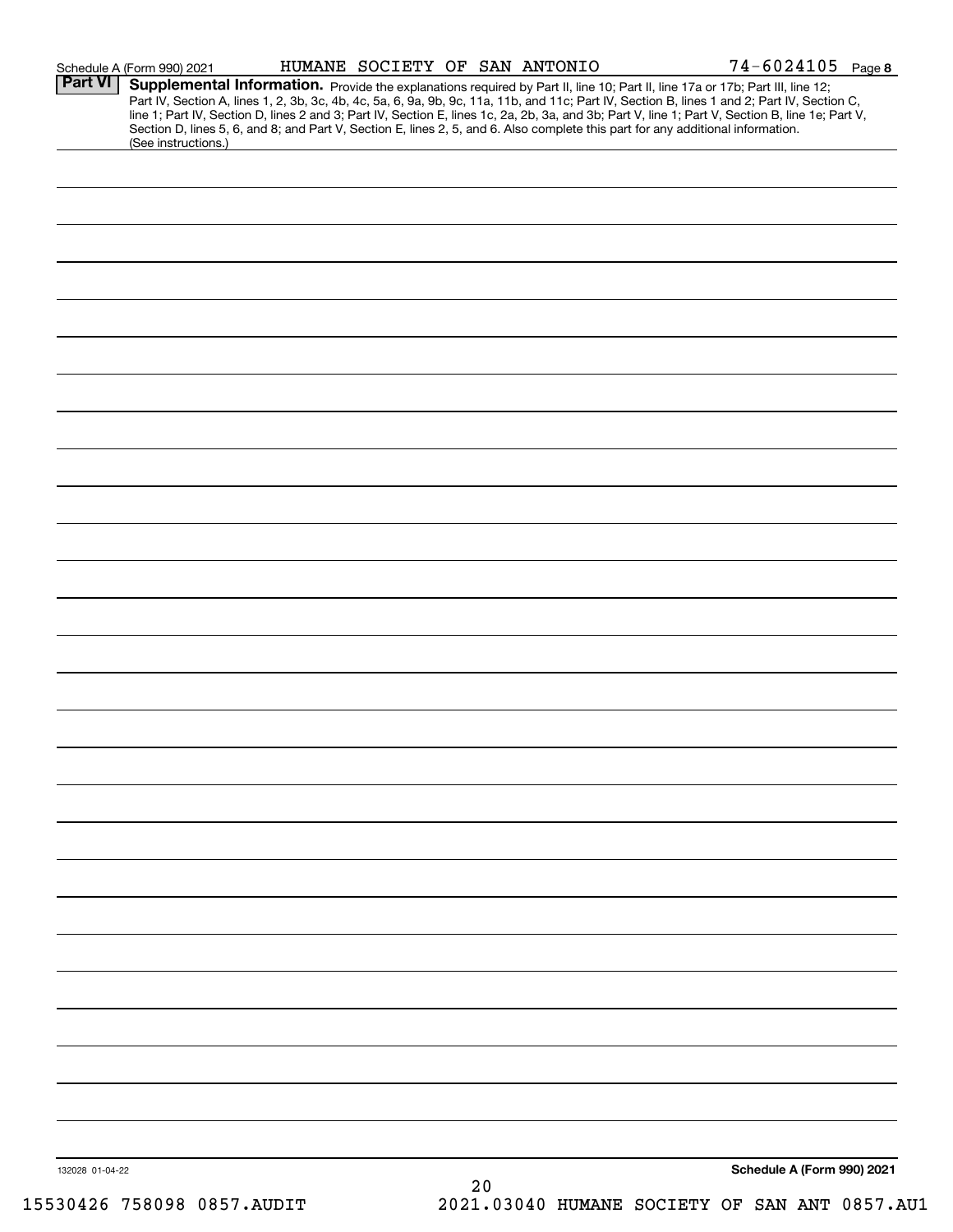|                 | Schedule A (Form 990) 2021                                                                                                                                                                                                                                                                                                                                                                                                                                                                                                  |  | HUMANE SOCIETY OF SAN ANTONIO | $74 - 6024105$ Page 8      |  |
|-----------------|-----------------------------------------------------------------------------------------------------------------------------------------------------------------------------------------------------------------------------------------------------------------------------------------------------------------------------------------------------------------------------------------------------------------------------------------------------------------------------------------------------------------------------|--|-------------------------------|----------------------------|--|
| <b>Part VI</b>  | Supplemental Information. Provide the explanations required by Part II, line 10; Part II, line 17a or 17b; Part III, line 12;<br>Part IV, Section A, lines 1, 2, 3b, 3c, 4b, 4c, 5a, 6, 9a, 9b, 9c, 11a, 11b, and 11c; Part IV, Section B, lines 1 and 2; Part IV, Section C,<br>line 1; Part IV, Section D, lines 2 and 3; Part IV, Section E, lines 1c, 2a, 2b,<br>Section D, lines 5, 6, and 8; and Part V, Section E, lines 2, 5, and 6. Also complete this part for any additional information.<br>(See instructions.) |  |                               |                            |  |
|                 |                                                                                                                                                                                                                                                                                                                                                                                                                                                                                                                             |  |                               |                            |  |
|                 |                                                                                                                                                                                                                                                                                                                                                                                                                                                                                                                             |  |                               |                            |  |
|                 |                                                                                                                                                                                                                                                                                                                                                                                                                                                                                                                             |  |                               |                            |  |
|                 |                                                                                                                                                                                                                                                                                                                                                                                                                                                                                                                             |  |                               |                            |  |
|                 |                                                                                                                                                                                                                                                                                                                                                                                                                                                                                                                             |  |                               |                            |  |
|                 |                                                                                                                                                                                                                                                                                                                                                                                                                                                                                                                             |  |                               |                            |  |
|                 |                                                                                                                                                                                                                                                                                                                                                                                                                                                                                                                             |  |                               |                            |  |
|                 |                                                                                                                                                                                                                                                                                                                                                                                                                                                                                                                             |  |                               |                            |  |
|                 |                                                                                                                                                                                                                                                                                                                                                                                                                                                                                                                             |  |                               |                            |  |
|                 |                                                                                                                                                                                                                                                                                                                                                                                                                                                                                                                             |  |                               |                            |  |
|                 |                                                                                                                                                                                                                                                                                                                                                                                                                                                                                                                             |  |                               |                            |  |
|                 |                                                                                                                                                                                                                                                                                                                                                                                                                                                                                                                             |  |                               |                            |  |
|                 |                                                                                                                                                                                                                                                                                                                                                                                                                                                                                                                             |  |                               |                            |  |
|                 |                                                                                                                                                                                                                                                                                                                                                                                                                                                                                                                             |  |                               |                            |  |
|                 |                                                                                                                                                                                                                                                                                                                                                                                                                                                                                                                             |  |                               |                            |  |
|                 |                                                                                                                                                                                                                                                                                                                                                                                                                                                                                                                             |  |                               |                            |  |
|                 |                                                                                                                                                                                                                                                                                                                                                                                                                                                                                                                             |  |                               |                            |  |
|                 |                                                                                                                                                                                                                                                                                                                                                                                                                                                                                                                             |  |                               |                            |  |
|                 |                                                                                                                                                                                                                                                                                                                                                                                                                                                                                                                             |  |                               |                            |  |
|                 |                                                                                                                                                                                                                                                                                                                                                                                                                                                                                                                             |  |                               |                            |  |
|                 |                                                                                                                                                                                                                                                                                                                                                                                                                                                                                                                             |  |                               |                            |  |
|                 |                                                                                                                                                                                                                                                                                                                                                                                                                                                                                                                             |  |                               |                            |  |
|                 |                                                                                                                                                                                                                                                                                                                                                                                                                                                                                                                             |  |                               |                            |  |
|                 |                                                                                                                                                                                                                                                                                                                                                                                                                                                                                                                             |  |                               |                            |  |
|                 |                                                                                                                                                                                                                                                                                                                                                                                                                                                                                                                             |  |                               |                            |  |
|                 |                                                                                                                                                                                                                                                                                                                                                                                                                                                                                                                             |  |                               |                            |  |
|                 |                                                                                                                                                                                                                                                                                                                                                                                                                                                                                                                             |  |                               |                            |  |
|                 |                                                                                                                                                                                                                                                                                                                                                                                                                                                                                                                             |  |                               |                            |  |
|                 |                                                                                                                                                                                                                                                                                                                                                                                                                                                                                                                             |  |                               |                            |  |
|                 |                                                                                                                                                                                                                                                                                                                                                                                                                                                                                                                             |  |                               |                            |  |
|                 |                                                                                                                                                                                                                                                                                                                                                                                                                                                                                                                             |  |                               |                            |  |
|                 |                                                                                                                                                                                                                                                                                                                                                                                                                                                                                                                             |  |                               |                            |  |
|                 |                                                                                                                                                                                                                                                                                                                                                                                                                                                                                                                             |  |                               |                            |  |
| 132028 01-04-22 |                                                                                                                                                                                                                                                                                                                                                                                                                                                                                                                             |  |                               | Schedule A (Form 990) 2021 |  |

15530426 758098 0857.AUDIT 2021.03040 HUMANE SOCIETY OF SAN ANT 0857.AU1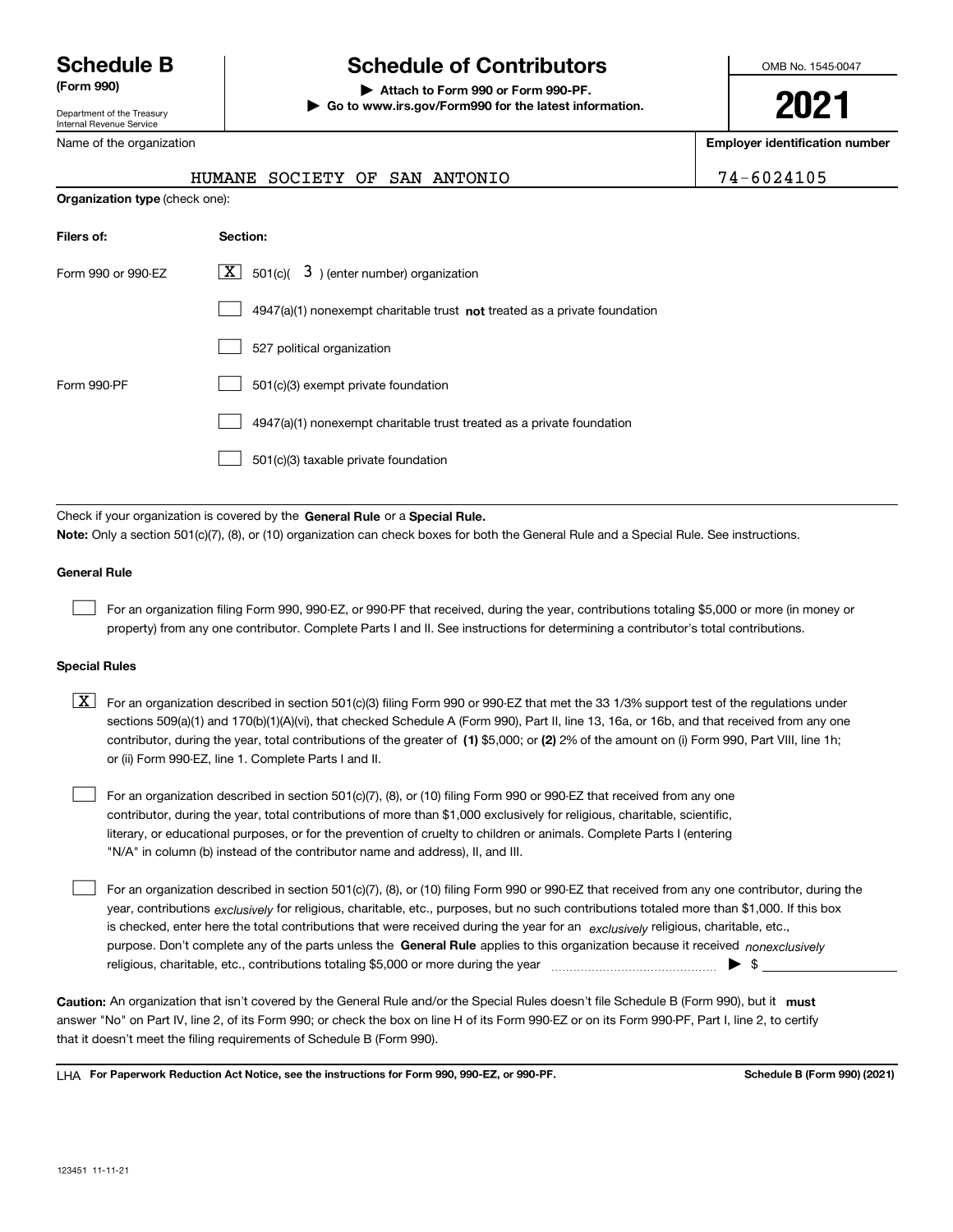Department of the Treasury Internal Revenue Service

Name of the organization

## **Schedule B Schedule of Contributors**

**(Form 990) | Attach to Form 990 or Form 990-PF. | Go to www.irs.gov/Form990 for the latest information.** OMB No. 1545-0047

**2021**

**Employer identification number**

|  | 74-6024105 |  |  |  |  |
|--|------------|--|--|--|--|
|  |            |  |  |  |  |

|                                | HUMANE SOCIETY OF SAN ANTONIO                                               | 74-6024105 |
|--------------------------------|-----------------------------------------------------------------------------|------------|
| Organization type (check one): |                                                                             |            |
| Filers of:                     | Section:                                                                    |            |
| Form 990 or 990-EZ             | $\boxed{\textbf{X}}$ 501(c)( 3) (enter number) organization                 |            |
|                                | $4947(a)(1)$ nonexempt charitable trust not treated as a private foundation |            |
|                                | 527 political organization                                                  |            |
| Form 990-PF                    | 501(c)(3) exempt private foundation                                         |            |
|                                | 4947(a)(1) nonexempt charitable trust treated as a private foundation       |            |
|                                | 501(c)(3) taxable private foundation                                        |            |
|                                |                                                                             |            |

Check if your organization is covered by the **General Rule** or a **Special Rule. Note:**  Only a section 501(c)(7), (8), or (10) organization can check boxes for both the General Rule and a Special Rule. See instructions.

#### **General Rule**

 $\mathcal{L}^{\text{max}}$ 

For an organization filing Form 990, 990-EZ, or 990-PF that received, during the year, contributions totaling \$5,000 or more (in money or property) from any one contributor. Complete Parts I and II. See instructions for determining a contributor's total contributions.

#### **Special Rules**

contributor, during the year, total contributions of the greater of (1**)** \$5,000; or (2) 2% of the amount on (i) Form 990, Part VIII, line 1h;  $\boxed{\textbf{X}}$  For an organization described in section 501(c)(3) filing Form 990 or 990-EZ that met the 33 1/3% support test of the regulations under sections 509(a)(1) and 170(b)(1)(A)(vi), that checked Schedule A (Form 990), Part II, line 13, 16a, or 16b, and that received from any one or (ii) Form 990-EZ, line 1. Complete Parts I and II.

For an organization described in section 501(c)(7), (8), or (10) filing Form 990 or 990-EZ that received from any one contributor, during the year, total contributions of more than \$1,000 exclusively for religious, charitable, scientific, literary, or educational purposes, or for the prevention of cruelty to children or animals. Complete Parts I (entering "N/A" in column (b) instead of the contributor name and address), II, and III.  $\mathcal{L}^{\text{max}}$ 

purpose. Don't complete any of the parts unless the **General Rule** applies to this organization because it received *nonexclusively* year, contributions <sub>exclusively</sub> for religious, charitable, etc., purposes, but no such contributions totaled more than \$1,000. If this box is checked, enter here the total contributions that were received during the year for an  $\;$ exclusively religious, charitable, etc., For an organization described in section 501(c)(7), (8), or (10) filing Form 990 or 990-EZ that received from any one contributor, during the religious, charitable, etc., contributions totaling \$5,000 or more during the year  $\Box$ — $\Box$   $\Box$  $\mathcal{L}^{\text{max}}$ 

Caution: An organization that isn't covered by the General Rule and/or the Special Rules doesn't file Schedule B (Form 990), but it **must** answer "No" on Part IV, line 2, of its Form 990; or check the box on line H of its Form 990-EZ or on its Form 990-PF, Part I, line 2, to certify that it doesn't meet the filing requirements of Schedule B (Form 990).

LHA For Paperwork Reduction Act Notice, see the instructions for Form 990, 990-EZ, or 990-PF. **In the act and Schedule B** (Form 990) (2021)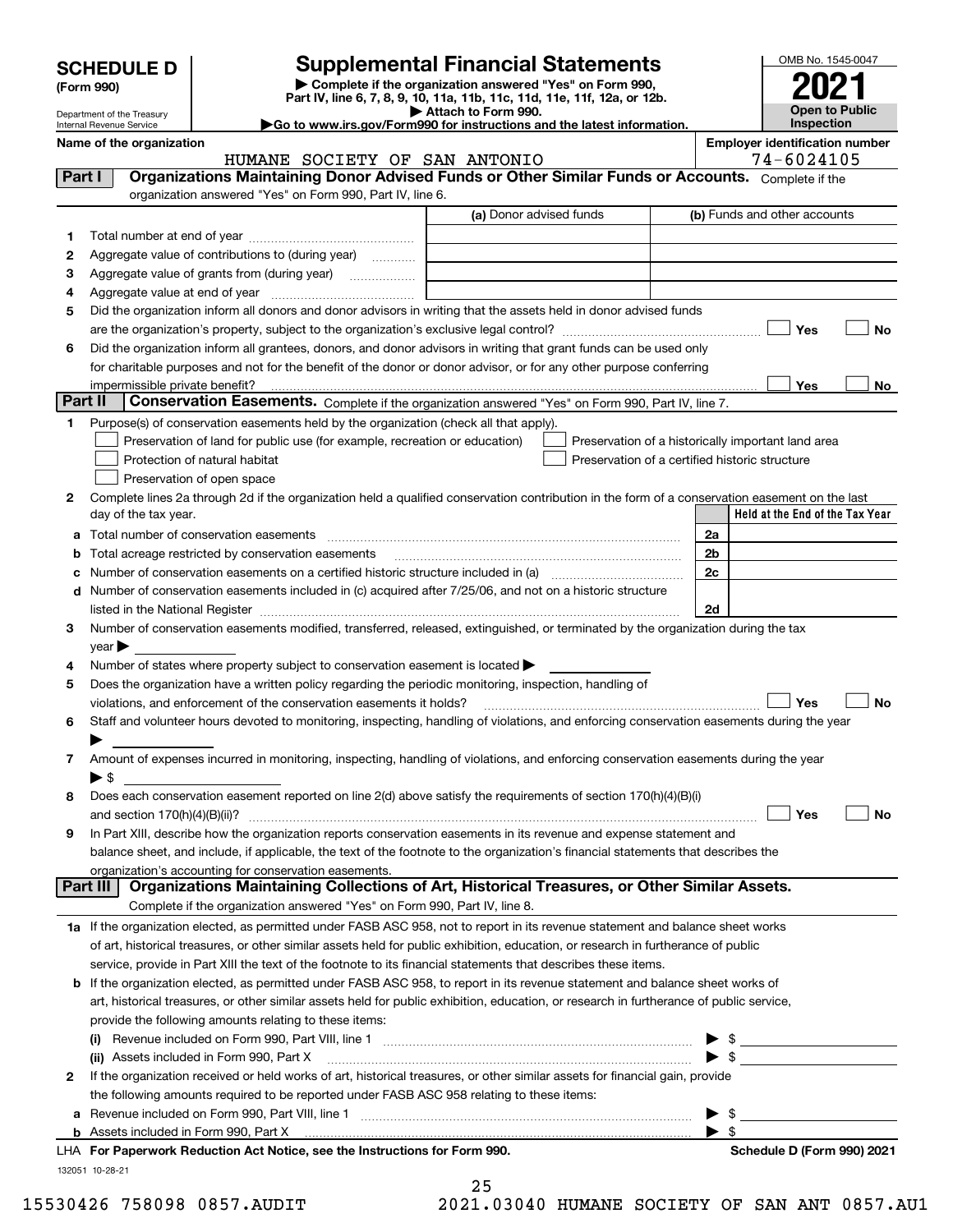| <b>SCHEDULE D</b> |  |
|-------------------|--|
|-------------------|--|

Department of the Treasury

| (Form 990) |
|------------|
|            |

## **Supplemental Financial Statements**

**| Complete if the organization answered "Yes" on Form 990, Part IV, line 6, 7, 8, 9, 10, 11a, 11b, 11c, 11d, 11e, 11f, 12a, or 12b. | Attach to Form 990.**

**|Go to www.irs.gov/Form990 for instructions and the latest information.**



Internal Revenue Service

#### **Name of the organization**<br>**Employer identification number**<br>74 – 6024105 HUMANE SOCIETY OF SAN ANTONIO

| Part I          | norrua bocinii ol pan anionic<br>Organizations Maintaining Donor Advised Funds or Other Similar Funds or Accounts. Complete if the                                                                                            |                         | 73 9943193                                         |
|-----------------|-------------------------------------------------------------------------------------------------------------------------------------------------------------------------------------------------------------------------------|-------------------------|----------------------------------------------------|
|                 | organization answered "Yes" on Form 990, Part IV, line 6.                                                                                                                                                                     |                         |                                                    |
|                 |                                                                                                                                                                                                                               | (a) Donor advised funds | (b) Funds and other accounts                       |
| 1               |                                                                                                                                                                                                                               |                         |                                                    |
| 2               | Aggregate value of contributions to (during year)                                                                                                                                                                             |                         |                                                    |
| 3               | Aggregate value of grants from (during year)                                                                                                                                                                                  |                         |                                                    |
| 4               |                                                                                                                                                                                                                               |                         |                                                    |
| 5               | Did the organization inform all donors and donor advisors in writing that the assets held in donor advised funds                                                                                                              |                         |                                                    |
|                 |                                                                                                                                                                                                                               |                         | Yes<br>No                                          |
| 6               | Did the organization inform all grantees, donors, and donor advisors in writing that grant funds can be used only                                                                                                             |                         |                                                    |
|                 | for charitable purposes and not for the benefit of the donor or donor advisor, or for any other purpose conferring                                                                                                            |                         |                                                    |
|                 | impermissible private benefit?                                                                                                                                                                                                |                         | Yes<br>No.                                         |
| Part II         | Conservation Easements. Complete if the organization answered "Yes" on Form 990, Part IV, line 7.                                                                                                                             |                         |                                                    |
| 1.              | Purpose(s) of conservation easements held by the organization (check all that apply).                                                                                                                                         |                         |                                                    |
|                 | Preservation of land for public use (for example, recreation or education)                                                                                                                                                    |                         | Preservation of a historically important land area |
|                 | Protection of natural habitat                                                                                                                                                                                                 |                         | Preservation of a certified historic structure     |
|                 | Preservation of open space                                                                                                                                                                                                    |                         |                                                    |
| 2               | Complete lines 2a through 2d if the organization held a qualified conservation contribution in the form of a conservation easement on the last                                                                                |                         |                                                    |
|                 | day of the tax year.                                                                                                                                                                                                          |                         | Held at the End of the Tax Year                    |
|                 | <b>a</b> Total number of conservation easements                                                                                                                                                                               |                         | 2a                                                 |
|                 | <b>b</b> Total acreage restricted by conservation easements                                                                                                                                                                   |                         | 2b                                                 |
|                 | c Number of conservation easements on a certified historic structure included in (a) manufacture of conservation                                                                                                              |                         | 2c                                                 |
|                 | d Number of conservation easements included in (c) acquired after 7/25/06, and not on a historic structure                                                                                                                    |                         |                                                    |
|                 | listed in the National Register [111] Marshall Register [11] Marshall Register [11] Marshall Register [11] Marshall Register [11] Marshall Register [11] Marshall Register [11] Marshall Register [11] Marshall Register [11] |                         | 2d                                                 |
| 3               | Number of conservation easements modified, transferred, released, extinguished, or terminated by the organization during the tax                                                                                              |                         |                                                    |
|                 | $year \blacktriangleright$                                                                                                                                                                                                    |                         |                                                    |
| 4               | Number of states where property subject to conservation easement is located                                                                                                                                                   |                         |                                                    |
| 5               | Does the organization have a written policy regarding the periodic monitoring, inspection, handling of                                                                                                                        |                         |                                                    |
|                 | violations, and enforcement of the conservation easements it holds?                                                                                                                                                           |                         | Yes<br>No                                          |
| 6               | Staff and volunteer hours devoted to monitoring, inspecting, handling of violations, and enforcing conservation easements during the year                                                                                     |                         |                                                    |
|                 | Amount of expenses incurred in monitoring, inspecting, handling of violations, and enforcing conservation easements during the year                                                                                           |                         |                                                    |
|                 | $\blacktriangleright$ \$                                                                                                                                                                                                      |                         |                                                    |
| 8               | Does each conservation easement reported on line 2(d) above satisfy the requirements of section 170(h)(4)(B)(i)                                                                                                               |                         |                                                    |
|                 |                                                                                                                                                                                                                               |                         | Yes<br>No                                          |
| 9               | In Part XIII, describe how the organization reports conservation easements in its revenue and expense statement and                                                                                                           |                         |                                                    |
|                 | balance sheet, and include, if applicable, the text of the footnote to the organization's financial statements that describes the                                                                                             |                         |                                                    |
|                 | organization's accounting for conservation easements.                                                                                                                                                                         |                         |                                                    |
| <b>Part III</b> | Organizations Maintaining Collections of Art, Historical Treasures, or Other Similar Assets.                                                                                                                                  |                         |                                                    |
|                 | Complete if the organization answered "Yes" on Form 990, Part IV, line 8.                                                                                                                                                     |                         |                                                    |
|                 | 1a If the organization elected, as permitted under FASB ASC 958, not to report in its revenue statement and balance sheet works                                                                                               |                         |                                                    |
|                 | of art, historical treasures, or other similar assets held for public exhibition, education, or research in furtherance of public                                                                                             |                         |                                                    |
|                 | service, provide in Part XIII the text of the footnote to its financial statements that describes these items.                                                                                                                |                         |                                                    |
|                 | <b>b</b> If the organization elected, as permitted under FASB ASC 958, to report in its revenue statement and balance sheet works of                                                                                          |                         |                                                    |
|                 | art, historical treasures, or other similar assets held for public exhibition, education, or research in furtherance of public service,                                                                                       |                         |                                                    |
|                 | provide the following amounts relating to these items:                                                                                                                                                                        |                         |                                                    |
|                 |                                                                                                                                                                                                                               |                         | $\blacktriangleright$ \$                           |
|                 | (ii) Assets included in Form 990, Part X [11] [2000] [2010] Assets included in Form 990, Part X [11] [11] [200                                                                                                                |                         | $\triangleright$ \$                                |
| 2               | If the organization received or held works of art, historical treasures, or other similar assets for financial gain, provide                                                                                                  |                         |                                                    |
|                 | the following amounts required to be reported under FASB ASC 958 relating to these items:                                                                                                                                     |                         |                                                    |
|                 |                                                                                                                                                                                                                               |                         | $\triangleright$ \$                                |
|                 |                                                                                                                                                                                                                               |                         | $\blacktriangleright$ s                            |
|                 | LHA For Paperwork Reduction Act Notice, see the Instructions for Form 990.                                                                                                                                                    |                         | Schedule D (Form 990) 2021                         |
|                 | 132051 10-28-21                                                                                                                                                                                                               |                         |                                                    |

|      | 25 |  |            |  |
|------|----|--|------------|--|
| ົດ 4 |    |  | . <i>.</i> |  |

15530426 758098 0857.AUDIT 2021.03040 HUMANE SOCIETY OF SAN ANT 0857.AU1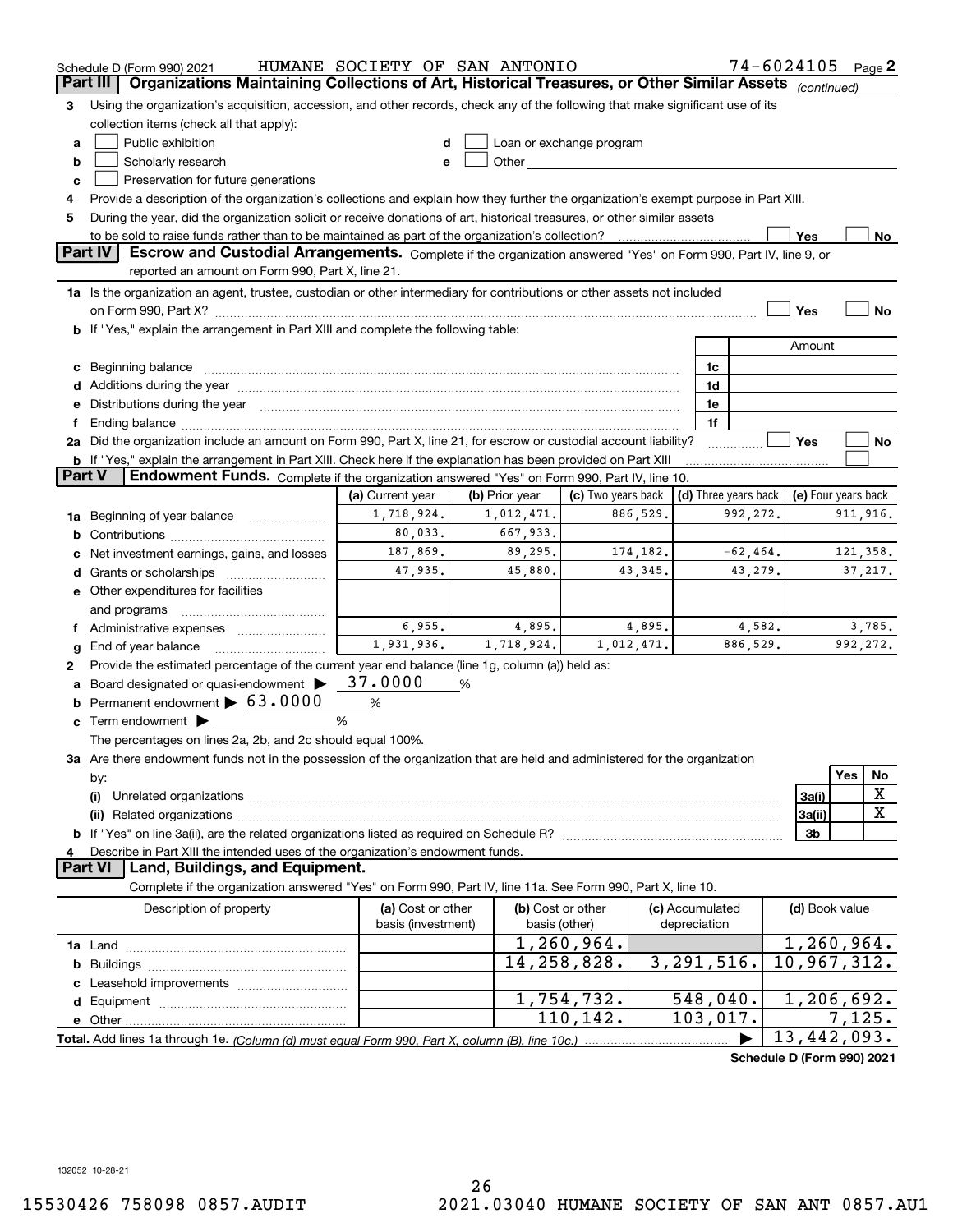|          | Schedule D (Form 990) 2021                                                                                                                                                                                                                                                                                                                           | HUMANE SOCIETY OF SAN ANTONIO |                   |                          |                      | $74 - 6024105$ Page 2 |                     |           |             |
|----------|------------------------------------------------------------------------------------------------------------------------------------------------------------------------------------------------------------------------------------------------------------------------------------------------------------------------------------------------------|-------------------------------|-------------------|--------------------------|----------------------|-----------------------|---------------------|-----------|-------------|
| Part III | Organizations Maintaining Collections of Art, Historical Treasures, or Other Similar Assets (continued)                                                                                                                                                                                                                                              |                               |                   |                          |                      |                       |                     |           |             |
| З        | Using the organization's acquisition, accession, and other records, check any of the following that make significant use of its                                                                                                                                                                                                                      |                               |                   |                          |                      |                       |                     |           |             |
|          | collection items (check all that apply):                                                                                                                                                                                                                                                                                                             |                               |                   |                          |                      |                       |                     |           |             |
| a        | Public exhibition                                                                                                                                                                                                                                                                                                                                    |                               |                   | Loan or exchange program |                      |                       |                     |           |             |
| b        | Scholarly research                                                                                                                                                                                                                                                                                                                                   | e                             |                   |                          |                      |                       |                     |           |             |
| c        | Preservation for future generations                                                                                                                                                                                                                                                                                                                  |                               |                   |                          |                      |                       |                     |           |             |
| 4        | Provide a description of the organization's collections and explain how they further the organization's exempt purpose in Part XIII.                                                                                                                                                                                                                 |                               |                   |                          |                      |                       |                     |           |             |
| 5        | During the year, did the organization solicit or receive donations of art, historical treasures, or other similar assets                                                                                                                                                                                                                             |                               |                   |                          |                      |                       |                     |           |             |
|          | to be sold to raise funds rather than to be maintained as part of the organization's collection?                                                                                                                                                                                                                                                     |                               |                   |                          |                      |                       | Yes                 |           | No          |
|          | <b>Part IV</b><br>Escrow and Custodial Arrangements. Complete if the organization answered "Yes" on Form 990, Part IV, line 9, or                                                                                                                                                                                                                    |                               |                   |                          |                      |                       |                     |           |             |
|          | reported an amount on Form 990, Part X, line 21.                                                                                                                                                                                                                                                                                                     |                               |                   |                          |                      |                       |                     |           |             |
|          | 1a Is the organization an agent, trustee, custodian or other intermediary for contributions or other assets not included                                                                                                                                                                                                                             |                               |                   |                          |                      |                       |                     |           |             |
|          |                                                                                                                                                                                                                                                                                                                                                      |                               |                   |                          |                      |                       | Yes                 |           | No          |
|          | b If "Yes," explain the arrangement in Part XIII and complete the following table:                                                                                                                                                                                                                                                                   |                               |                   |                          |                      |                       |                     |           |             |
|          |                                                                                                                                                                                                                                                                                                                                                      |                               |                   |                          |                      |                       | Amount              |           |             |
|          | Beginning balance                                                                                                                                                                                                                                                                                                                                    |                               |                   |                          | 1c                   |                       |                     |           |             |
|          | Additions during the year manufactured and an annual contract of the year manufactured and all the year manufactured and all the year manufactured and all the year manufactured and all the year manufactured and all the yea                                                                                                                       |                               |                   |                          | 1d                   |                       |                     |           |             |
|          | Distributions during the year manufactured and an account of the state of the state of the state of the state o                                                                                                                                                                                                                                      |                               |                   |                          | 1e<br>1f             |                       |                     |           |             |
|          | Ending balance manufactured and contact the contract of the contract of the contract of the contract of the contract of the contract of the contract of the contract of the contract of the contract of the contract of the co<br>2a Did the organization include an amount on Form 990, Part X, line 21, for escrow or custodial account liability? |                               |                   |                          |                      |                       | Yes                 |           | No          |
|          | <b>b</b> If "Yes," explain the arrangement in Part XIII. Check here if the explanation has been provided on Part XIII                                                                                                                                                                                                                                |                               |                   |                          |                      |                       |                     |           |             |
| Part V   | <b>Endowment Funds.</b> Complete if the organization answered "Yes" on Form 990, Part IV, line 10.                                                                                                                                                                                                                                                   |                               |                   |                          |                      |                       |                     |           |             |
|          |                                                                                                                                                                                                                                                                                                                                                      | (a) Current year              | (b) Prior year    | (c) Two years back       | (d) Three years back |                       | (e) Four years back |           |             |
| 1a       | Beginning of year balance                                                                                                                                                                                                                                                                                                                            | 1,718,924.                    | 1,012,471.        | 886,529.                 |                      | 992,272.              |                     | 911, 916. |             |
| b        |                                                                                                                                                                                                                                                                                                                                                      | 80,033.                       | 667,933.          |                          |                      |                       |                     |           |             |
|          | Net investment earnings, gains, and losses                                                                                                                                                                                                                                                                                                           | 187,869.                      | 89,295.           | 174,182.                 |                      | $-62, 464.$           |                     | 121,358.  |             |
|          |                                                                                                                                                                                                                                                                                                                                                      | 47,935.                       | 45,880.           | 43, 345.                 |                      | 43,279.               |                     |           | 37, 217.    |
|          | e Other expenditures for facilities                                                                                                                                                                                                                                                                                                                  |                               |                   |                          |                      |                       |                     |           |             |
|          | and programs                                                                                                                                                                                                                                                                                                                                         |                               |                   |                          |                      |                       |                     |           |             |
|          | Administrative expenses                                                                                                                                                                                                                                                                                                                              | 6,955.                        | 4,895.            | 4,895.                   |                      | 4,582.                |                     |           | 3,785.      |
| g        | End of year balance                                                                                                                                                                                                                                                                                                                                  | 1,931,936.                    | 1,718,924.        | 1,012,471.               |                      | 886,529.              |                     | 992,272.  |             |
| 2        | Provide the estimated percentage of the current year end balance (line 1g, column (a)) held as:                                                                                                                                                                                                                                                      |                               |                   |                          |                      |                       |                     |           |             |
|          | Board designated or quasi-endowment >                                                                                                                                                                                                                                                                                                                | 37.0000                       | %                 |                          |                      |                       |                     |           |             |
|          | Permanent endowment > 63.0000                                                                                                                                                                                                                                                                                                                        | %                             |                   |                          |                      |                       |                     |           |             |
| c        | Term endowment $\blacktriangleright$                                                                                                                                                                                                                                                                                                                 | %                             |                   |                          |                      |                       |                     |           |             |
|          | The percentages on lines 2a, 2b, and 2c should equal 100%.                                                                                                                                                                                                                                                                                           |                               |                   |                          |                      |                       |                     |           |             |
|          | 3a Are there endowment funds not in the possession of the organization that are held and administered for the organization                                                                                                                                                                                                                           |                               |                   |                          |                      |                       |                     |           |             |
|          | by:                                                                                                                                                                                                                                                                                                                                                  |                               |                   |                          |                      |                       |                     | Yes       | No          |
|          | (i)                                                                                                                                                                                                                                                                                                                                                  |                               |                   |                          |                      |                       | 3a(i)               |           | X           |
|          |                                                                                                                                                                                                                                                                                                                                                      |                               |                   |                          |                      |                       | 3a(ii)              |           | $\mathbf X$ |
|          |                                                                                                                                                                                                                                                                                                                                                      |                               |                   |                          |                      |                       | 3b                  |           |             |
|          | Describe in Part XIII the intended uses of the organization's endowment funds.                                                                                                                                                                                                                                                                       |                               |                   |                          |                      |                       |                     |           |             |
|          | Land, Buildings, and Equipment.<br>Part VI                                                                                                                                                                                                                                                                                                           |                               |                   |                          |                      |                       |                     |           |             |
|          | Complete if the organization answered "Yes" on Form 990, Part IV, line 11a. See Form 990, Part X, line 10.                                                                                                                                                                                                                                           |                               |                   |                          |                      |                       |                     |           |             |
|          | Description of property                                                                                                                                                                                                                                                                                                                              | (a) Cost or other             | (b) Cost or other |                          | (c) Accumulated      |                       | (d) Book value      |           |             |
|          |                                                                                                                                                                                                                                                                                                                                                      | basis (investment)            | basis (other)     |                          | depreciation         |                       |                     |           |             |
|          |                                                                                                                                                                                                                                                                                                                                                      |                               |                   | 1,260,964.               |                      |                       | 1,260,964.          |           |             |
| b        |                                                                                                                                                                                                                                                                                                                                                      |                               |                   | 14,258,828.              | 3, 291, 516.         |                       | 10,967,312.         |           |             |
|          | Leasehold improvements                                                                                                                                                                                                                                                                                                                               |                               |                   |                          |                      |                       |                     |           |             |
| d        |                                                                                                                                                                                                                                                                                                                                                      |                               |                   | 1,754,732.<br>110,142.   | 548,040.             |                       | 1,206,692.          |           |             |
|          | e Other                                                                                                                                                                                                                                                                                                                                              |                               |                   |                          | 103,017.             |                       | 13,442,093.         | 7,125.    |             |
|          | Total. Add lines 1a through 1e. (Column (d) must equal Form 990. Part X, column (B), line 10c.)                                                                                                                                                                                                                                                      |                               |                   |                          |                      |                       |                     |           |             |

**Schedule D (Form 990) 2021**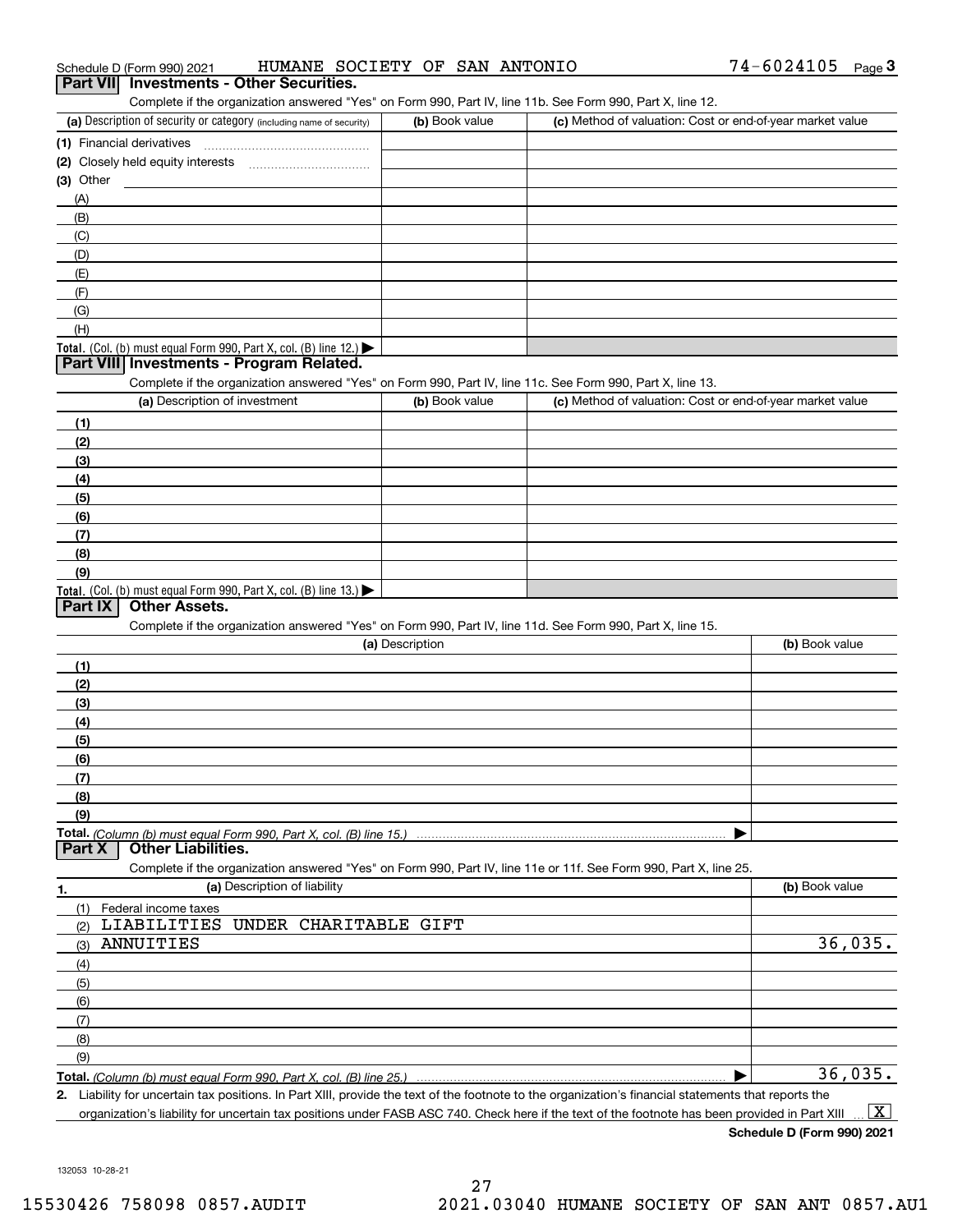| Schedule D (Form 990) 2021                                                                                                                           | HUMANE SOCIETY OF SAN ANTONIO |                                                           | 74-6024105<br>$_{\text{Page}}$ 3 |
|------------------------------------------------------------------------------------------------------------------------------------------------------|-------------------------------|-----------------------------------------------------------|----------------------------------|
| <b>Investments - Other Securities.</b><br>Part VII                                                                                                   |                               |                                                           |                                  |
| Complete if the organization answered "Yes" on Form 990, Part IV, line 11b. See Form 990, Part X, line 12.                                           |                               |                                                           |                                  |
| (a) Description of security or category (including name of security)                                                                                 | (b) Book value                | (c) Method of valuation: Cost or end-of-year market value |                                  |
| (1) Financial derivatives                                                                                                                            |                               |                                                           |                                  |
| (2) Closely held equity interests                                                                                                                    |                               |                                                           |                                  |
| $(3)$ Other                                                                                                                                          |                               |                                                           |                                  |
| (A)                                                                                                                                                  |                               |                                                           |                                  |
| (B)                                                                                                                                                  |                               |                                                           |                                  |
| (C)                                                                                                                                                  |                               |                                                           |                                  |
| (D)                                                                                                                                                  |                               |                                                           |                                  |
| (E)                                                                                                                                                  |                               |                                                           |                                  |
| (F)                                                                                                                                                  |                               |                                                           |                                  |
| (G)                                                                                                                                                  |                               |                                                           |                                  |
| (H)<br>Total. (Col. (b) must equal Form 990, Part X, col. (B) line 12.)                                                                              |                               |                                                           |                                  |
| Part VIII Investments - Program Related.                                                                                                             |                               |                                                           |                                  |
| Complete if the organization answered "Yes" on Form 990, Part IV, line 11c. See Form 990, Part X, line 13.                                           |                               |                                                           |                                  |
| (a) Description of investment                                                                                                                        | (b) Book value                | (c) Method of valuation: Cost or end-of-year market value |                                  |
| (1)                                                                                                                                                  |                               |                                                           |                                  |
| (2)                                                                                                                                                  |                               |                                                           |                                  |
| (3)                                                                                                                                                  |                               |                                                           |                                  |
| (4)<br>(5)                                                                                                                                           |                               |                                                           |                                  |
| (6)                                                                                                                                                  |                               |                                                           |                                  |
| (7)                                                                                                                                                  |                               |                                                           |                                  |
| (8)                                                                                                                                                  |                               |                                                           |                                  |
| (9)                                                                                                                                                  |                               |                                                           |                                  |
| <b>Total.</b> (Col. (b) must equal Form 990, Part X, col. (B) line 13.)                                                                              |                               |                                                           |                                  |
| Other Assets.<br>Part IX                                                                                                                             |                               |                                                           |                                  |
| Complete if the organization answered "Yes" on Form 990, Part IV, line 11d. See Form 990, Part X, line 15.                                           |                               |                                                           |                                  |
|                                                                                                                                                      | (a) Description               |                                                           | (b) Book value                   |
| (1)                                                                                                                                                  |                               |                                                           |                                  |
| (2)                                                                                                                                                  |                               |                                                           |                                  |
| (3)                                                                                                                                                  |                               |                                                           |                                  |
| (4)                                                                                                                                                  |                               |                                                           |                                  |
| (5)                                                                                                                                                  |                               |                                                           |                                  |
| (6)                                                                                                                                                  |                               |                                                           |                                  |
| (7)                                                                                                                                                  |                               |                                                           |                                  |
| (8)                                                                                                                                                  |                               |                                                           |                                  |
| (9)                                                                                                                                                  |                               |                                                           |                                  |
| <b>Other Liabilities.</b><br>Part X                                                                                                                  |                               |                                                           |                                  |
| Complete if the organization answered "Yes" on Form 990, Part IV, line 11e or 11f. See Form 990, Part X, line 25.                                    |                               |                                                           |                                  |
| (a) Description of liability<br>1.                                                                                                                   |                               |                                                           | (b) Book value                   |
| (1)<br>Federal income taxes                                                                                                                          |                               |                                                           |                                  |
| LIABILITIES UNDER CHARITABLE GIFT<br>(2)                                                                                                             |                               |                                                           |                                  |
| ANNUITIES<br>(3)                                                                                                                                     |                               |                                                           | 36,035.                          |
| (4)                                                                                                                                                  |                               |                                                           |                                  |
| (5)                                                                                                                                                  |                               |                                                           |                                  |
| (6)                                                                                                                                                  |                               |                                                           |                                  |
| (7)                                                                                                                                                  |                               |                                                           |                                  |
| (8)                                                                                                                                                  |                               |                                                           |                                  |
| (9)                                                                                                                                                  |                               |                                                           |                                  |
|                                                                                                                                                      |                               |                                                           | 36,035.                          |
| 2. Liability for uncertain tax positions. In Part XIII, provide the text of the footnote to the organization's financial statements that reports the |                               |                                                           |                                  |

organization's liability for uncertain tax positions under FASB ASC 740. Check here if the text of the footnote has been provided in Part XIII  $\boxed{\text{X}}$ 

 $74-6024105$  Page 3

132053 10-28-21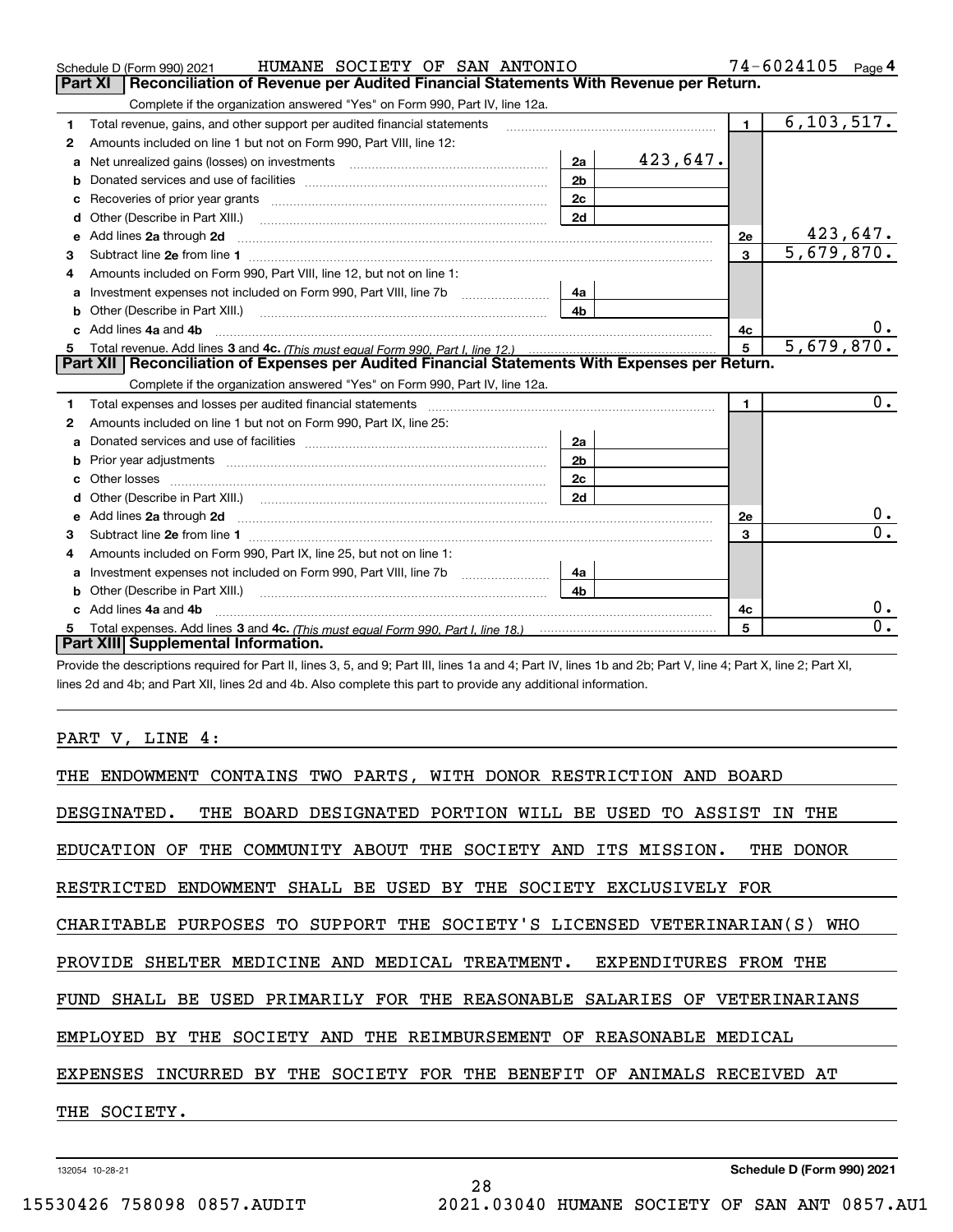|    | HUMANE SOCIETY OF SAN ANTONIO<br>Schedule D (Form 990) 2021                                                                                                                                                                          |                |          |                | 74-6024105              | Page 4           |
|----|--------------------------------------------------------------------------------------------------------------------------------------------------------------------------------------------------------------------------------------|----------------|----------|----------------|-------------------------|------------------|
|    | Reconciliation of Revenue per Audited Financial Statements With Revenue per Return.<br>Part XI                                                                                                                                       |                |          |                |                         |                  |
|    | Complete if the organization answered "Yes" on Form 990, Part IV, line 12a.                                                                                                                                                          |                |          |                |                         |                  |
| 1  | Total revenue, gains, and other support per audited financial statements                                                                                                                                                             |                |          | $\blacksquare$ | 6, 103, 517.            |                  |
| 2  | Amounts included on line 1 but not on Form 990, Part VIII, line 12:                                                                                                                                                                  |                |          |                |                         |                  |
| a  |                                                                                                                                                                                                                                      | 2a             | 423,647. |                |                         |                  |
|    |                                                                                                                                                                                                                                      | 2 <sub>b</sub> |          |                |                         |                  |
|    |                                                                                                                                                                                                                                      | 2c             |          |                |                         |                  |
| d  |                                                                                                                                                                                                                                      | 2d             |          |                |                         |                  |
| е  | Add lines 2a through 2d <b>manufacture and contract and contract and contract and contract and contract and contract and contract and contract and contract and contract and contract and contract and contract and contract and</b> |                |          | 2e             |                         | 423,647.         |
| 3  |                                                                                                                                                                                                                                      |                |          | 3              | 5,679,870.              |                  |
| 4  | Amounts included on Form 990. Part VIII, line 12, but not on line 1:                                                                                                                                                                 |                |          |                |                         |                  |
|    |                                                                                                                                                                                                                                      | 4a             |          |                |                         |                  |
| b  | Other (Describe in Part XIII.) <b>2006</b> 2006 2010 2010 2010 2010 2011 2012 2013 2014 2014 2015 2016 2017 2018 2019 2016 2017 2018 2019 2016 2017 2018 2019 2016 2017 2018 2019 2018 2019 2019 2016 2017 2018 2019 2018 2019 2019  | 4 <sub>b</sub> |          |                |                         |                  |
| c. | Add lines 4a and 4b                                                                                                                                                                                                                  |                |          | 4с             |                         | 0.               |
| 5. |                                                                                                                                                                                                                                      |                |          | $5^{\circ}$    | $\overline{5,679,870.}$ |                  |
|    | Part XII   Reconciliation of Expenses per Audited Financial Statements With Expenses per Return.                                                                                                                                     |                |          |                |                         |                  |
|    | Complete if the organization answered "Yes" on Form 990, Part IV, line 12a.                                                                                                                                                          |                |          |                |                         |                  |
| 1  | Total expenses and losses per audited financial statements                                                                                                                                                                           |                |          | $\blacksquare$ |                         | $0$ .            |
| 2  | Amounts included on line 1 but not on Form 990, Part IX, line 25:                                                                                                                                                                    |                |          |                |                         |                  |
| a  |                                                                                                                                                                                                                                      | 2a             |          |                |                         |                  |
| b  |                                                                                                                                                                                                                                      | 2 <sub>b</sub> |          |                |                         |                  |
| с  |                                                                                                                                                                                                                                      | 2 <sub>c</sub> |          |                |                         |                  |
| d  |                                                                                                                                                                                                                                      | 2d             |          |                |                         |                  |
| е  | Add lines 2a through 2d <b>must be a constructed as the constant of the constant of the constant of the construction</b>                                                                                                             |                |          | 2e             |                         | $0$ .            |
| 3  |                                                                                                                                                                                                                                      |                |          | 3              |                         | $\overline{0}$ . |
| 4  | Amounts included on Form 990, Part IX, line 25, but not on line 1:                                                                                                                                                                   |                |          |                |                         |                  |
| a  |                                                                                                                                                                                                                                      | 4a             |          |                |                         |                  |
|    |                                                                                                                                                                                                                                      |                |          |                |                         |                  |
| b  |                                                                                                                                                                                                                                      | 4h             |          |                |                         |                  |
|    | Add lines 4a and 4b                                                                                                                                                                                                                  |                |          | 4c             |                         | 0.               |
| 5  | Part XIII Supplemental Information.                                                                                                                                                                                                  |                |          | 5              |                         | $\overline{0}$ . |

Provide the descriptions required for Part II, lines 3, 5, and 9; Part III, lines 1a and 4; Part IV, lines 1b and 2b; Part V, line 4; Part X, line 2; Part XI, lines 2d and 4b; and Part XII, lines 2d and 4b. Also complete this part to provide any additional information.

PART V, LINE 4:

| THE ENDOWMENT CONTAINS TWO PARTS, WITH DONOR RESTRICTION AND BOARD         |
|----------------------------------------------------------------------------|
| DESGINATED. THE BOARD DESIGNATED PORTION WILL BE USED TO ASSIST IN THE     |
| EDUCATION OF THE COMMUNITY ABOUT THE SOCIETY AND ITS MISSION.<br>THE DONOR |
| RESTRICTED ENDOWMENT SHALL BE USED BY THE SOCIETY EXCLUSIVELY FOR          |
| CHARITABLE PURPOSES TO SUPPORT THE SOCIETY'S LICENSED VETERINARIAN(S) WHO  |
| PROVIDE SHELTER MEDICINE AND MEDICAL TREATMENT. EXPENDITURES FROM THE      |
| FUND SHALL BE USED PRIMARILY FOR THE REASONABLE SALARIES OF VETERINARIANS  |
| EMPLOYED BY THE SOCIETY AND THE REIMBURSEMENT OF REASONABLE MEDICAL        |
| EXPENSES INCURRED BY THE SOCIETY FOR THE BENEFIT OF ANIMALS RECEIVED AT    |
| THE SOCIETY.                                                               |
|                                                                            |

28

132054 10-28-21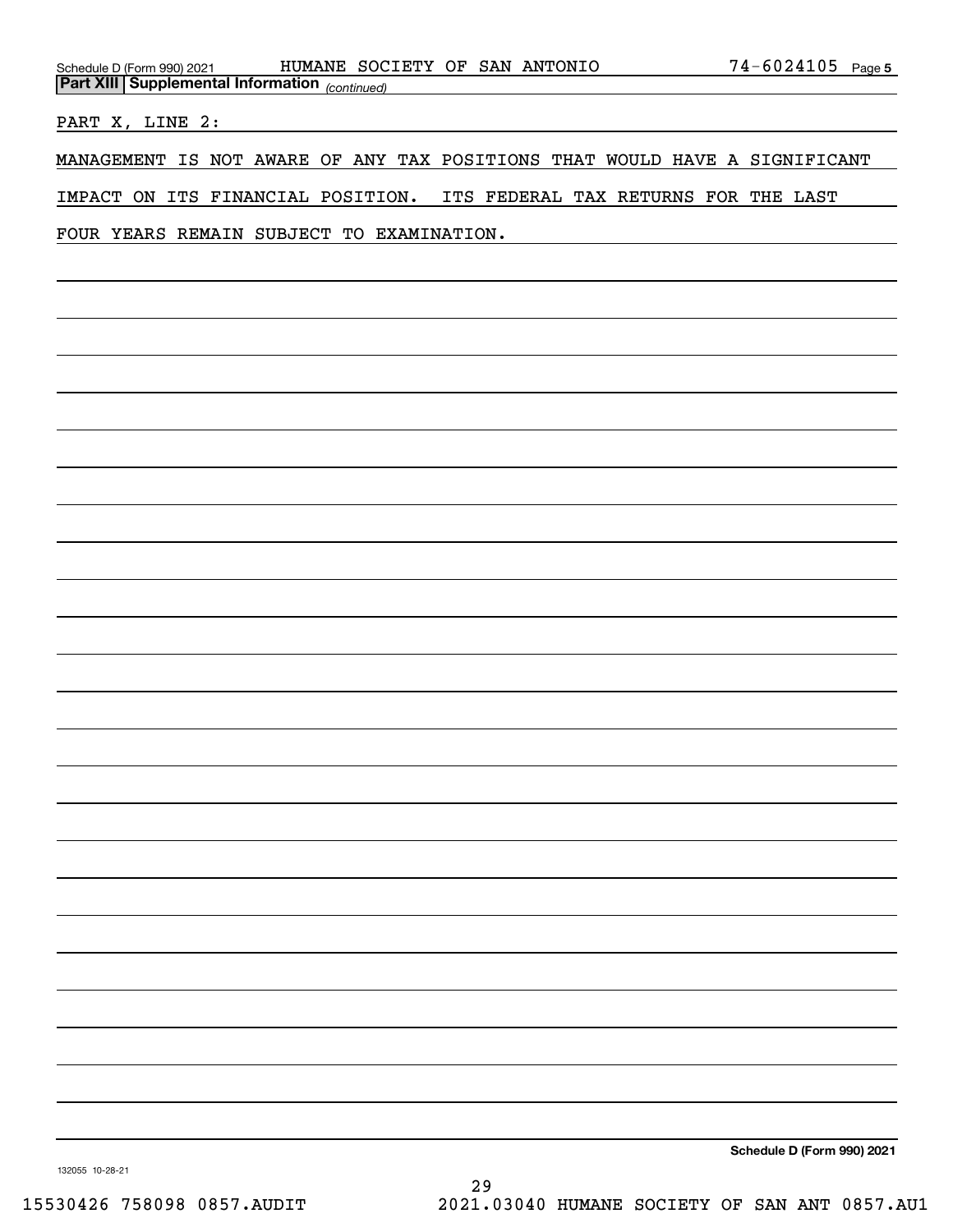| Schedule D (Form 990) 2021                            | HUMANE SOCIETY OF SAN ANTONIO | $74 - 6024105$ Page 5                                                      |
|-------------------------------------------------------|-------------------------------|----------------------------------------------------------------------------|
| <b>Part XIII Supplemental Information</b> (continued) |                               |                                                                            |
| PART X, LINE 2:                                       |                               |                                                                            |
|                                                       |                               | MANAGEMENT IS NOT AWARE OF ANY TAX POSITIONS THAT WOULD HAVE A SIGNIFICANT |
|                                                       |                               | IMPACT ON ITS FINANCIAL POSITION. ITS FEDERAL TAX RETURNS FOR THE LAST     |
| FOUR YEARS REMAIN SUBJECT TO EXAMINATION.             |                               |                                                                            |
|                                                       |                               |                                                                            |
|                                                       |                               |                                                                            |
|                                                       |                               |                                                                            |
|                                                       |                               |                                                                            |
|                                                       |                               |                                                                            |
|                                                       |                               |                                                                            |
|                                                       |                               |                                                                            |
|                                                       |                               |                                                                            |

**Schedule D (Form 990) 2021**

132055 10-28-21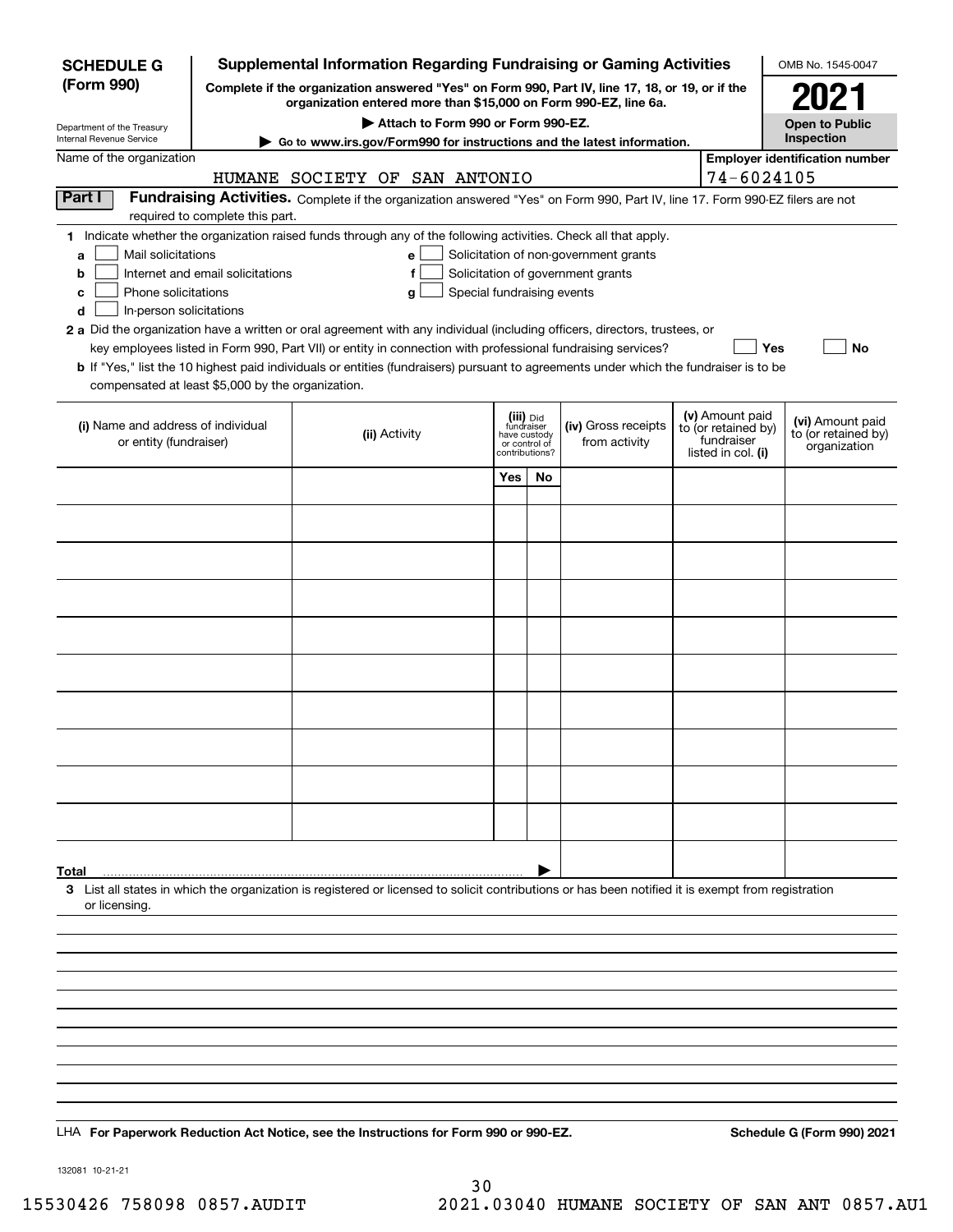| <b>Supplemental Information Regarding Fundraising or Gaming Activities</b><br><b>SCHEDULE G</b>                                                                                            |                                  |  |                               |                                                                            |    |                                                                                                                               | OMB No. 1545-0047 |                                                                            |                                                         |
|--------------------------------------------------------------------------------------------------------------------------------------------------------------------------------------------|----------------------------------|--|-------------------------------|----------------------------------------------------------------------------|----|-------------------------------------------------------------------------------------------------------------------------------|-------------------|----------------------------------------------------------------------------|---------------------------------------------------------|
| (Form 990)<br>Complete if the organization answered "Yes" on Form 990, Part IV, line 17, 18, or 19, or if the<br>organization entered more than \$15,000 on Form 990-EZ, line 6a.          |                                  |  |                               |                                                                            |    |                                                                                                                               |                   |                                                                            | 2021                                                    |
| Attach to Form 990 or Form 990-EZ.                                                                                                                                                         |                                  |  |                               |                                                                            |    |                                                                                                                               |                   | <b>Open to Public</b>                                                      |                                                         |
| Department of the Treasury<br>Internal Revenue Service                                                                                                                                     |                                  |  |                               |                                                                            |    | ▶ Go to www.irs.gov/Form990 for instructions and the latest information.                                                      |                   |                                                                            | Inspection                                              |
| Name of the organization                                                                                                                                                                   |                                  |  | HUMANE SOCIETY OF SAN ANTONIO |                                                                            |    |                                                                                                                               |                   | 74-6024105                                                                 | <b>Employer identification number</b>                   |
| Part I                                                                                                                                                                                     |                                  |  |                               |                                                                            |    | Fundraising Activities. Complete if the organization answered "Yes" on Form 990, Part IV, line 17. Form 990-EZ filers are not |                   |                                                                            |                                                         |
|                                                                                                                                                                                            | required to complete this part.  |  |                               |                                                                            |    |                                                                                                                               |                   |                                                                            |                                                         |
| 1 Indicate whether the organization raised funds through any of the following activities. Check all that apply.<br>Mail solicitations<br>a<br>b<br>Phone solicitations<br>c                | Internet and email solicitations |  | е<br>f<br>g                   | Special fundraising events                                                 |    | Solicitation of non-government grants<br>Solicitation of government grants                                                    |                   |                                                                            |                                                         |
| In-person solicitations<br>d                                                                                                                                                               |                                  |  |                               |                                                                            |    |                                                                                                                               |                   |                                                                            |                                                         |
| 2 a Did the organization have a written or oral agreement with any individual (including officers, directors, trustees, or                                                                 |                                  |  |                               |                                                                            |    | key employees listed in Form 990, Part VII) or entity in connection with professional fundraising services?                   |                   | Yes                                                                        | No                                                      |
| b If "Yes," list the 10 highest paid individuals or entities (fundraisers) pursuant to agreements under which the fundraiser is to be<br>compensated at least \$5,000 by the organization. |                                  |  |                               |                                                                            |    |                                                                                                                               |                   |                                                                            |                                                         |
| (i) Name and address of individual<br>or entity (fundraiser)                                                                                                                               |                                  |  | (ii) Activity                 | (iii) Did<br>fundraiser<br>have custody<br>or control of<br>contributions? |    | (iv) Gross receipts<br>from activity                                                                                          |                   | (v) Amount paid<br>to (or retained by)<br>fundraiser<br>listed in col. (i) | (vi) Amount paid<br>to (or retained by)<br>organization |
|                                                                                                                                                                                            |                                  |  |                               | Yes                                                                        | No |                                                                                                                               |                   |                                                                            |                                                         |
|                                                                                                                                                                                            |                                  |  |                               |                                                                            |    |                                                                                                                               |                   |                                                                            |                                                         |
|                                                                                                                                                                                            |                                  |  |                               |                                                                            |    |                                                                                                                               |                   |                                                                            |                                                         |
|                                                                                                                                                                                            |                                  |  |                               |                                                                            |    |                                                                                                                               |                   |                                                                            |                                                         |
|                                                                                                                                                                                            |                                  |  |                               |                                                                            |    |                                                                                                                               |                   |                                                                            |                                                         |
|                                                                                                                                                                                            |                                  |  |                               |                                                                            |    |                                                                                                                               |                   |                                                                            |                                                         |
|                                                                                                                                                                                            |                                  |  |                               |                                                                            |    |                                                                                                                               |                   |                                                                            |                                                         |
|                                                                                                                                                                                            |                                  |  |                               |                                                                            |    |                                                                                                                               |                   |                                                                            |                                                         |
|                                                                                                                                                                                            |                                  |  |                               |                                                                            |    |                                                                                                                               |                   |                                                                            |                                                         |
|                                                                                                                                                                                            |                                  |  |                               |                                                                            |    |                                                                                                                               |                   |                                                                            |                                                         |
|                                                                                                                                                                                            |                                  |  |                               |                                                                            |    |                                                                                                                               |                   |                                                                            |                                                         |
|                                                                                                                                                                                            |                                  |  |                               |                                                                            |    |                                                                                                                               |                   |                                                                            |                                                         |
| Total                                                                                                                                                                                      |                                  |  |                               |                                                                            |    |                                                                                                                               |                   |                                                                            |                                                         |
| 3 List all states in which the organization is registered or licensed to solicit contributions or has been notified it is exempt from registration<br>or licensing.                        |                                  |  |                               |                                                                            |    |                                                                                                                               |                   |                                                                            |                                                         |
|                                                                                                                                                                                            |                                  |  |                               |                                                                            |    |                                                                                                                               |                   |                                                                            |                                                         |
|                                                                                                                                                                                            |                                  |  |                               |                                                                            |    |                                                                                                                               |                   |                                                                            |                                                         |
|                                                                                                                                                                                            |                                  |  |                               |                                                                            |    |                                                                                                                               |                   |                                                                            |                                                         |
|                                                                                                                                                                                            |                                  |  |                               |                                                                            |    |                                                                                                                               |                   |                                                                            |                                                         |
|                                                                                                                                                                                            |                                  |  |                               |                                                                            |    |                                                                                                                               |                   |                                                                            |                                                         |
|                                                                                                                                                                                            |                                  |  |                               |                                                                            |    |                                                                                                                               |                   |                                                                            |                                                         |
|                                                                                                                                                                                            |                                  |  |                               |                                                                            |    |                                                                                                                               |                   |                                                                            |                                                         |
|                                                                                                                                                                                            |                                  |  |                               |                                                                            |    |                                                                                                                               |                   |                                                                            |                                                         |
| LHA For Paperwork Reduction Act Notice, see the Instructions for Form 990 or 990-EZ.                                                                                                       |                                  |  |                               |                                                                            |    |                                                                                                                               |                   |                                                                            | Schedule G (Form 990) 2021                              |

132081 10-21-21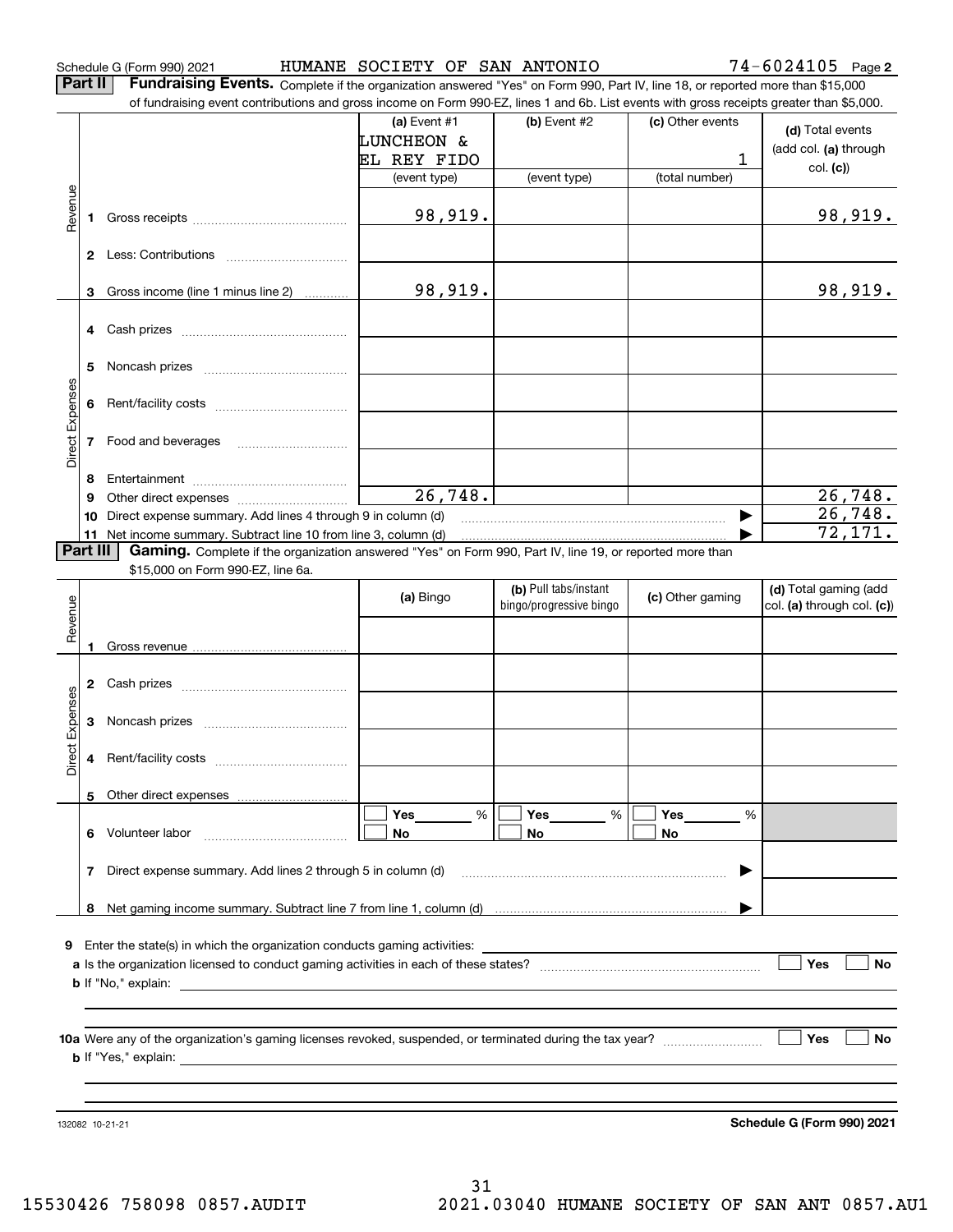Schedule G (Form 990) 2021 HUMANE SOCIETY OF SAN ANTONIO 74-6024105 Page

**Part II** | Fundraising Events. Complete if the organization answered "Yes" on Form 990, Part IV, line 18, or reported more than \$15,000

|                 |          | of fundraising event contributions and gross income on Form 990-EZ, lines 1 and 6b. List events with gross receipts greater than \$5,000. |                       |                         |                      |                            |
|-----------------|----------|-------------------------------------------------------------------------------------------------------------------------------------------|-----------------------|-------------------------|----------------------|----------------------------|
|                 |          |                                                                                                                                           | (a) Event $#1$        | (b) Event #2            | (c) Other events     | (d) Total events           |
|                 |          |                                                                                                                                           | <b>LUNCHEON &amp;</b> |                         |                      |                            |
|                 |          |                                                                                                                                           | EL REY FIDO           |                         | 1                    | (add col. (a) through      |
|                 |          |                                                                                                                                           | (event type)          | (event type)            | (total number)       | col. (c)                   |
|                 |          |                                                                                                                                           |                       |                         |                      |                            |
| Revenue         |          |                                                                                                                                           | 98,919.               |                         |                      | 98,919.                    |
|                 |          |                                                                                                                                           |                       |                         |                      |                            |
|                 |          |                                                                                                                                           |                       |                         |                      |                            |
|                 |          |                                                                                                                                           |                       |                         |                      |                            |
|                 |          | 3 Gross income (line 1 minus line 2)                                                                                                      | 98,919.               |                         |                      | 98,919.                    |
|                 |          |                                                                                                                                           |                       |                         |                      |                            |
|                 |          |                                                                                                                                           |                       |                         |                      |                            |
|                 |          |                                                                                                                                           |                       |                         |                      |                            |
|                 | 5.       |                                                                                                                                           |                       |                         |                      |                            |
| Direct Expenses | 6        |                                                                                                                                           |                       |                         |                      |                            |
|                 |          |                                                                                                                                           |                       |                         |                      |                            |
|                 |          |                                                                                                                                           |                       |                         |                      |                            |
|                 |          |                                                                                                                                           |                       |                         |                      |                            |
|                 | 8        |                                                                                                                                           |                       |                         |                      |                            |
|                 | 9        |                                                                                                                                           | 26,748.               |                         |                      | 26, 748.                   |
|                 | 10       | Direct expense summary. Add lines 4 through 9 in column (d)                                                                               |                       |                         |                      | 26,748.                    |
|                 |          | 11 Net income summary. Subtract line 10 from line 3, column (d)                                                                           |                       |                         |                      | 72,171.                    |
|                 | Part III | Gaming. Complete if the organization answered "Yes" on Form 990, Part IV, line 19, or reported more than                                  |                       |                         |                      |                            |
|                 |          | \$15,000 on Form 990-EZ, line 6a.                                                                                                         |                       |                         |                      |                            |
|                 |          |                                                                                                                                           | (a) Bingo             | (b) Pull tabs/instant   | (c) Other gaming     | (d) Total gaming (add      |
|                 |          |                                                                                                                                           |                       | bingo/progressive bingo |                      | col. (a) through col. (c)) |
| Revenue         |          |                                                                                                                                           |                       |                         |                      |                            |
|                 |          |                                                                                                                                           |                       |                         |                      |                            |
|                 |          |                                                                                                                                           |                       |                         |                      |                            |
|                 |          |                                                                                                                                           |                       |                         |                      |                            |
| Expenses        | 3        |                                                                                                                                           |                       |                         |                      |                            |
|                 |          |                                                                                                                                           |                       |                         |                      |                            |
| <b>Direct</b>   |          |                                                                                                                                           |                       |                         |                      |                            |
|                 |          |                                                                                                                                           |                       |                         |                      |                            |
|                 |          | 5 Other direct expenses                                                                                                                   |                       |                         |                      |                            |
|                 |          |                                                                                                                                           | %<br>Yes              | Yes<br>%                | Yes<br>$\frac{0}{0}$ |                            |
|                 |          | 6 Volunteer labor                                                                                                                         | No                    | No                      | No                   |                            |
|                 |          |                                                                                                                                           |                       |                         |                      |                            |
|                 | 7        | Direct expense summary. Add lines 2 through 5 in column (d)                                                                               |                       |                         |                      |                            |
|                 |          |                                                                                                                                           |                       |                         |                      |                            |
|                 |          |                                                                                                                                           |                       |                         |                      |                            |
|                 |          |                                                                                                                                           |                       |                         |                      |                            |
|                 |          | <b>9</b> Enter the state(s) in which the organization conducts gaming activities:                                                         |                       |                         |                      |                            |
|                 |          |                                                                                                                                           |                       |                         |                      | Yes<br>No                  |
|                 |          |                                                                                                                                           |                       |                         |                      |                            |
|                 |          |                                                                                                                                           |                       |                         |                      |                            |
|                 |          |                                                                                                                                           |                       |                         |                      | Yes<br>No                  |
|                 |          |                                                                                                                                           |                       |                         |                      |                            |
|                 |          |                                                                                                                                           |                       |                         |                      |                            |
|                 |          |                                                                                                                                           |                       |                         |                      |                            |
|                 |          |                                                                                                                                           |                       |                         |                      |                            |
|                 |          | 132082 10-21-21                                                                                                                           |                       |                         |                      | Schedule G (Form 990) 2021 |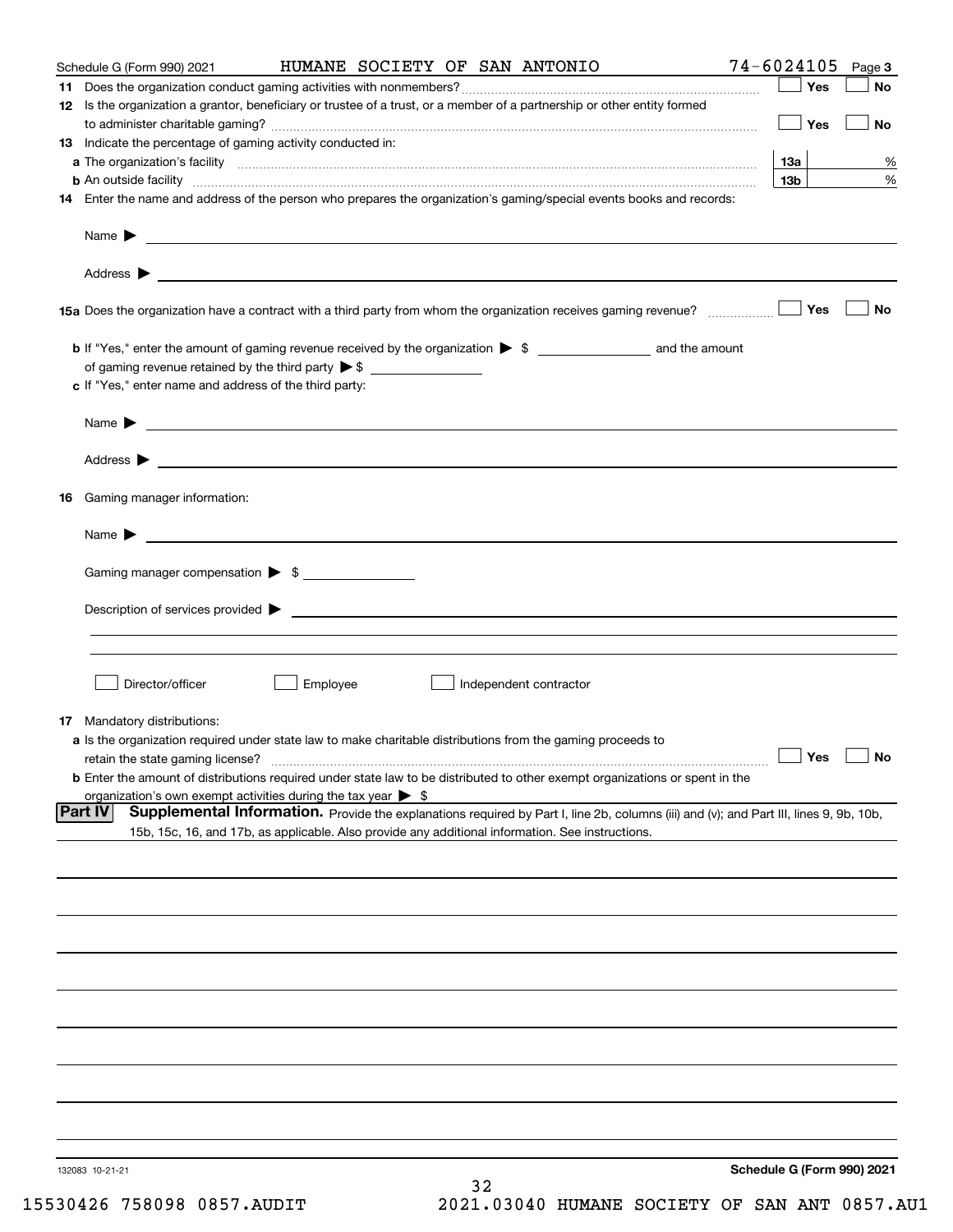| Schedule G (Form 990) 2021 |                                                                                                                                                                                                                                      |          |                        | HUMANE SOCIETY OF SAN ANTONIO |                                                                                                                                        | 74-6024105                 | Page 3                   |
|----------------------------|--------------------------------------------------------------------------------------------------------------------------------------------------------------------------------------------------------------------------------------|----------|------------------------|-------------------------------|----------------------------------------------------------------------------------------------------------------------------------------|----------------------------|--------------------------|
|                            |                                                                                                                                                                                                                                      |          |                        |                               |                                                                                                                                        | Yes                        | No                       |
|                            | 12 Is the organization a grantor, beneficiary or trustee of a trust, or a member of a partnership or other entity formed                                                                                                             |          |                        |                               |                                                                                                                                        |                            |                          |
|                            |                                                                                                                                                                                                                                      |          |                        |                               |                                                                                                                                        | $\Box$ Yes                 | No                       |
|                            | 13 Indicate the percentage of gaming activity conducted in:                                                                                                                                                                          |          |                        |                               |                                                                                                                                        |                            |                          |
|                            |                                                                                                                                                                                                                                      |          |                        |                               |                                                                                                                                        | <b>13a</b>                 | %                        |
|                            |                                                                                                                                                                                                                                      |          |                        |                               | <b>b</b> An outside facility <i>www.communicality www.communicality.communicality www.communicality www.communicality.com</i>          | 13b                        | %                        |
|                            | 14 Enter the name and address of the person who prepares the organization's gaming/special events books and records:                                                                                                                 |          |                        |                               |                                                                                                                                        |                            |                          |
|                            |                                                                                                                                                                                                                                      |          |                        |                               |                                                                                                                                        |                            |                          |
|                            | Name $\sum_{n=1}^{\infty}$                                                                                                                                                                                                           |          |                        |                               |                                                                                                                                        |                            |                          |
|                            |                                                                                                                                                                                                                                      |          |                        |                               |                                                                                                                                        |                            |                          |
|                            |                                                                                                                                                                                                                                      |          |                        |                               |                                                                                                                                        |                            |                          |
|                            |                                                                                                                                                                                                                                      |          |                        |                               |                                                                                                                                        | Yes                        | No                       |
|                            |                                                                                                                                                                                                                                      |          |                        |                               |                                                                                                                                        |                            |                          |
|                            |                                                                                                                                                                                                                                      |          |                        |                               |                                                                                                                                        |                            |                          |
|                            | of gaming revenue retained by the third party $\triangleright$ \$ $\_\_\_\_\_\_\_\_\_\_\_\_\_\_\_\_\_\_\_\_\_\_\_\_\_\_\_\_$                                                                                                         |          |                        |                               |                                                                                                                                        |                            |                          |
|                            | c If "Yes," enter name and address of the third party:                                                                                                                                                                               |          |                        |                               |                                                                                                                                        |                            |                          |
|                            |                                                                                                                                                                                                                                      |          |                        |                               |                                                                                                                                        |                            |                          |
|                            | Name <b>Decision and Contract Contract Contract Contract Contract Contract Contract Contract Contract Contract Contract Contract Contract Contract Contract Contract Contract Contract Contract Contract Contract Contract Contr</b> |          |                        |                               |                                                                                                                                        |                            |                          |
|                            |                                                                                                                                                                                                                                      |          |                        |                               |                                                                                                                                        |                            |                          |
|                            |                                                                                                                                                                                                                                      |          |                        |                               |                                                                                                                                        |                            |                          |
|                            |                                                                                                                                                                                                                                      |          |                        |                               |                                                                                                                                        |                            |                          |
|                            | <b>16</b> Gaming manager information:                                                                                                                                                                                                |          |                        |                               |                                                                                                                                        |                            |                          |
|                            | Name $\blacktriangleright$ $\bot$                                                                                                                                                                                                    |          |                        |                               |                                                                                                                                        |                            |                          |
|                            |                                                                                                                                                                                                                                      |          |                        |                               |                                                                                                                                        |                            |                          |
|                            | Gaming manager compensation > \$                                                                                                                                                                                                     |          |                        |                               |                                                                                                                                        |                            |                          |
|                            |                                                                                                                                                                                                                                      |          |                        |                               |                                                                                                                                        |                            |                          |
|                            |                                                                                                                                                                                                                                      |          |                        |                               |                                                                                                                                        |                            |                          |
|                            |                                                                                                                                                                                                                                      |          |                        |                               |                                                                                                                                        |                            |                          |
|                            |                                                                                                                                                                                                                                      |          |                        |                               |                                                                                                                                        |                            |                          |
|                            |                                                                                                                                                                                                                                      |          |                        |                               |                                                                                                                                        |                            |                          |
|                            | Director/officer                                                                                                                                                                                                                     | Employee | Independent contractor |                               |                                                                                                                                        |                            |                          |
|                            |                                                                                                                                                                                                                                      |          |                        |                               |                                                                                                                                        |                            |                          |
|                            | 17 Mandatory distributions:<br>a Is the organization required under state law to make charitable distributions from the gaming proceeds to                                                                                           |          |                        |                               |                                                                                                                                        |                            |                          |
|                            | retain the state gaming license?                                                                                                                                                                                                     |          |                        |                               |                                                                                                                                        | $\Box$ Yes                 | $\boxed{\phantom{1}}$ No |
|                            | <b>b</b> Enter the amount of distributions required under state law to be distributed to other exempt organizations or spent in the                                                                                                  |          |                        |                               |                                                                                                                                        |                            |                          |
|                            | organization's own exempt activities during the tax year $\triangleright$ \$                                                                                                                                                         |          |                        |                               |                                                                                                                                        |                            |                          |
| Part IV                    |                                                                                                                                                                                                                                      |          |                        |                               | Supplemental Information. Provide the explanations required by Part I, line 2b, columns (iii) and (v); and Part III, lines 9, 9b, 10b, |                            |                          |
|                            | 15b, 15c, 16, and 17b, as applicable. Also provide any additional information. See instructions.                                                                                                                                     |          |                        |                               |                                                                                                                                        |                            |                          |
|                            |                                                                                                                                                                                                                                      |          |                        |                               |                                                                                                                                        |                            |                          |
|                            |                                                                                                                                                                                                                                      |          |                        |                               |                                                                                                                                        |                            |                          |
|                            |                                                                                                                                                                                                                                      |          |                        |                               |                                                                                                                                        |                            |                          |
|                            |                                                                                                                                                                                                                                      |          |                        |                               |                                                                                                                                        |                            |                          |
|                            |                                                                                                                                                                                                                                      |          |                        |                               |                                                                                                                                        |                            |                          |
|                            |                                                                                                                                                                                                                                      |          |                        |                               |                                                                                                                                        |                            |                          |
|                            |                                                                                                                                                                                                                                      |          |                        |                               |                                                                                                                                        |                            |                          |
|                            |                                                                                                                                                                                                                                      |          |                        |                               |                                                                                                                                        |                            |                          |
|                            |                                                                                                                                                                                                                                      |          |                        |                               |                                                                                                                                        |                            |                          |
|                            |                                                                                                                                                                                                                                      |          |                        |                               |                                                                                                                                        |                            |                          |
|                            |                                                                                                                                                                                                                                      |          |                        |                               |                                                                                                                                        |                            |                          |
|                            |                                                                                                                                                                                                                                      |          |                        |                               |                                                                                                                                        |                            |                          |
|                            |                                                                                                                                                                                                                                      |          |                        |                               |                                                                                                                                        |                            |                          |
|                            |                                                                                                                                                                                                                                      |          |                        |                               |                                                                                                                                        |                            |                          |
|                            |                                                                                                                                                                                                                                      |          |                        |                               |                                                                                                                                        |                            |                          |
| 132083 10-21-21            |                                                                                                                                                                                                                                      |          |                        |                               |                                                                                                                                        | Schedule G (Form 990) 2021 |                          |
|                            |                                                                                                                                                                                                                                      |          | 32                     |                               |                                                                                                                                        |                            |                          |
|                            |                                                                                                                                                                                                                                      |          |                        |                               |                                                                                                                                        |                            |                          |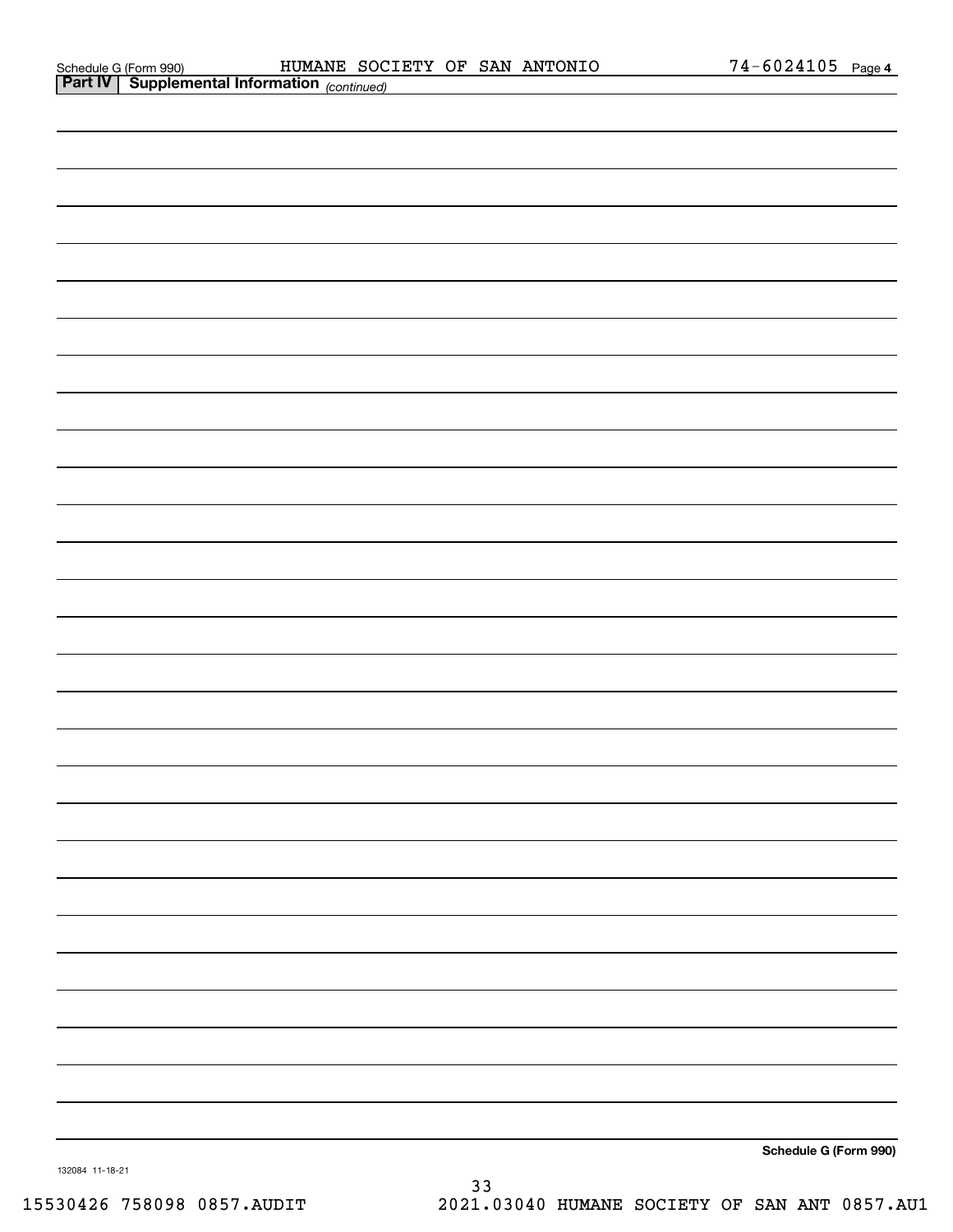| Schedule G (Form 990 |  |
|----------------------|--|
| ________             |  |

|                 | <b>Part IV   Supplemental Information</b> (continued) |          |                       |
|-----------------|-------------------------------------------------------|----------|-----------------------|
|                 |                                                       |          |                       |
|                 |                                                       |          |                       |
|                 |                                                       |          |                       |
|                 |                                                       |          |                       |
|                 |                                                       |          |                       |
|                 |                                                       |          |                       |
|                 |                                                       |          |                       |
|                 |                                                       |          |                       |
|                 |                                                       |          |                       |
|                 |                                                       |          |                       |
|                 |                                                       |          |                       |
|                 |                                                       |          |                       |
|                 |                                                       |          |                       |
|                 |                                                       |          |                       |
|                 |                                                       |          |                       |
|                 |                                                       |          |                       |
|                 |                                                       |          |                       |
|                 |                                                       |          |                       |
|                 |                                                       |          |                       |
|                 |                                                       |          |                       |
|                 |                                                       |          |                       |
|                 |                                                       |          |                       |
|                 |                                                       |          |                       |
|                 |                                                       |          |                       |
|                 |                                                       |          |                       |
|                 |                                                       |          |                       |
|                 |                                                       |          |                       |
|                 |                                                       |          |                       |
|                 |                                                       |          | Schedule G (Form 990) |
| 132084 11-18-21 |                                                       | $\Omega$ |                       |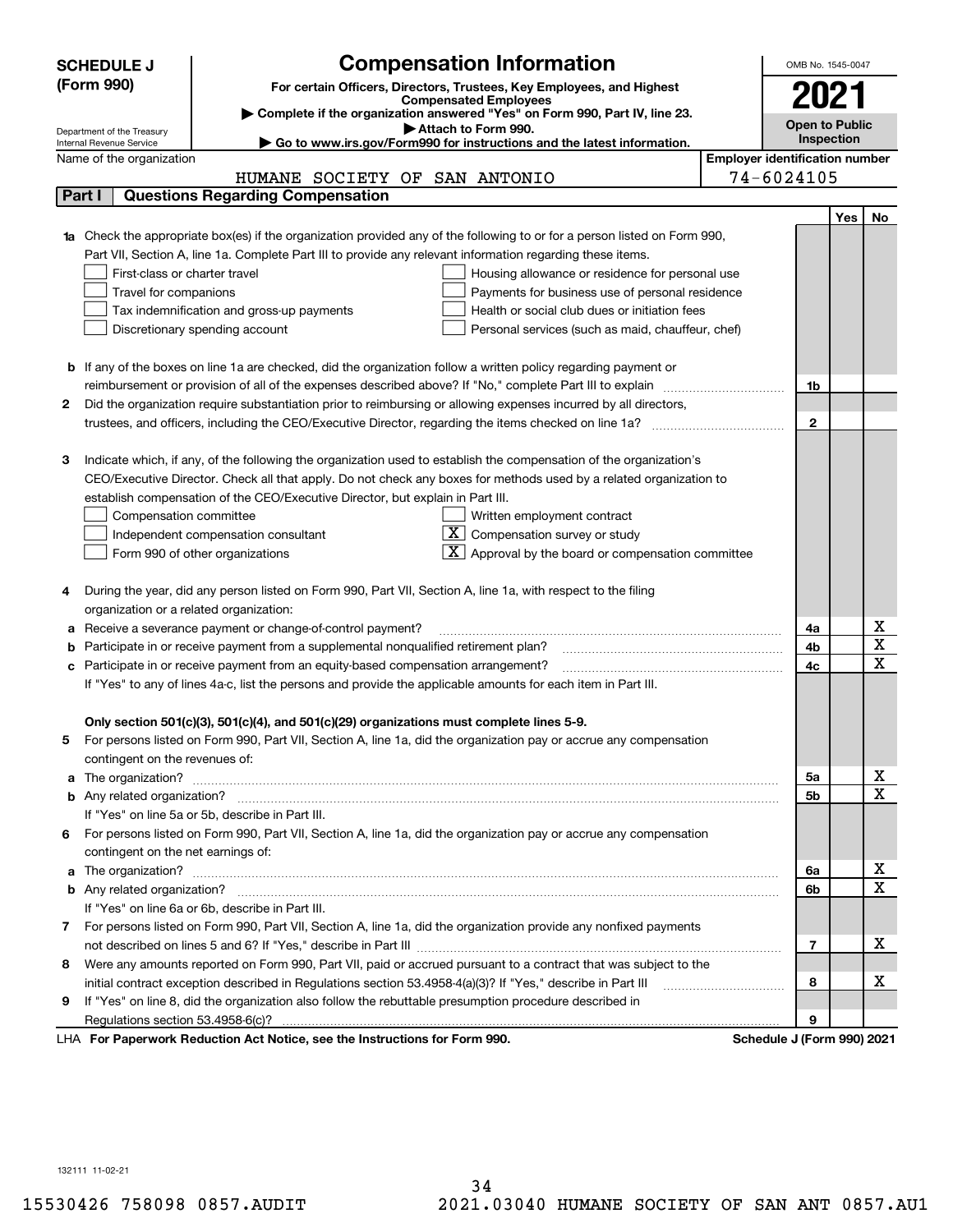|   | <b>SCHEDULE J</b>                                                                   | <b>Compensation Information</b>                                                                                                                                                                                                      |                                       | OMB No. 1545-0047          |     |                         |
|---|-------------------------------------------------------------------------------------|--------------------------------------------------------------------------------------------------------------------------------------------------------------------------------------------------------------------------------------|---------------------------------------|----------------------------|-----|-------------------------|
|   | (Form 990)                                                                          |                                                                                                                                                                                                                                      |                                       |                            |     |                         |
|   |                                                                                     | For certain Officers, Directors, Trustees, Key Employees, and Highest<br><b>Compensated Employees</b>                                                                                                                                |                                       | 2021                       |     |                         |
|   |                                                                                     | Complete if the organization answered "Yes" on Form 990, Part IV, line 23.                                                                                                                                                           |                                       | Open to Public             |     |                         |
|   | Department of the Treasury<br>Internal Revenue Service                              | Attach to Form 990.<br>Go to www.irs.gov/Form990 for instructions and the latest information.                                                                                                                                        |                                       | Inspection                 |     |                         |
|   | Name of the organization                                                            |                                                                                                                                                                                                                                      | <b>Employer identification number</b> |                            |     |                         |
|   |                                                                                     | HUMANE SOCIETY OF SAN ANTONIO                                                                                                                                                                                                        |                                       | 74-6024105                 |     |                         |
|   | <b>Questions Regarding Compensation</b><br>Part I                                   |                                                                                                                                                                                                                                      |                                       |                            |     |                         |
|   |                                                                                     |                                                                                                                                                                                                                                      |                                       |                            | Yes | No.                     |
|   |                                                                                     | <b>1a</b> Check the appropriate box(es) if the organization provided any of the following to or for a person listed on Form 990,                                                                                                     |                                       |                            |     |                         |
|   |                                                                                     | Part VII, Section A, line 1a. Complete Part III to provide any relevant information regarding these items.                                                                                                                           |                                       |                            |     |                         |
|   | First-class or charter travel                                                       | Housing allowance or residence for personal use                                                                                                                                                                                      |                                       |                            |     |                         |
|   | Travel for companions                                                               | Payments for business use of personal residence                                                                                                                                                                                      |                                       |                            |     |                         |
|   | Tax indemnification and gross-up payments                                           | Health or social club dues or initiation fees                                                                                                                                                                                        |                                       |                            |     |                         |
|   | Discretionary spending account                                                      | Personal services (such as maid, chauffeur, chef)                                                                                                                                                                                    |                                       |                            |     |                         |
|   |                                                                                     |                                                                                                                                                                                                                                      |                                       |                            |     |                         |
|   |                                                                                     | <b>b</b> If any of the boxes on line 1a are checked, did the organization follow a written policy regarding payment or                                                                                                               |                                       |                            |     |                         |
|   |                                                                                     | reimbursement or provision of all of the expenses described above? If "No," complete Part III to explain                                                                                                                             |                                       | 1b                         |     |                         |
| 2 |                                                                                     | Did the organization require substantiation prior to reimbursing or allowing expenses incurred by all directors,                                                                                                                     |                                       |                            |     |                         |
|   |                                                                                     |                                                                                                                                                                                                                                      |                                       | $\mathbf{2}$               |     |                         |
|   |                                                                                     |                                                                                                                                                                                                                                      |                                       |                            |     |                         |
| з |                                                                                     | Indicate which, if any, of the following the organization used to establish the compensation of the organization's                                                                                                                   |                                       |                            |     |                         |
|   |                                                                                     | CEO/Executive Director. Check all that apply. Do not check any boxes for methods used by a related organization to                                                                                                                   |                                       |                            |     |                         |
|   | establish compensation of the CEO/Executive Director, but explain in Part III.      |                                                                                                                                                                                                                                      |                                       |                            |     |                         |
|   | Compensation committee                                                              | Written employment contract                                                                                                                                                                                                          |                                       |                            |     |                         |
|   | Independent compensation consultant                                                 | $X \mid$<br>Compensation survey or study                                                                                                                                                                                             |                                       |                            |     |                         |
|   | Form 990 of other organizations                                                     | Approval by the board or compensation committee                                                                                                                                                                                      |                                       |                            |     |                         |
|   |                                                                                     |                                                                                                                                                                                                                                      |                                       |                            |     |                         |
|   |                                                                                     | During the year, did any person listed on Form 990, Part VII, Section A, line 1a, with respect to the filing                                                                                                                         |                                       |                            |     |                         |
|   | organization or a related organization:                                             |                                                                                                                                                                                                                                      |                                       |                            |     |                         |
|   | Receive a severance payment or change-of-control payment?                           |                                                                                                                                                                                                                                      |                                       | 4a                         |     | Χ                       |
|   | Participate in or receive payment from a supplemental nonqualified retirement plan? |                                                                                                                                                                                                                                      |                                       | 4b                         |     | $\overline{\textbf{x}}$ |
|   | c Participate in or receive payment from an equity-based compensation arrangement?  |                                                                                                                                                                                                                                      |                                       | 4c                         |     | $\overline{\mathbf{x}}$ |
|   |                                                                                     | If "Yes" to any of lines 4a-c, list the persons and provide the applicable amounts for each item in Part III.                                                                                                                        |                                       |                            |     |                         |
|   |                                                                                     |                                                                                                                                                                                                                                      |                                       |                            |     |                         |
|   |                                                                                     | Only section 501(c)(3), 501(c)(4), and 501(c)(29) organizations must complete lines 5-9.                                                                                                                                             |                                       |                            |     |                         |
| 5 |                                                                                     | For persons listed on Form 990, Part VII, Section A, line 1a, did the organization pay or accrue any compensation                                                                                                                    |                                       |                            |     |                         |
|   | contingent on the revenues of:                                                      |                                                                                                                                                                                                                                      |                                       |                            |     |                         |
|   |                                                                                     | a The organization? <b>Entitled Strategies and Strategies and Strategies and Strategies and Strategies and Strategies and Strategies and Strategies and Strategies and Strategies and Strategies and Strategies and Strategies a</b> |                                       | 5a                         |     | x                       |
|   |                                                                                     |                                                                                                                                                                                                                                      |                                       | 5b                         |     | $\overline{\mathbf{x}}$ |
|   | If "Yes" on line 5a or 5b, describe in Part III.                                    |                                                                                                                                                                                                                                      |                                       |                            |     |                         |
|   |                                                                                     | 6 For persons listed on Form 990, Part VII, Section A, line 1a, did the organization pay or accrue any compensation                                                                                                                  |                                       |                            |     |                         |
|   | contingent on the net earnings of:                                                  |                                                                                                                                                                                                                                      |                                       |                            |     |                         |
|   |                                                                                     |                                                                                                                                                                                                                                      |                                       | 6a                         |     | х                       |
|   |                                                                                     |                                                                                                                                                                                                                                      |                                       | 6b                         |     | $\mathbf X$             |
|   | If "Yes" on line 6a or 6b, describe in Part III.                                    |                                                                                                                                                                                                                                      |                                       |                            |     |                         |
|   |                                                                                     | 7 For persons listed on Form 990, Part VII, Section A, line 1a, did the organization provide any nonfixed payments                                                                                                                   |                                       |                            |     |                         |
|   |                                                                                     |                                                                                                                                                                                                                                      |                                       | 7                          |     | х                       |
| 8 |                                                                                     | Were any amounts reported on Form 990, Part VII, paid or accrued pursuant to a contract that was subject to the                                                                                                                      |                                       |                            |     |                         |
|   |                                                                                     | initial contract exception described in Regulations section 53.4958-4(a)(3)? If "Yes," describe in Part III                                                                                                                          |                                       | 8                          |     | х                       |
| 9 |                                                                                     | If "Yes" on line 8, did the organization also follow the rebuttable presumption procedure described in                                                                                                                               |                                       |                            |     |                         |
|   |                                                                                     |                                                                                                                                                                                                                                      |                                       | 9                          |     |                         |
|   | LHA For Paperwork Reduction Act Notice, see the Instructions for Form 990.          |                                                                                                                                                                                                                                      |                                       | Schedule J (Form 990) 2021 |     |                         |

132111 11-02-21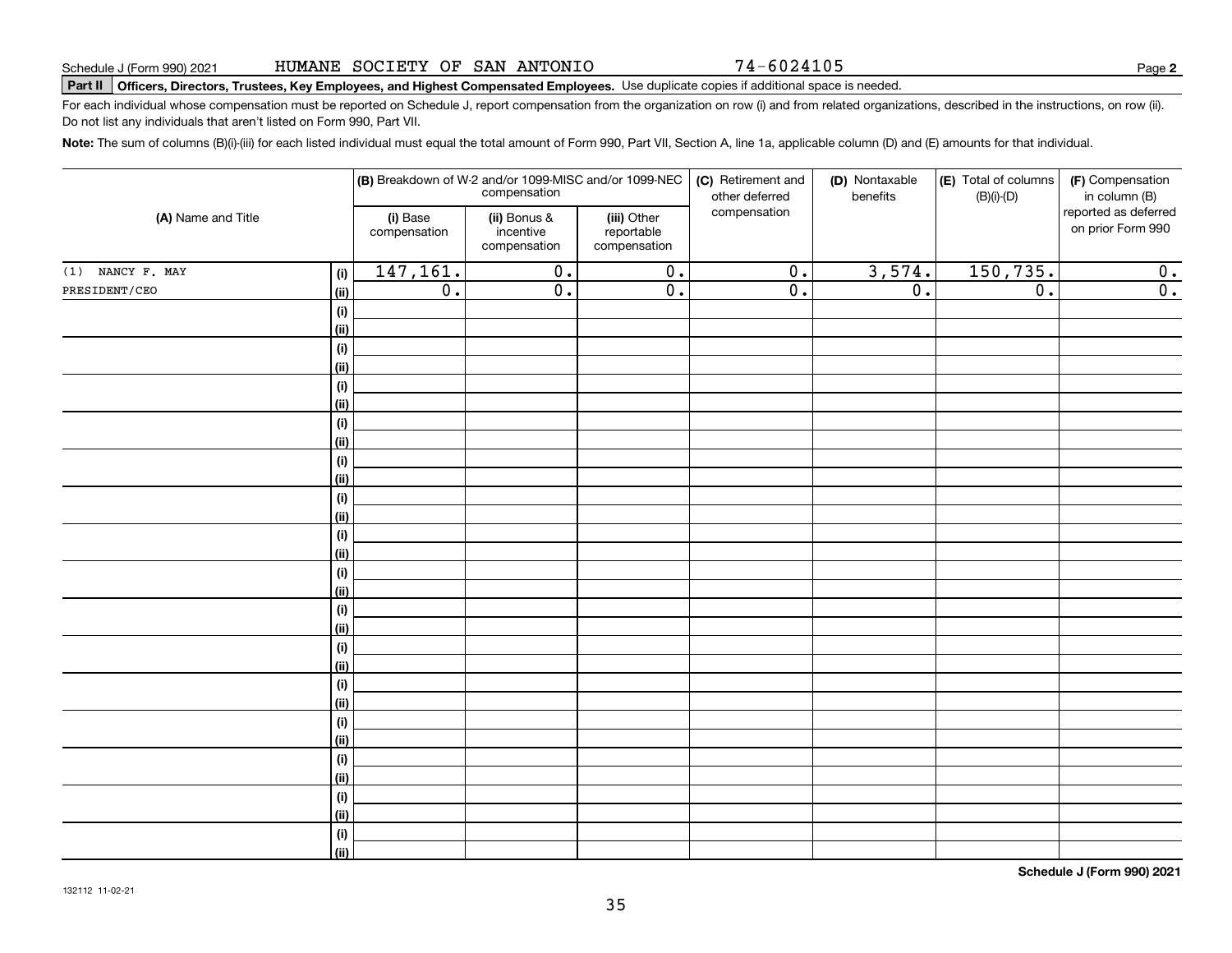74-6024105

**2**

# **Part II Officers, Directors, Trustees, Key Employees, and Highest Compensated Employees.**  Schedule J (Form 990) 2021 Page Use duplicate copies if additional space is needed.

For each individual whose compensation must be reported on Schedule J, report compensation from the organization on row (i) and from related organizations, described in the instructions, on row (ii). Do not list any individuals that aren't listed on Form 990, Part VII.

**Note:**  The sum of columns (B)(i)-(iii) for each listed individual must equal the total amount of Form 990, Part VII, Section A, line 1a, applicable column (D) and (E) amounts for that individual.

|                    |                                      |                          |                                           | (B) Breakdown of W-2 and/or 1099-MISC and/or 1099-NEC<br>compensation | (C) Retirement and<br>other deferred | (D) Nontaxable<br>benefits | (E) Total of columns<br>$(B)(i)-(D)$ | (F) Compensation<br>in column (B)         |
|--------------------|--------------------------------------|--------------------------|-------------------------------------------|-----------------------------------------------------------------------|--------------------------------------|----------------------------|--------------------------------------|-------------------------------------------|
| (A) Name and Title |                                      | (i) Base<br>compensation | (ii) Bonus &<br>incentive<br>compensation | (iii) Other<br>reportable<br>compensation                             | compensation                         |                            |                                      | reported as deferred<br>on prior Form 990 |
| $(1)$ NANCY F. MAY | (i)                                  | 147, 161.                | $\overline{0}$ .                          | $\overline{0}$ .                                                      | $\overline{0}$ .                     | 3,574.                     | 150, 735.                            | 0.                                        |
| PRESIDENT/CEO      | (ii)                                 | $\overline{0}$ .         | $\overline{0}$ .                          | $\overline{0}$ .                                                      | $\overline{0}$ .                     | $\overline{0}$ .           | $\overline{0}$ .                     | $\overline{0}$ .                          |
|                    | $(\sf{i})$                           |                          |                                           |                                                                       |                                      |                            |                                      |                                           |
|                    | (ii)                                 |                          |                                           |                                                                       |                                      |                            |                                      |                                           |
|                    | $(\sf{i})$                           |                          |                                           |                                                                       |                                      |                            |                                      |                                           |
|                    | (ii)                                 |                          |                                           |                                                                       |                                      |                            |                                      |                                           |
|                    | $(\sf{i})$                           |                          |                                           |                                                                       |                                      |                            |                                      |                                           |
|                    | (ii)                                 |                          |                                           |                                                                       |                                      |                            |                                      |                                           |
|                    | $(\sf{i})$                           |                          |                                           |                                                                       |                                      |                            |                                      |                                           |
|                    | (ii)                                 |                          |                                           |                                                                       |                                      |                            |                                      |                                           |
|                    | $(\sf{i})$                           |                          |                                           |                                                                       |                                      |                            |                                      |                                           |
|                    | (ii)                                 |                          |                                           |                                                                       |                                      |                            |                                      |                                           |
|                    | $(\sf{i})$                           |                          |                                           |                                                                       |                                      |                            |                                      |                                           |
|                    | (ii)                                 |                          |                                           |                                                                       |                                      |                            |                                      |                                           |
|                    | $\qquad \qquad \textbf{(i)}$<br>(ii) |                          |                                           |                                                                       |                                      |                            |                                      |                                           |
|                    | $\qquad \qquad \textbf{(i)}$         |                          |                                           |                                                                       |                                      |                            |                                      |                                           |
|                    | (ii)                                 |                          |                                           |                                                                       |                                      |                            |                                      |                                           |
|                    | $(\sf{i})$                           |                          |                                           |                                                                       |                                      |                            |                                      |                                           |
|                    | (ii)                                 |                          |                                           |                                                                       |                                      |                            |                                      |                                           |
|                    | $(\sf{i})$                           |                          |                                           |                                                                       |                                      |                            |                                      |                                           |
|                    | (ii)                                 |                          |                                           |                                                                       |                                      |                            |                                      |                                           |
|                    | $(\sf{i})$                           |                          |                                           |                                                                       |                                      |                            |                                      |                                           |
|                    | (ii)                                 |                          |                                           |                                                                       |                                      |                            |                                      |                                           |
|                    | $(\sf{i})$                           |                          |                                           |                                                                       |                                      |                            |                                      |                                           |
|                    | (ii)                                 |                          |                                           |                                                                       |                                      |                            |                                      |                                           |
|                    | $(\sf{i})$                           |                          |                                           |                                                                       |                                      |                            |                                      |                                           |
|                    | (ii)                                 |                          |                                           |                                                                       |                                      |                            |                                      |                                           |
|                    | $(\sf{i})$                           |                          |                                           |                                                                       |                                      |                            |                                      |                                           |
|                    | (ii)                                 |                          |                                           |                                                                       |                                      |                            |                                      |                                           |
|                    | $(\sf{i})$                           |                          |                                           |                                                                       |                                      |                            |                                      |                                           |
|                    | (ii)                                 |                          |                                           |                                                                       |                                      |                            |                                      |                                           |

**Schedule J (Form 990) 2021**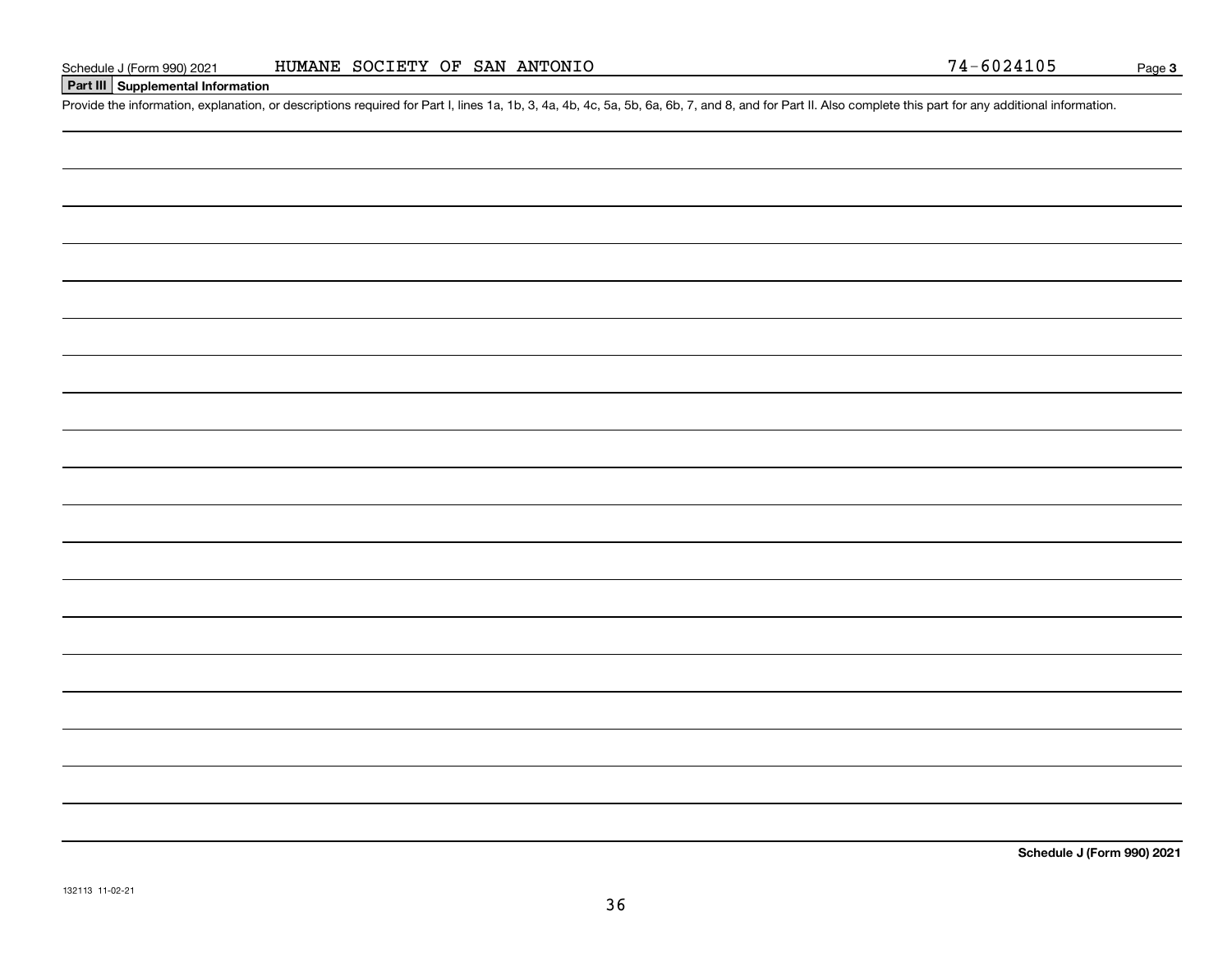#### **Part III Supplemental Information**

Schedule J (Form 990) 2021 HUMANE SOCIETY OF SAN ANTONIO<br>Part III Supplemental Information<br>Provide the information, explanation, or descriptions required for Part I, lines 1a, 1b, 3, 4a, 4b, 4c, 5a, 5b, 6a, 6b, 7, and 8,

**Schedule J (Form 990) 2021**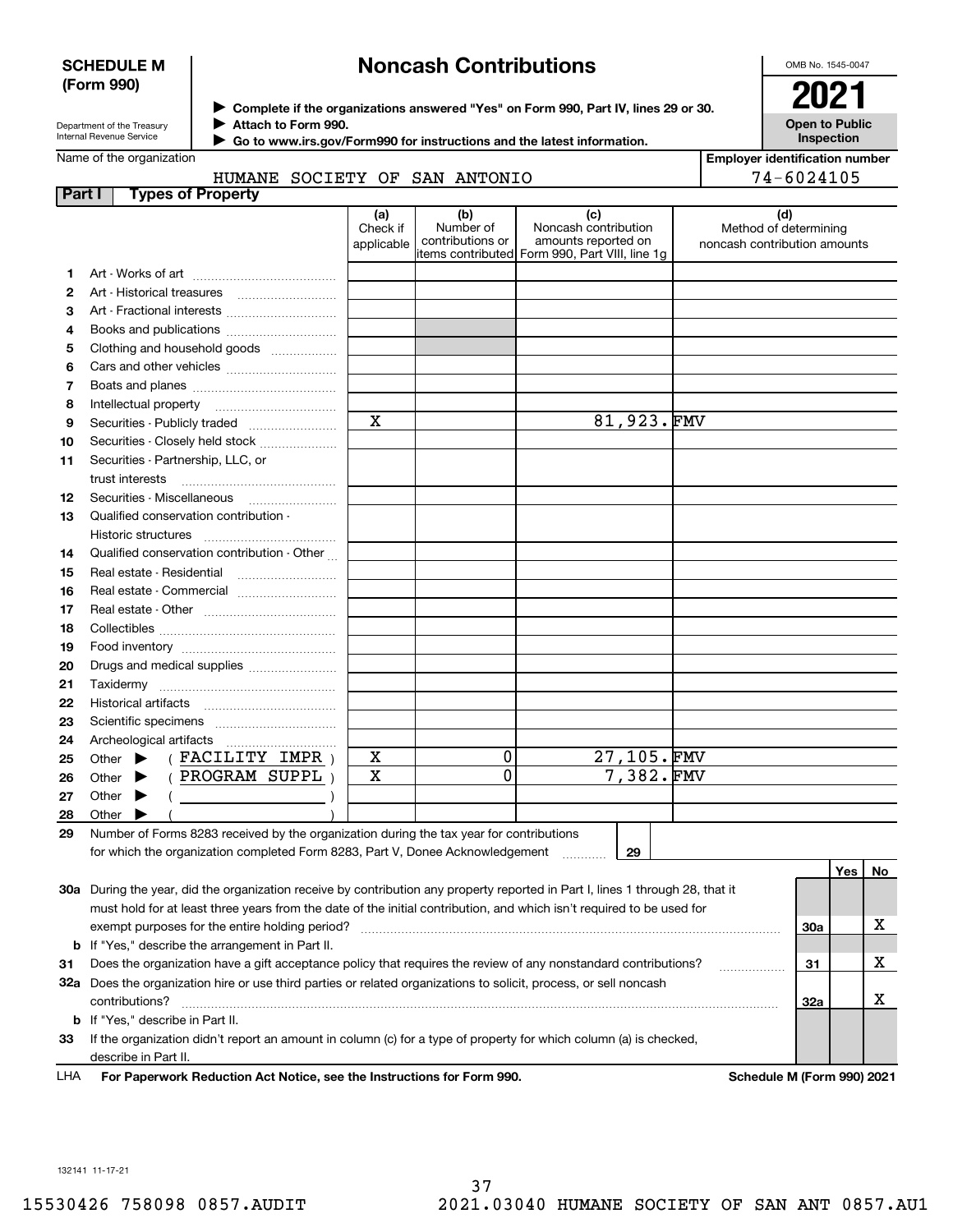#### **SCHEDULE M (Form 990)**

## **Noncash Contributions**

OMB No. 1545-0047

| Department of the Treasury      |
|---------------------------------|
| <b>Internal Revenue Service</b> |

**Complete if the organizations answered "Yes" on Form 990, Part IV, lines 29 or 30.** <sup>J</sup>**2021 Attach to Form 990.** J

**Open to Public Inspection**

|  | $\cdot \,$ Go to www.irs.gov/Form990 for instructions and the latest information. |
|--|-----------------------------------------------------------------------------------|
|  |                                                                                   |

## Name of the organization

 $\blacktriangleright$ 

HUMANE SOCIETY OF SAN ANTONIO

| <b>Employer identification number</b> |
|---------------------------------------|
| 74-6024105                            |

| <b>Part I</b> | <b>Types of Property</b>                                                                                                       |                               |                                      |                                                                                                      |                                                              |     |    |
|---------------|--------------------------------------------------------------------------------------------------------------------------------|-------------------------------|--------------------------------------|------------------------------------------------------------------------------------------------------|--------------------------------------------------------------|-----|----|
|               |                                                                                                                                | (a)<br>Check if<br>applicable | (b)<br>Number of<br>contributions or | (c)<br>Noncash contribution<br>amounts reported on<br>items contributed Form 990, Part VIII, line 1g | (d)<br>Method of determining<br>noncash contribution amounts |     |    |
| 1             |                                                                                                                                |                               |                                      |                                                                                                      |                                                              |     |    |
| 2             | Art - Historical treasures                                                                                                     |                               |                                      |                                                                                                      |                                                              |     |    |
| 3             | Art - Fractional interests                                                                                                     |                               |                                      |                                                                                                      |                                                              |     |    |
| 4             | Books and publications                                                                                                         |                               |                                      |                                                                                                      |                                                              |     |    |
| 5             | Clothing and household goods                                                                                                   |                               |                                      |                                                                                                      |                                                              |     |    |
| 6             |                                                                                                                                |                               |                                      |                                                                                                      |                                                              |     |    |
| 7             |                                                                                                                                |                               |                                      |                                                                                                      |                                                              |     |    |
| 8             | Intellectual property                                                                                                          |                               |                                      |                                                                                                      |                                                              |     |    |
| 9             | Securities - Publicly traded                                                                                                   | $\mathbf X$                   |                                      | 81,923.FMV                                                                                           |                                                              |     |    |
| 10            | Securities - Closely held stock                                                                                                |                               |                                      |                                                                                                      |                                                              |     |    |
| 11            | Securities - Partnership, LLC, or<br>trust interests                                                                           |                               |                                      |                                                                                                      |                                                              |     |    |
| 12            | Securities - Miscellaneous                                                                                                     |                               |                                      |                                                                                                      |                                                              |     |    |
| 13            | Qualified conservation contribution -                                                                                          |                               |                                      |                                                                                                      |                                                              |     |    |
|               | Historic structures                                                                                                            |                               |                                      |                                                                                                      |                                                              |     |    |
| 14            | Qualified conservation contribution - Other                                                                                    |                               |                                      |                                                                                                      |                                                              |     |    |
| 15            | Real estate - Residential                                                                                                      |                               |                                      |                                                                                                      |                                                              |     |    |
| 16            | Real estate - Commercial                                                                                                       |                               |                                      |                                                                                                      |                                                              |     |    |
| 17            |                                                                                                                                |                               |                                      |                                                                                                      |                                                              |     |    |
| 18            |                                                                                                                                |                               |                                      |                                                                                                      |                                                              |     |    |
| 19            |                                                                                                                                |                               |                                      |                                                                                                      |                                                              |     |    |
| 20            | Drugs and medical supplies                                                                                                     |                               |                                      |                                                                                                      |                                                              |     |    |
| 21            |                                                                                                                                |                               |                                      |                                                                                                      |                                                              |     |    |
| 22            | Historical artifacts                                                                                                           |                               |                                      |                                                                                                      |                                                              |     |    |
| 23            |                                                                                                                                |                               |                                      |                                                                                                      |                                                              |     |    |
| 24            | Archeological artifacts                                                                                                        |                               |                                      |                                                                                                      |                                                              |     |    |
| 25            | $($ FACILITY IMPR $)$<br>Other $\blacktriangleright$                                                                           | X                             | 0                                    | 27,105.FMV                                                                                           |                                                              |     |    |
| 26            | (PROGRAM SUPPL)<br>Other $\blacktriangleright$                                                                                 | X                             | 0                                    | 7,382.FMV                                                                                            |                                                              |     |    |
| 27            | Other $\blacktriangleright$                                                                                                    |                               |                                      |                                                                                                      |                                                              |     |    |
| 28            | Other<br>▶                                                                                                                     |                               |                                      |                                                                                                      |                                                              |     |    |
| 29            | Number of Forms 8283 received by the organization during the tax year for contributions                                        |                               |                                      |                                                                                                      |                                                              |     |    |
|               | for which the organization completed Form 8283, Part V, Donee Acknowledgement                                                  |                               |                                      | 29                                                                                                   |                                                              |     |    |
|               |                                                                                                                                |                               |                                      |                                                                                                      |                                                              | Yes | No |
|               | 30a During the year, did the organization receive by contribution any property reported in Part I, lines 1 through 28, that it |                               |                                      |                                                                                                      |                                                              |     |    |
|               | must hold for at least three years from the date of the initial contribution, and which isn't required to be used for          |                               |                                      |                                                                                                      |                                                              |     |    |
|               | exempt purposes for the entire holding period?                                                                                 |                               |                                      |                                                                                                      |                                                              | 30a | х  |
|               | <b>b</b> If "Yes," describe the arrangement in Part II.                                                                        |                               |                                      |                                                                                                      |                                                              |     |    |
| 31            | Does the organization have a gift acceptance policy that requires the review of any nonstandard contributions?                 |                               |                                      |                                                                                                      |                                                              | 31  | x  |
|               | 32a Does the organization hire or use third parties or related organizations to solicit, process, or sell noncash              |                               |                                      |                                                                                                      |                                                              |     |    |
|               | contributions?                                                                                                                 |                               |                                      |                                                                                                      |                                                              | 32a | х  |
|               | <b>b</b> If "Yes," describe in Part II.                                                                                        |                               |                                      |                                                                                                      |                                                              |     |    |
| 33            | If the organization didn't report an amount in column (c) for a type of property for which column (a) is checked,              |                               |                                      |                                                                                                      |                                                              |     |    |
|               | describe in Part II.<br>cruck Reduction Act Notice, and the Instructions for Form 000                                          |                               |                                      |                                                                                                      | Schodule M (Form 000) 2021                                   |     |    |

**For Paperwork Reduction Act Notice, see the Instructions for Form 990. Schedule M (Form 990) 2021** LHA

132141 11-17-21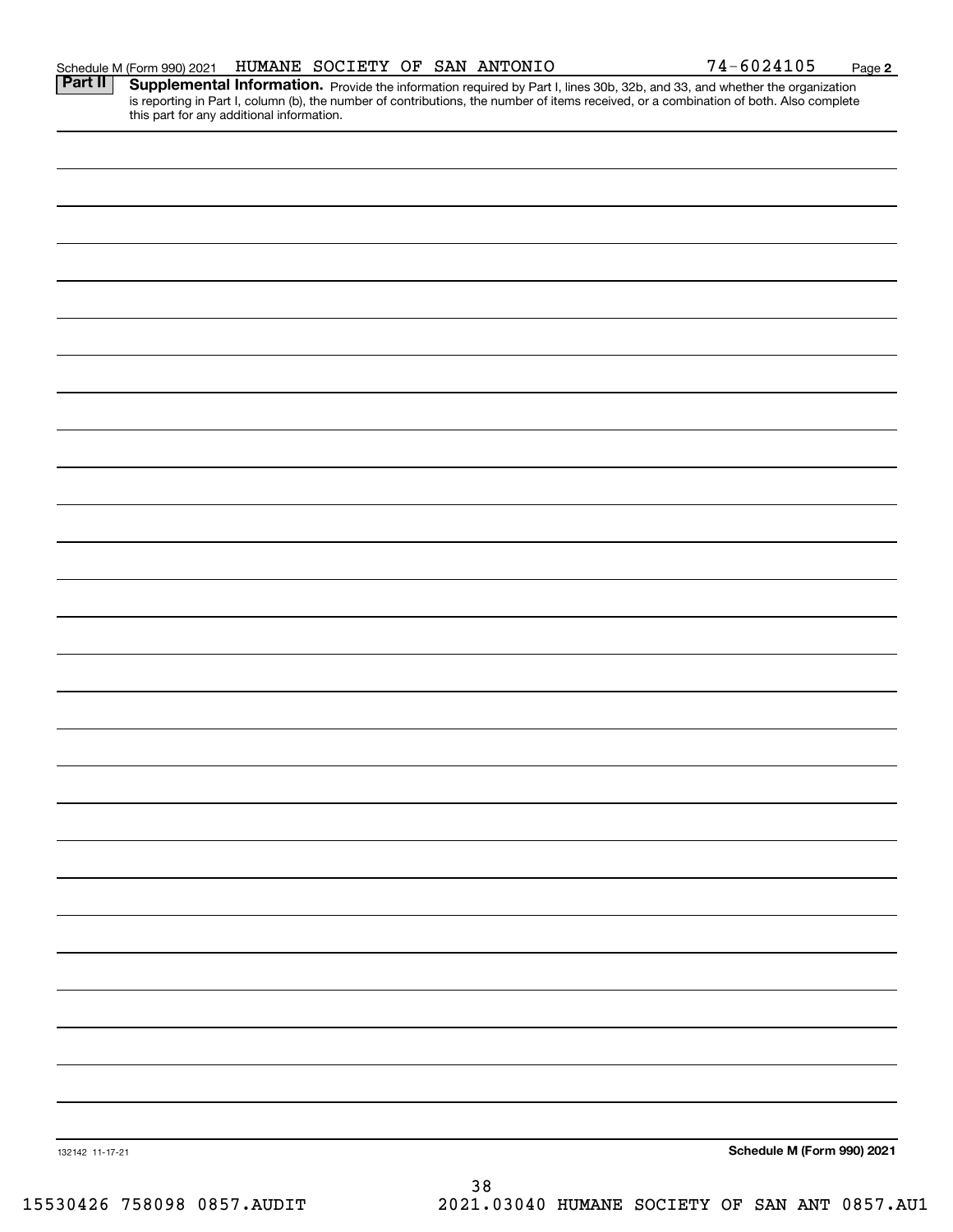| HUMANE<br>SOCIETY<br><b>OF</b><br>SAN<br>ANTONIO<br>'′4⊥<br>-6024105<br>Schedule M (Form 990) 2021 |  | Page |
|----------------------------------------------------------------------------------------------------|--|------|
|----------------------------------------------------------------------------------------------------|--|------|

Provide the information required by Part I, lines 30b, 32b, and 33, and whether the organization is reporting in Part I, column (b), the number of contributions, the number of items received, or a combination of both. Also complete this part for any additional information. **Part II Supplemental Information.** 

**2**

74-6024105

| 132142 11-17-21 | $38\,$ | Schedule M (Form 990) 2021 |
|-----------------|--------|----------------------------|
|                 |        |                            |
|                 |        |                            |
|                 |        |                            |
|                 |        |                            |
|                 |        |                            |
|                 |        |                            |
|                 |        |                            |
|                 |        |                            |
|                 |        |                            |
|                 |        |                            |
|                 |        |                            |
|                 |        |                            |
|                 |        |                            |
|                 |        |                            |
|                 |        |                            |
|                 |        |                            |
|                 |        |                            |
|                 |        |                            |
|                 |        |                            |
|                 |        |                            |
|                 |        |                            |
|                 |        |                            |
|                 |        |                            |
|                 |        |                            |
|                 |        |                            |
|                 |        |                            |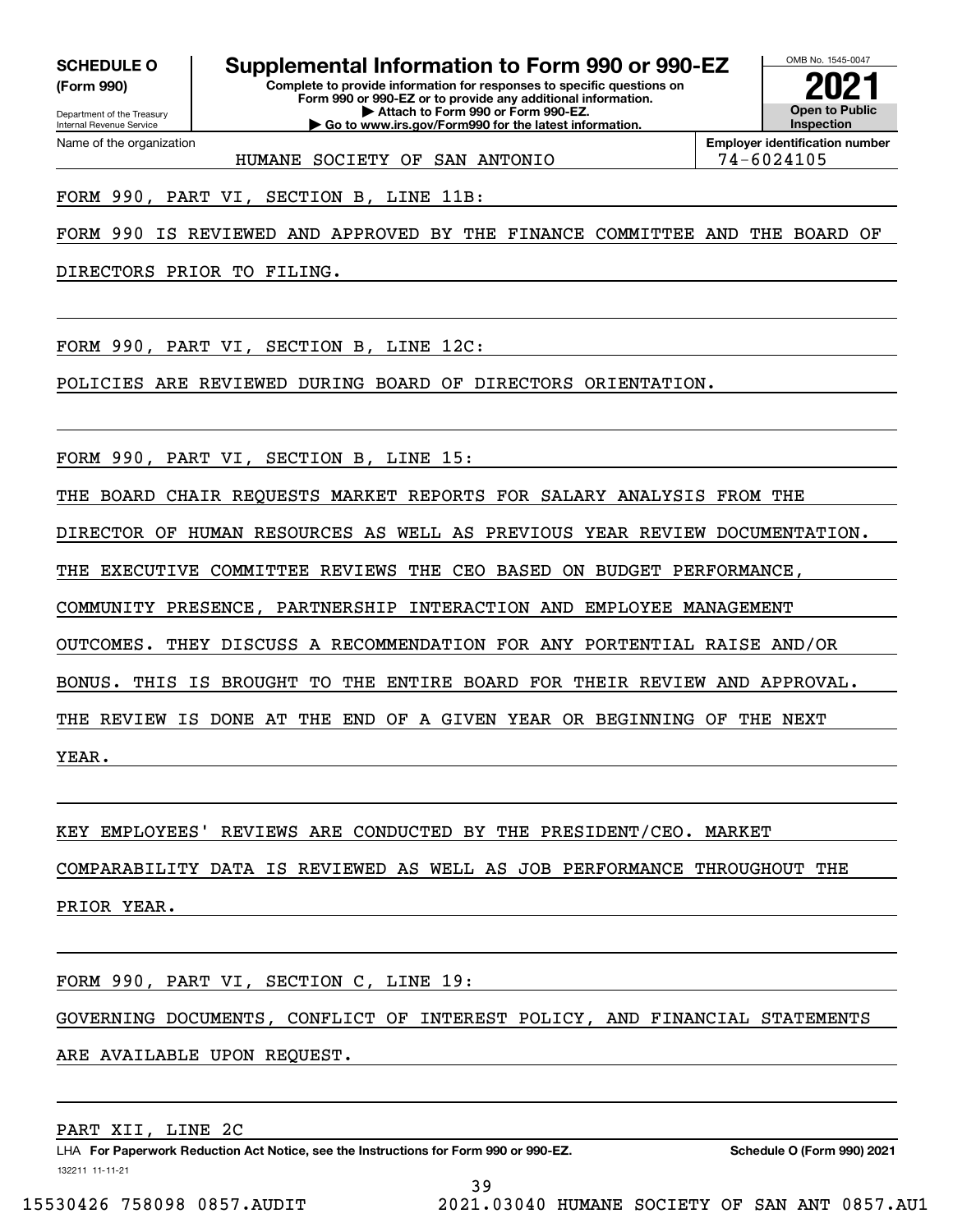**(Form 990)**

## **Complete to provide information for responses to specific questions on SCHEDULE O Supplemental Information to Form 990 or 990-EZ**

**Form 990 or 990-EZ or to provide any additional information. | Attach to Form 990 or Form 990-EZ. | Go to www.irs.gov/Form990 for the latest information.**



**Employer identification number** HUMANE SOCIETY OF SAN ANTONIO 74-6024105

FORM 990, PART VI, SECTION B, LINE 11B:

FORM 990 IS REVIEWED AND APPROVED BY THE FINANCE COMMITTEE AND THE BOARD OF

DIRECTORS PRIOR TO FILING.

FORM 990, PART VI, SECTION B, LINE 12C:

POLICIES ARE REVIEWED DURING BOARD OF DIRECTORS ORIENTATION.

FORM 990, PART VI, SECTION B, LINE 15:

THE BOARD CHAIR REQUESTS MARKET REPORTS FOR SALARY ANALYSIS FROM THE

DIRECTOR OF HUMAN RESOURCES AS WELL AS PREVIOUS YEAR REVIEW DOCUMENTATION.

THE EXECUTIVE COMMITTEE REVIEWS THE CEO BASED ON BUDGET PERFORMANCE,

COMMUNITY PRESENCE, PARTNERSHIP INTERACTION AND EMPLOYEE MANAGEMENT

OUTCOMES. THEY DISCUSS A RECOMMENDATION FOR ANY PORTENTIAL RAISE AND/OR

BONUS. THIS IS BROUGHT TO THE ENTIRE BOARD FOR THEIR REVIEW AND APPROVAL.

THE REVIEW IS DONE AT THE END OF A GIVEN YEAR OR BEGINNING OF THE NEXT

YEAR.

KEY EMPLOYEES' REVIEWS ARE CONDUCTED BY THE PRESIDENT/CEO. MARKET

COMPARABILITY DATA IS REVIEWED AS WELL AS JOB PERFORMANCE THROUGHOUT THE

PRIOR YEAR.

FORM 990, PART VI, SECTION C, LINE 19:

GOVERNING DOCUMENTS, CONFLICT OF INTEREST POLICY, AND FINANCIAL STATEMENTS

ARE AVAILABLE UPON REQUEST.

PART XII, LINE 2C